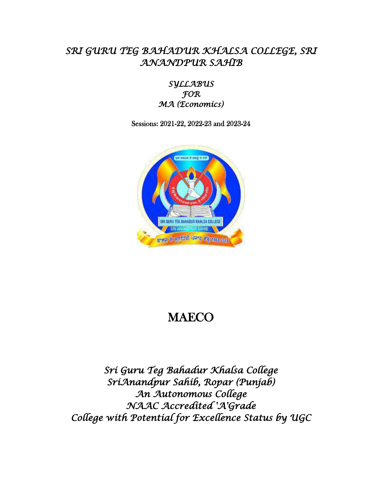# *SRI GURU TEG BAHADUR KHALSA COLLEGE, SRI ANANDPUR SAHIB*

*SYLLABUS FOR MA (Economics)* 

Sessions: 2021-22, 2022-23 and 2023-24



# MAECO

*Sri Guru Teg Bahadur Khalsa College SriAnandpur Sahib, Ropar (Punjab) An Autonomous College NAAC Accredited 'A'Grade College with Potential for Excellence Status by UGC*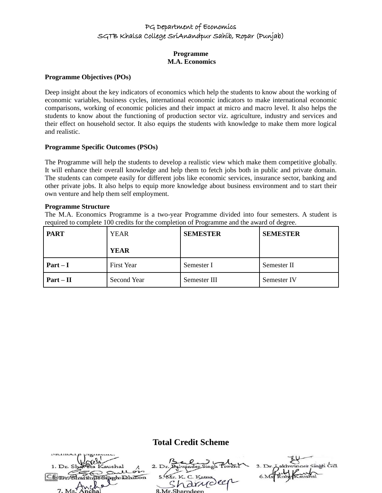#### **Programme M.A. Economics**

#### **Programme Objectives (POs)**

Deep insight about the key indicators of economics which help the students to know about the working of economic variables, business cycles, international economic indicators to make international economic comparisons, working of economic policies and their impact at micro and macro level. It also helps the students to know about the functioning of production sector viz. agriculture, industry and services and their effect on household sector. It also equips the students with knowledge to make them more logical and realistic.

#### **Programme Specific Outcomes (PSOs)**

The Programme will help the students to develop a realistic view which make them competitive globally. It will enhance their overall knowledge and help them to fetch jobs both in public and private domain. The students can compete easily for different jobs like economic services, insurance sector, banking and other private jobs. It also helps to equip more knowledge about business environment and to start their own venture and help them self employment.

#### **Programme Structure**

The M.A. Economics Programme is a two-year Programme divided into four semesters. A student is required to complete 100 credits for the completion of Programme and the award of degree.

| <b>PART</b> | <b>YEAR</b>       | <b>SEMESTER</b> | <b>SEMESTER</b> |
|-------------|-------------------|-----------------|-----------------|
|             | <b>YEAR</b>       |                 |                 |
| $Part-I$    | <b>First Year</b> | Semester I      | Semester II     |
| $Part - II$ | Second Year       | Semester III    | Semester IV     |

## **Total Credit Scheme**

| 1. Dr. Shaveta Kaushal |                    | 3. Dr. Lakhwinder Singh Gill |
|------------------------|--------------------|------------------------------|
| gullon                 |                    |                              |
| in Sinoh Dhillon       | 5. Mr. K. C. Katna |                              |
|                        | narydeen           |                              |
| $7. M_s$ Anchal        |                    |                              |
|                        | 8 Mr Sharndeen     |                              |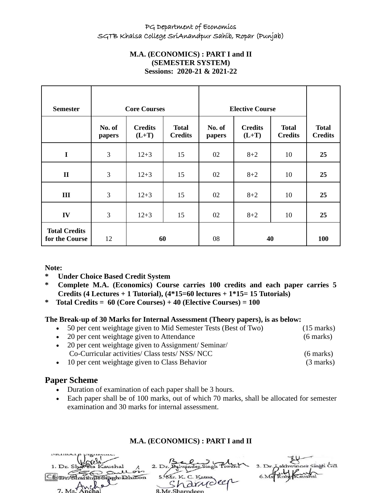# **M.A. (ECONOMICS) : PART I and II (SEMESTER SYSTEM) Sessions: 2020-21 & 2021-22**

| <b>Semester</b>                        | <b>Core Courses</b> |                           |                                | <b>Elective Course</b> |                           |                                |                                |
|----------------------------------------|---------------------|---------------------------|--------------------------------|------------------------|---------------------------|--------------------------------|--------------------------------|
|                                        | No. of<br>papers    | <b>Credits</b><br>$(L+T)$ | <b>Total</b><br><b>Credits</b> | No. of<br>papers       | <b>Credits</b><br>$(L+T)$ | <b>Total</b><br><b>Credits</b> | <b>Total</b><br><b>Credits</b> |
| $\mathbf I$                            | $\overline{3}$      | $12 + 3$                  | 15                             | 02                     | $8 + 2$                   | 10                             | 25                             |
| $\mathbf{I}$                           | $\overline{3}$      | $12 + 3$                  | 15                             | 02                     | $8 + 2$                   | 10                             | 25                             |
| Ш                                      | $\overline{3}$      | $12 + 3$                  | 15                             | 02                     | $8 + 2$                   | 10                             | 25                             |
| IV                                     | $\overline{3}$      | $12 + 3$                  | 15                             | 02                     | $8 + 2$                   | 10                             | 25                             |
| <b>Total Credits</b><br>for the Course | 12                  | 60                        |                                | 08                     |                           | 40                             | <b>100</b>                     |

**Note:**

- **Under Choice Based Credit System**
- **\* Complete M.A. (Economics) Course carries 100 credits and each paper carries 5 Credits (4 Lectures + 1 Tutorial), (4\*15=60 lectures + 1\*15= 15 Tutorials)**
- **\* Total Credits = 60 (Core Courses) + 40 (Elective Courses) = 100**

## **The Break-up of 30 Marks for Internal Assessment (Theory papers), is as below:**

- 50 per cent weightage given to Mid Semester Tests (Best of Two) (15 marks)
- 20 per cent weightage given to Attendance (6 marks)
	-
- 20 per cent weightage given to Assignment/ Seminar/ Co-Curricular activities/ Class tests/ NSS/ NCC (6 marks)
- 10 per cent weightage given to Class Behavior (3 marks)

# **Paper Scheme**

- Duration of examination of each paper shall be 3 hours.
- Each paper shall be of 100 marks, out of which 70 marks, shall be allocated for semester examination and 30 marks for internal assessment.

# **M.A. (ECONOMICS) : PART I and II**

| 1. Dr. Shaveta Kaushal        |                    | 3. Dr. Lakhwinder Singh Gill |
|-------------------------------|--------------------|------------------------------|
| Sullois<br>Un Singeholdhillon | 5. Mr. K. C. Katna |                              |
| $\sim$ 9                      | 'a drudeer         |                              |
| 7 M <sub>s</sub>              | 2 Mr Charpdoon     |                              |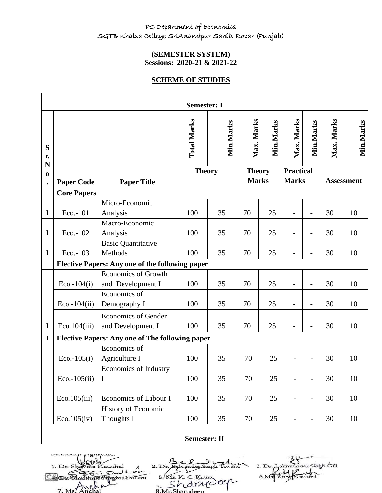# **(SEMESTER SYSTEM) Sessions: 2020-21 & 2021-22**

# **SCHEME OF STUDIES**

|                       |                     |                                                        | <b>Semester: I</b> |           |                               |           |                                  |                          |            |                   |
|-----------------------|---------------------|--------------------------------------------------------|--------------------|-----------|-------------------------------|-----------|----------------------------------|--------------------------|------------|-------------------|
| S<br>r.<br>N          |                     |                                                        | <b>Total Marks</b> | Min.Marks | Max. Marks                    | Min.Marks | Max. Marks                       | Min.Marks                | Max. Marks | Min.Marks         |
| $\bf{0}$<br>$\bullet$ | <b>Paper Code</b>   | <b>Paper Title</b>                                     | <b>Theory</b>      |           | <b>Theory</b><br><b>Marks</b> |           | <b>Practical</b><br><b>Marks</b> |                          |            | <b>Assessment</b> |
|                       | <b>Core Papers</b>  |                                                        |                    |           |                               |           |                                  |                          |            |                   |
| $\mathbf I$           | Eco.-101            | Micro-Economic<br>Analysis                             | 100                | 35        | 70                            | 25        |                                  | $\overline{a}$           | 30         | 10                |
| I                     | Eco.-102            | Macro-Economic<br>Analysis                             | 100                | 35        | 70                            | 25        | $\overline{\phantom{0}}$         | $\overline{a}$           | 30         | 10                |
| $\mathbf I$           | Eco.-103            | <b>Basic Quantitative</b><br>Methods                   | 100                | 35        | 70                            | 25        |                                  |                          | 30         | 10                |
|                       |                     | <b>Elective Papers: Any one of the following paper</b> |                    |           |                               |           |                                  |                          |            |                   |
|                       | $Eco.-104(i)$       | <b>Economics of Growth</b><br>and Development I        | 100                | 35        | 70                            | 25        |                                  | $\overline{a}$           | 30         | 10                |
|                       | $Eco.-104(ii)$      | Economics of<br>Demography I                           | 100                | 35        | 70                            | 25        | $\overline{\phantom{0}}$         | $\overline{a}$           | 30         | 10                |
| I                     | Eco.104(iii)        | <b>Economics of Gender</b><br>and Development I        | 100                | 35        | 70                            | 25        |                                  | $\overline{a}$           | 30         | 10                |
| I                     |                     | <b>Elective Papers: Any one of The following paper</b> |                    |           |                               |           |                                  |                          |            |                   |
|                       | $Eco.-105(i)$       | Economics of<br>Agriculture I                          | 100                | 35        | 70                            | 25        |                                  |                          | 30         | 10                |
|                       | $Eco.-105(ii)$      | <b>Economics of Industry</b><br>$\mathbf I$            | 100                | 35        | 70                            | 25        | $\overline{\phantom{0}}$         | $\overline{a}$           | 30         | 10                |
|                       | Eco.105(iii)        | Economics of Labour I                                  | 100                | 35        | 70                            | 25        | $\overline{\phantom{0}}$         | $\overline{\phantom{0}}$ | 30         | 10                |
|                       | Eco.105(iv)         | History of Economic<br>Thoughts I                      | 100                | 35        | 70                            | 25        | $\qquad \qquad -$                | $\overline{\phantom{0}}$ | 30         | 10                |
|                       | <b>Semester: II</b> |                                                        |                    |           |                               |           |                                  |                          |            |                   |

1. Dr. Sl shal عد  $\supset$ Che Din Shartin (15 Sippin Dhillon 7.

2. Dr. Balwinder Singh Tiv 5. Mr. K. C. Katna Shannole Ar Sharnd

akhwinger Singh Gill  $3. Dr.$ 6.Ms Rul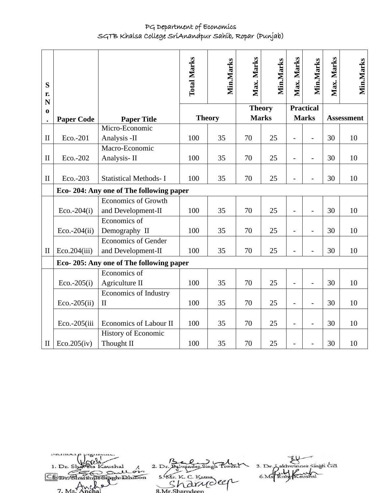| S<br>r.<br>N |                   |                                                  | <b>Total Marks</b> | Min.Marks     | Max. Marks    | Min.Marks | Max. Marks               | Min.Marks                | Max. Marks | Min.Marks         |
|--------------|-------------------|--------------------------------------------------|--------------------|---------------|---------------|-----------|--------------------------|--------------------------|------------|-------------------|
| $\mathbf 0$  |                   |                                                  |                    |               | <b>Theory</b> |           |                          | <b>Practical</b>         |            |                   |
| $\bullet$    | <b>Paper Code</b> | <b>Paper Title</b>                               |                    | <b>Theory</b> | <b>Marks</b>  |           |                          | <b>Marks</b>             |            | <b>Assessment</b> |
| $\mathbf{I}$ | Eco.-201          | Micro-Economic<br>Analysis -II                   | 100                | 35            | 70            | 25        | $\overline{\phantom{0}}$ | $\overline{a}$           | 30         | 10                |
| $\mathbf{I}$ | Eco.-202          | Macro-Economic<br>Analysis-II                    | 100                | 35            | 70            | 25        | $\overline{\phantom{0}}$ | $\overline{a}$           | 30         | 10                |
| $\mathbf{I}$ | Eco.-203          | <b>Statistical Methods-I</b>                     | 100                | 35            | 70            | 25        |                          | $\overline{\phantom{0}}$ | 30         | 10                |
|              |                   | Eco-204: Any one of The following paper          |                    |               |               |           |                          |                          |            |                   |
|              | $Eco.-204(i)$     | <b>Economics of Growth</b><br>and Development-II | 100                | 35            | 70            | 25        | $\overline{a}$           | $\overline{a}$           | 30         | 10                |
|              | $Eco.-204(ii)$    | Economics of<br>Demography II                    | 100                | 35            | 70            | 25        | $\overline{a}$           | $\overline{a}$           | 30         | 10                |
| $\mathbf{I}$ | Eco.204(iii)      | <b>Economics of Gender</b><br>and Development-II | 100                | 35            | 70            | 25        | $\overline{a}$           | $\overline{a}$           | 30         | 10                |
|              |                   | Eco- 205: Any one of The following paper         |                    |               |               |           |                          |                          |            |                   |
|              | $Eco.-205(i)$     | Economics of<br>Agriculture II                   | 100                | 35            | 70            | 25        |                          |                          | 30         | 10                |
|              | $Eco.-205(ii)$    | <b>Economics of Industry</b><br>$\mathbf{I}$     | 100                | 35            | 70            | 25        | $\blacksquare$           | $\overline{a}$           | 30         | 10                |
|              | Eco.-205(iii      | Economics of Labour II                           | 100                | 35            | 70            | 25        | $\overline{a}$           | $\overline{a}$           | 30         | 10                |
| $\mathbf{I}$ | Eco.205(iv)       | History of Economic<br>Thought II                | 100                | 35            | 70            | 25        |                          |                          | 30         | 10                |

3. Dr. Aakhwinger Singh Gill 2. Dr. Balvainder Singh Pin 1. Dr. Sl shal 6. Ms Rub Kaushal عد  $\geq$ 5. W. K. C. Katha<br>Sharndeep Com Sharing os pen Dhillon  $7. M<sub>s</sub>$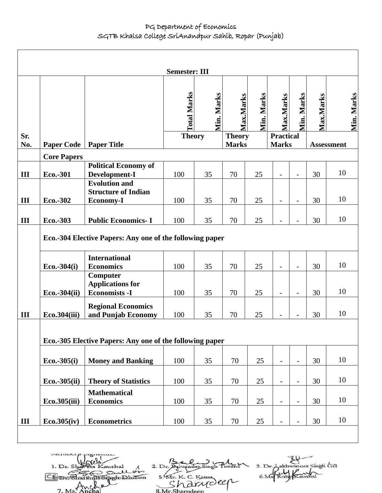|            |                                                                                  |                                                          | <b>Semester: III</b> |            |                               |            |                                  |                          |           |                   |
|------------|----------------------------------------------------------------------------------|----------------------------------------------------------|----------------------|------------|-------------------------------|------------|----------------------------------|--------------------------|-----------|-------------------|
|            |                                                                                  |                                                          | <b>Total Marks</b>   | Min. Marks | Max.Marks                     | Min. Marks | Max.Marks                        | Min. Marks               | Max.Marks | Min. Marks        |
| Sr.<br>No. | <b>Paper Code</b>                                                                | <b>Paper Title</b>                                       | <b>Theory</b>        |            | <b>Theory</b><br><b>Marks</b> |            | <b>Practical</b><br><b>Marks</b> |                          |           | <b>Assessment</b> |
|            | <b>Core Papers</b>                                                               |                                                          |                      |            |                               |            |                                  |                          |           |                   |
| III        | Eco.-301                                                                         | <b>Political Economy of</b><br>Development-I             | 100                  | 35         | 70                            | 25         | $\overline{\phantom{a}}$         | $\overline{a}$           | 30        | 10                |
|            |                                                                                  | <b>Evolution and</b><br><b>Structure of Indian</b>       | 100                  | 35         | 70                            |            |                                  |                          | 30        | 10                |
| III<br>III | Eco.-302<br>Eco.-303                                                             | <b>Economy-I</b><br><b>Public Economics-I</b>            | 100                  | 35         | 70                            | 25<br>25   | $\overline{\phantom{a}}$         | $\overline{\phantom{a}}$ | 30        | 10                |
|            | Eco.-304 Elective Papers: Any one of the following paper<br><b>International</b> |                                                          |                      |            |                               |            |                                  |                          |           |                   |
|            | $Eco.-304(i)$                                                                    | <b>Economics</b><br>Computer<br><b>Applications for</b>  | 100                  | 35         | 70                            | 25         | $\overline{\phantom{a}}$         | $\overline{\phantom{a}}$ | 30        | 10                |
|            | $Eco.-304(ii)$                                                                   | <b>Economists -I</b>                                     | 100                  | 35         | 70                            | 25         | $\overline{\phantom{a}}$         | $\overline{\phantom{a}}$ | 30        | 10                |
| III        | Eco.304(iii)                                                                     | <b>Regional Economics</b><br>and Punjab Economy          | 100                  | 35         | 70                            | 25         | $\overline{\phantom{a}}$         | $\overline{a}$           | 30        | 10                |
|            |                                                                                  | Eco.-305 Elective Papers: Any one of the following paper |                      |            |                               |            |                                  |                          |           |                   |
|            | $Eco.-305(i)$                                                                    | <b>Money and Banking</b>                                 | 100                  | 35         | 70                            | 25         | $\overline{\phantom{a}}$         | $\overline{\phantom{a}}$ | 30        | 10                |
|            | Eco.-305(ii)                                                                     | <b>Theory of Statistics</b>                              | 100                  | 35         | $70\,$                        | 25         | $\overline{\phantom{a}}$         | $\overline{\phantom{0}}$ | 30        | 10                |
|            | Eco.305(iii)                                                                     | <b>Mathematical</b><br><b>Economics</b>                  | 100                  | 35         | 70                            | 25         | $\overline{\phantom{a}}$         | $\overline{\phantom{a}}$ | 30        | 10                |
| III        | Eco.305(iv)                                                                      | <b>Econometrics</b>                                      | 100                  | 35         | 70                            | 25         |                                  | $\overline{\phantom{0}}$ | 30        | 10                |
|            |                                                                                  |                                                          |                      |            |                               |            |                                  |                          |           |                   |

1. Dr. Sl aushal saulor Com Sharing os pen Dhillon  $7. M$ 

2. Dr. Balvainder Singh Pin 5. W. K. C. Kama<br>Sharndeep

3. Dr. Aakhwinger Singh Gill 6. Ms Rub Kaushal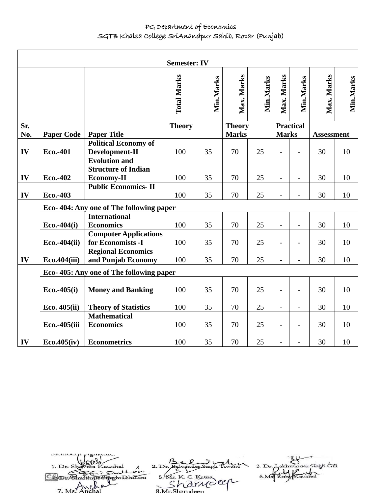|     | <b>Semester: IV</b> |                                                                         |                    |           |               |           |                          |                          |                   |           |
|-----|---------------------|-------------------------------------------------------------------------|--------------------|-----------|---------------|-----------|--------------------------|--------------------------|-------------------|-----------|
|     |                     |                                                                         | <b>Total Marks</b> | Min.Marks | Max. Marks    | Min.Marks | Max. Marks               | Min.Marks                | Max. Marks        | Min.Marks |
| Sr. |                     |                                                                         | <b>Theory</b>      |           | <b>Theory</b> |           |                          | <b>Practical</b>         |                   |           |
| No. | <b>Paper Code</b>   | <b>Paper Title</b>                                                      |                    |           | <b>Marks</b>  |           | <b>Marks</b>             |                          | <b>Assessment</b> |           |
| IV  | Eco.-401            | <b>Political Economy of</b><br>Development-II                           | 100                | 35        | 70            | 25        |                          |                          | 30                | 10        |
| IV  | Eco.-402            | <b>Evolution and</b><br><b>Structure of Indian</b><br><b>Economy-II</b> | 100                | 35        | 70            | 25        | $\overline{\phantom{a}}$ | $\blacksquare$           | 30                | 10        |
| IV  | Eco.-403            | <b>Public Economics-II</b>                                              | 100                | 35        | 70            | 25        |                          | $\overline{\phantom{a}}$ | 30                | 10        |
|     |                     | Eco-404: Any one of The following paper                                 |                    |           |               |           |                          |                          |                   |           |
|     | $Eco.-404(i)$       | <b>International</b><br><b>Economics</b>                                | 100                | 35        | 70            | 25        | $\overline{\phantom{a}}$ | $\overline{\phantom{a}}$ | 30                | 10        |
|     | Eco.-404(ii)        | <b>Computer Applications</b><br>for Economists -I                       | 100                | 35        | 70            | 25        | $\overline{\phantom{a}}$ | $\blacksquare$           | 30                | 10        |
| IV  | Eco.404(iii)        | <b>Regional Economics</b><br>and Punjab Economy                         | 100                | 35        | 70            | 25        | $\overline{\phantom{a}}$ | $\blacksquare$           | 30                | 10        |
|     |                     | Eco-405: Any one of The following paper                                 |                    |           |               |           |                          |                          |                   |           |
|     | $Eco.-405(i)$       | <b>Money and Banking</b>                                                | 100                | 35        | 70            | 25        | $\overline{\phantom{a}}$ | $\overline{\phantom{a}}$ | 30                | 10        |
|     | Eco. 405(ii)        | <b>Theory of Statistics</b>                                             | 100                | 35        | 70            | 25        | $\blacksquare$           | $\overline{\phantom{a}}$ | 30                | 10        |
|     | Eco.-405(iii        | <b>Mathematical</b><br><b>Economics</b>                                 | 100                | 35        | 70            | 25        | $\overline{\phantom{a}}$ | $\qquad \qquad -$        | 30                | 10        |
| IV  | Eco.405(iv)         | <b>Econometrics</b>                                                     | 100                | 35        | 70            | 25        |                          |                          | 30                | 10        |

3. Dr. Askhwinger Singh Gill 2. Dr. Balwinder Singh Pix 1. Dr. Sł aushal Kaushal<br>Doutlor 6. Ms Rub Kaushal Comment in the South of 5. W. K. C. Kama<br>Sharndeep  $7. M<sub>s</sub>$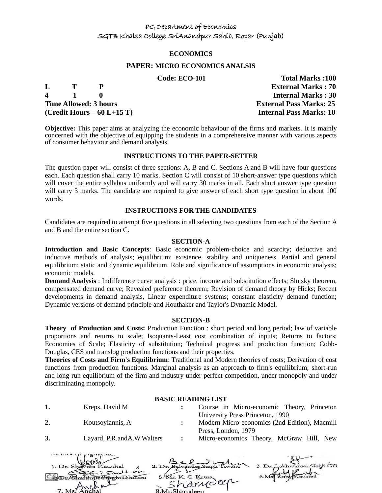#### **ECONOMICS**

#### **PAPER: MICRO ECONOMICS ANALSIS**

**4 1 0 Internal Marks : 30 Time Allowed: 3 hours External Pass Marks: 25 (Credit Hours – 60 L+15 T) Internal Pass Marks: 10**

 **Code: ECO-101 Total Marks :100 L T P External Marks : 70**

**Objective:** This paper aims at analyzing the economic behaviour of the firms and markets. It is mainly concerned with the objective of equipping the students in a comprehensive manner with various aspects of consumer behaviour and demand analysis.

#### **INSTRUCTIONS TO THE PAPER-SETTER**

The question paper will consist of three sections: A, B and C. Sections A and B will have four questions each. Each question shall carry 10 marks. Section C will consist of 10 short-answer type questions which will cover the entire syllabus uniformly and will carry 30 marks in all. Each short answer type question will carry 3 marks. The candidate are required to give answer of each short type question in about 100 words.

#### **INSTRUCTIONS FOR THE CANDIDATES**

Candidates are required to attempt five questions in all selecting two questions from each of the Section A and B and the entire section C.

#### **SECTION-A**

**Introduction and Basic Concepts**: Basic economic problem-choice and scarcity; deductive and inductive methods of analysis; equilibrium: existence, stability and uniqueness. Partial and general equilibrium; static and dynamic equilibrium. Role and significance of assumptions in economic analysis; economic models.

**Demand Analysis** : Indifference curve analysis : price, income and substitution effects; Slutsky theorem, compensated demand curve; Revealed preference theorem; Revision of demand theory by Hicks; Recent developments in demand analysis, Linear expenditure systems; constant elasticity demand function; Dynamic versions of demand principle and Houthaker and Taylor's Dynamic Model.

#### **SECTION-B**

**Theory of Production and Costs:** Production Function : short period and long period; law of variable proportions and returns to scale; Isoquants-Least cost combination of inputs; Returns to factors; Economies of Scale; Elasticity of substitution; Technical progress and production function; Cobb-Douglas, CES and translog production functions and their properties.

**Theories of Costs and Firm's Equilibrium**: Traditional and Modern theories of costs; Derivation of cost functions from production functions. Marginal analysis as an approach to firm's equilibrium; short-run and long-run equilibrium of the firm and industry under perfect competition, under monopoly and under discriminating monopoly.

#### **BASIC READING LIST**

**1.** Kreps, David M **:** Course in Micro-economic Theory, Princeton

- 
- **2.** Koutsoyiannis, A **:** Modern Micro-economics (2nd Edition), Macmill Press, London, 1979

University Press Princeton, 1990

**3.** Layard, P.R.andA.W.Walters **:** Micro-economics Theory, McGraw Hill, New

| 1. Dr. Shareta Kaushal<br>Sullon |                    | 3. Dr. Lakhwinder Singh Gill |
|----------------------------------|--------------------|------------------------------|
| In Simoh Dhillon                 | 5. Mr. K. C. Katna |                              |
|                                  | harrideer          |                              |
| $7 \text{ Me}^7$                 | 8 Mr Sharpdeen     |                              |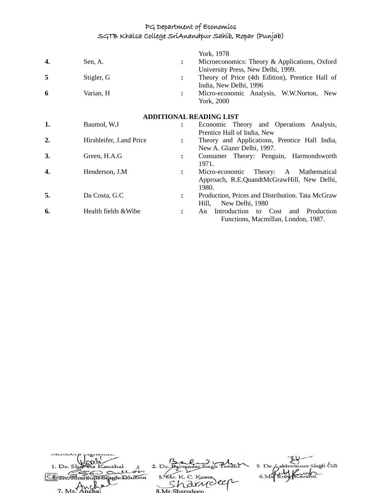|    |                          |                | York, 1978                                                                                      |
|----|--------------------------|----------------|-------------------------------------------------------------------------------------------------|
| 4. | Sen, A.                  | $\ddot{\cdot}$ | Microeconomics: Theory & Applications, Oxford<br>University Press, New Delhi, 1999.             |
| 5  | Stigler, G               | $\ddot{\cdot}$ | Theory of Price (4th Edition), Prentice Hall of<br>India, New Delhi, 1996                       |
| 6  | Varian, H                | $\ddot{\cdot}$ | Micro-economic Analysis, W.W.Norton, New<br>York, 2000                                          |
|    |                          |                | <b>ADDITIONAL READING LIST</b>                                                                  |
| 1. | Baumol, W.J              | $\ddot{\cdot}$ | Economic Theory and Operations Analysis,<br>Prentice Hall of India, New                         |
| 2. | Hirshleifer, J.and Price | $\ddot{\cdot}$ | Theory and Applications, Prentice Hall India,<br>New A. Glazer Delhi, 1997.                     |
| 3. | Green, H.A.G             | $\ddot{\cdot}$ | Consumer Theory: Penguin, Harmondsworth<br>1971.                                                |
| 4. | Henderson, J.M.          | $\ddot{\cdot}$ | Micro-economic<br>Theory: A Mathematical<br>Approach, R.E.QuandtMcGrawHill, New Delhi,<br>1980. |
| 5. | Da Costa, G.C            | $\ddot{\cdot}$ | Production, Prices and Distribution. Tata McGraw<br>New Delhi, 1980<br>Hill,                    |
| 6. | Health fields & Wibe     | $\ddot{\cdot}$ | Introduction to Cost<br>Production<br>and<br>An<br>Functions, Macmillan, London, 1987.          |

| 1. Dr. Shaveta Kaushal |                    | 3. Dr. Lakhwinder Singh Gill |
|------------------------|--------------------|------------------------------|
| Sullon                 |                    |                              |
| 110 Singh Dhillon      | 5. Mr. K. C. Katna |                              |
|                        | rarydeer           |                              |
| $7. Ms.$ Anchal        | 8.Mr.Sharndeen     |                              |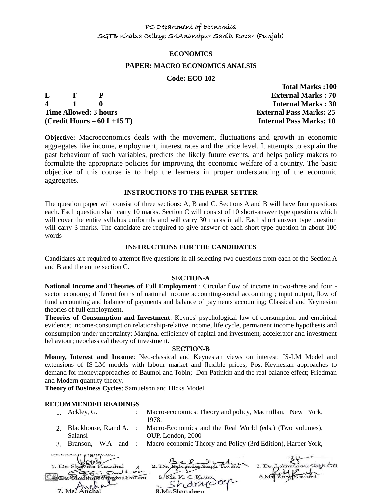#### **ECONOMICS**

#### **PAPER: MACRO ECONOMICS ANALSIS**

#### **Code: ECO-102**

 **Total Marks :100**

|   |               |                              | ***********************        |
|---|---------------|------------------------------|--------------------------------|
| L | $\mathbf{T}$  |                              | <b>External Marks: 70</b>      |
|   | $\mathbf 4$ 1 |                              | <b>Internal Marks: 30</b>      |
|   |               | <b>Time Allowed: 3 hours</b> | <b>External Pass Marks: 25</b> |
|   |               | (Credit Hours $-60$ L+15 T)  | <b>Internal Pass Marks: 10</b> |

**Objective:** Macroeconomics deals with the movement, fluctuations and growth in economic aggregates like income, employment, interest rates and the price level. It attempts to explain the past behaviour of such variables, predicts the likely future events, and helps policy makers to formulate the appropriate policies for improving the economic welfare of a country. The basic objective of this course is to help the learners in proper understanding of the economic aggregates.

#### **INSTRUCTIONS TO THE PAPER-SETTER**

The question paper will consist of three sections: A, B and C. Sections A and B will have four questions each. Each question shall carry 10 marks. Section C will consist of 10 short-answer type questions which will cover the entire syllabus uniformly and will carry 30 marks in all. Each short answer type question will carry 3 marks. The candidate are required to give answer of each short type question in about 100 words

#### **INSTRUCTIONS FOR THE CANDIDATES**

Candidates are required to attempt five questions in all selecting two questions from each of the Section A and B and the entire section C.

#### **SECTION-A**

**National Income and Theories of Full Employment** : Circular flow of income in two-three and four sector economy; different forms of national income accounting-social accounting ; input output, flow of fund accounting and balance of payments and balance of payments accounting; Classical and Keynesian theories of full employment.

**Theories of Consumption and Investment**: Keynes' psychological law of consumption and empirical evidence; income-consumption relationship-relative income, life cycle, permanent income hypothesis and consumption under uncertainty; Marginal efficiency of capital and investment; accelerator and investment behaviour; neoclassical theory of investment.

#### **SECTION-B**

**Money, Interest and Income**: Neo-classical and Keynesian views on interest: IS-LM Model and extensions of IS-LM models with labour market and flexible prices; Post-Keynesian approaches to demand for money:approaches of Baumol and Tobin; Don Patinkin and the real balance effect; Friedman and Modern quantity theory.

**Theory of Business Cycles**: Samuelson and Hicks Model.

#### **RECOMMENDED READINGS**

- 1. Ackley, G. : Macro-economics: Theory and policy, Macmillan, New York, 1978.
- 2. Blackhouse, R.and A. Salansi Macro-Economics and the Real World (eds.) (Two volumes), OUP, London, 2000
- 3. Branson, W.A and : Macro-economic Theory and Policy (3rd Edition), Harper York,

| 1. Dr. Shareta Kaushal<br>Sullon |                    | 3. Dr. Lakhwinger Singh Gill |
|----------------------------------|--------------------|------------------------------|
| a Siserho Dhillon                | 5. Mr. K. C. Katna |                              |
|                                  | 'a drudeer         |                              |
| 7. Ms. Ancha                     | 8.Mr.Sharndeep     |                              |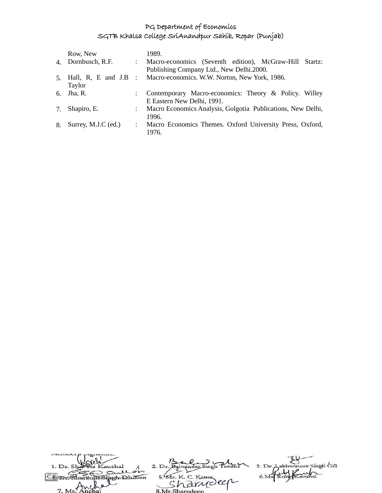|    | Row, New            |                           | 1989.                                                                                              |
|----|---------------------|---------------------------|----------------------------------------------------------------------------------------------------|
|    | 4. Dornbusch, R.F.  | $\mathbb{R}^{\mathbb{Z}}$ | Macro-economics (Seventh edition), McGraw-Hill Startz:<br>Publishing Company Ltd., New Delhi.2000. |
|    | Taylor              |                           | 5. Hall, R, E and J.B : Macro-economics. W.W. Norton, New York, 1986.                              |
| 6. | Jha, R.             |                           | Contemporary Macro-economics: Theory & Policy. Willey<br>E Eastern New Delhi, 1991.                |
| 7. | Shapiro, E.         | $\ddot{\phantom{a}}$      | Macro Economics Analysis, Golgotia Publications, New Delhi,<br>1996.                               |
| 8. | Surrey, M.J.C (ed.) | $\ddot{\phantom{0}}$      | Macro Economics Themes. Oxford University Press, Oxford,<br>1976.                                  |

| 1. Dr. Shaveta Kaushal         |                    | 3. Dr. Lakhwinger Singh Gill |
|--------------------------------|--------------------|------------------------------|
| Sullois<br>n                   |                    |                              |
| Information                    | 5. Mr. K. C. Katna |                              |
|                                | · Arrioler         |                              |
| $7 \text{ Me}^{\frac{1}{100}}$ | 8 Mr Sharpdeen     |                              |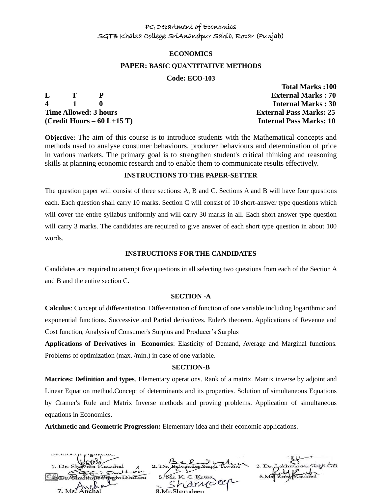#### **ECONOMICS**

#### **PAPER: BASIC QUANTITATIVE METHODS**

#### **Code: ECO-103**

 **Total Marks :100**

|   |                 |                              | Total Indians Too              |
|---|-----------------|------------------------------|--------------------------------|
| L | $\mathbf{T}$    |                              | <b>External Marks: 70</b>      |
|   | $\frac{1}{2}$ 1 |                              | <b>Internal Marks: 30</b>      |
|   |                 | <b>Time Allowed: 3 hours</b> | <b>External Pass Marks: 25</b> |
|   |                 | (Credit Hours $-60$ L+15 T)  | <b>Internal Pass Marks: 10</b> |

**Objective:** The aim of this course is to introduce students with the Mathematical concepts and methods used to analyse consumer behaviours, producer behaviours and determination of price in various markets. The primary goal is to strengthen student's critical thinking and reasoning skills at planning economic research and to enable them to communicate results effectively.

#### **INSTRUCTIONS TO THE PAPER-SETTER**

The question paper will consist of three sections: A, B and C. Sections A and B will have four questions each. Each question shall carry 10 marks. Section C will consist of 10 short-answer type questions which will cover the entire syllabus uniformly and will carry 30 marks in all. Each short answer type question will carry 3 marks. The candidates are required to give answer of each short type question in about 100 words.

#### **INSTRUCTIONS FOR THE CANDIDATES**

Candidates are required to attempt five questions in all selecting two questions from each of the Section A and B and the entire section C.

#### **SECTION -A**

**Calculus**: Concept of differentiation. Differentiation of function of one variable including logarithmic and exponential functions. Successive and Partial derivatives. Euler's theorem. Applications of Revenue and Cost function, Analysis of Consumer's Surplus and Producer's Surplus

**Applications of Derivatives in Economics**: Elasticity of Demand, Average and Marginal functions. Problems of optimization (max. /min.) in case of one variable.

#### **SECTION-B**

**Matrices: Definition and types**. Elementary operations. Rank of a matrix. Matrix inverse by adjoint and Linear Equation method.Concept of determinants and its properties. Solution of simultaneous Equations by Cramer's Rule and Matrix Inverse methods and proving problems. Application of simultaneous equations in Economics.

**Arithmetic and Geometric Progression:** Elementary idea and their economic applications.

| 1. Dr. Shareta Kaushal |                    | 3. Dr. Lakhwinger Singh Gill |
|------------------------|--------------------|------------------------------|
| Sullois                |                    |                              |
| Un Sinoh Dhillon       | 5. Mr. K. C. Katna |                              |
| $\sim$                 | narroller          |                              |
| 7. Ms. Anchal          | 8 Mr Sharndeen     |                              |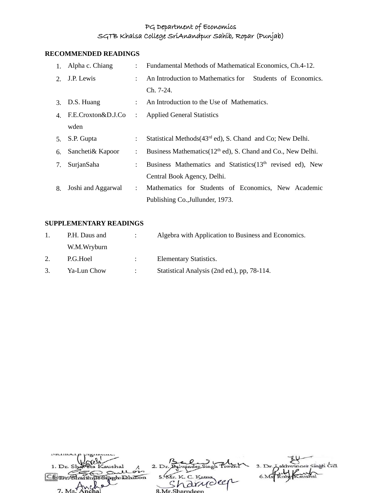# **RECOMMENDED READINGS**

|                | 1. Alpha c. Chiang | $\mathbf{L}$         | Fundamental Methods of Mathematical Economics, Ch.4-12.                  |  |  |
|----------------|--------------------|----------------------|--------------------------------------------------------------------------|--|--|
| 2.             | J.P. Lewis         | $\mathcal{L}$        | An Introduction to Mathematics for Students of Economics.                |  |  |
|                |                    |                      | Ch. 7-24.                                                                |  |  |
|                | 3. D.S. Huang      |                      | : An Introduction to the Use of Mathematics.                             |  |  |
| $\mathbf{4}$ . | F.E.Croxton&D.J.Co | $\ddot{\cdot}$       | <b>Applied General Statistics</b>                                        |  |  |
|                | wden               |                      |                                                                          |  |  |
|                | 5. S.P. Gupta      | $\ddot{\phantom{0}}$ | Statistical Methods (43 <sup>rd</sup> ed), S. Chand and Co; New Delhi.   |  |  |
| 6.             | Sancheti& Kapoor   | $\ddot{\cdot}$       | Business Mathematics (12 <sup>th</sup> ed), S. Chand and Co., New Delhi. |  |  |
| 7.             | SurjanSaha         | $\ddot{\cdot}$       | Business Mathematics and Statistics (13 <sup>th</sup> revised ed), New   |  |  |
|                |                    |                      | Central Book Agency, Delhi.                                              |  |  |
| 8.             | Joshi and Aggarwal | $\mathcal{L}$        | Mathematics for Students of Economics, New Academic                      |  |  |
|                |                    |                      | Publishing Co., Jullunder, 1973.                                         |  |  |

### **SUPPLEMENTARY READINGS**

| 1. | P.H. Daus and | Algebra with Application to Business and Economics. |
|----|---------------|-----------------------------------------------------|
|    | W.M.Wryburn   |                                                     |
| 2. | P.G.Hoel      | <b>Elementary Statistics.</b>                       |
| 3. | Ya-Lun Chow   | Statistical Analysis (2nd ed.), pp. 78-114.         |

| 1. Dr. Shareta Kaushal |                    | 3. Dr. Aakhwinger Singh Gill |
|------------------------|--------------------|------------------------------|
| Sullois                |                    |                              |
| n Sisch Dhillon        | 5. Mr. K. C. Katna |                              |
|                        | · <i>Irvoler</i>   |                              |
| $7 Me^{1/Nv}$          | 8 Mr Sharpdoon     |                              |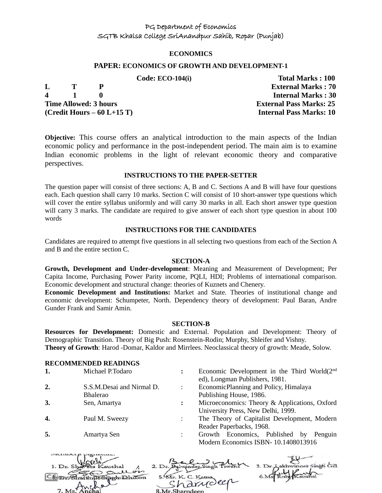#### **ECONOMICS**

#### **PAPER: ECONOMICS OF GROWTH AND DEVELOPMENT-1**

|             |              |                              | Code: $ECO-104(i)$ | <b>Total Marks : 100</b>       |
|-------------|--------------|------------------------------|--------------------|--------------------------------|
| L.          | $\mathbf{T}$ |                              |                    | <b>External Marks: 70</b>      |
| $\mathbf 4$ |              |                              |                    | <b>Internal Marks: 30</b>      |
|             |              | <b>Time Allowed: 3 hours</b> |                    | <b>External Pass Marks: 25</b> |
|             |              | $(Credit Hours - 60 L+15 T)$ |                    | <b>Internal Pass Marks: 10</b> |

**Objective:** This course offers an analytical introduction to the main aspects of the Indian economic policy and performance in the post-independent period. The main aim is to examine Indian economic problems in the light of relevant economic theory and comparative perspectives.

#### **INSTRUCTIONS TO THE PAPER-SETTER**

The question paper will consist of three sections: A, B and C. Sections A and B will have four questions each. Each question shall carry 10 marks. Section C will consist of 10 short-answer type questions which will cover the entire syllabus uniformly and will carry 30 marks in all. Each short answer type question will carry 3 marks. The candidate are required to give answer of each short type question in about 100 words

#### **INSTRUCTIONS FOR THE CANDIDATES**

Candidates are required to attempt five questions in all selecting two questions from each of the Section A and B and the entire section C.

#### **SECTION-A**

**Growth, Development and Under-development**: Meaning and Measurement of Development; Per Capita Income, Purchasing Power Parity income, PQLI, HDI; Problems of international comparison. Economic development and structural change: theories of Kuznets and Chenery.

**Economic Development and Institutions:** Market and State. Theories of institutional change and economic development: Schumpeter, North. Dependency theory of development: Paul Baran, Andre Gunder Frank and Samir Amin.

#### **SECTION-B**

**Resources for Development:** Domestic and External. Population and Development: Theory of Demographic Transition. Theory of Big Push: Rosenstein-Rodin; Murphy, Shleifer and Vishny. **Theory of Growth**: Harod -Domar, Kaldor and Mirrlees. Neoclassical theory of growth: Meade, Solow.

#### **RECOMMENDED READINGS**

**1.** Michael P.Todaro **:** Economic Development in the Third World(2<sup>nd</sup> ed), Longman Publishers, 1981. **2.** S.S.M.Desai and Nirmal D. Bhalerao : EconomicPlanning and Policy, Himalaya Publishing House, 1986. **3.** Sen, Amartya **:** Microeconomics: Theory & Applications, Oxford University Press, New Delhi, 1999. **4.** Paul M. Sweezy : The Theory of Capitalist Development, Modern Reader Paperbacks, 1968. **5.** Amartya Sen : Growth Economics, Published by Penguin Modern Economics ISBN- 10.1408013916

| 1. Dr. Shareta Kaushal                 |                    | 3. Dr. Aakhwinder Singh Gill |
|----------------------------------------|--------------------|------------------------------|
| Stil Sullon<br><b>In Singh Dhillon</b> | 5. Mr. K. C. Katna |                              |
| $\sim$                                 | 'a drudeer         |                              |
| 7. Ms. Anchal                          | 8. Mr. Sharndeen   |                              |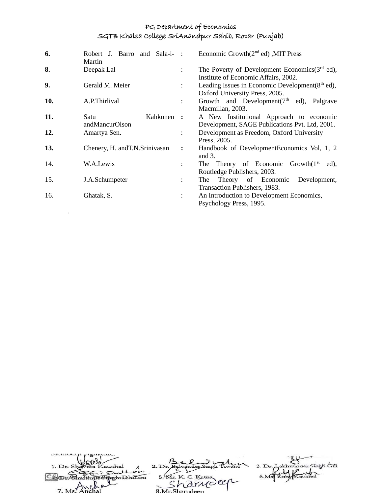| 6.  | Robert J. Barro and Sala-i- :<br>Martin |                      | Economic Growth $(2nd$ ed), MIT Press                                                      |
|-----|-----------------------------------------|----------------------|--------------------------------------------------------------------------------------------|
| 8.  | Deepak Lal                              | $\ddot{\cdot}$       | The Poverty of Development Economics $(3rd$ ed),<br>Institute of Economic Affairs, 2002.   |
| 9.  | Gerald M. Meier                         | $\ddot{\phantom{a}}$ | Leading Issues in Economic Development $(8th$ ed),<br>Oxford University Press, 2005.       |
| 10. | A.P.Thirlival                           | $\ddot{\phantom{0}}$ | Growth and Development( $7th$ ed),<br>Palgrave<br>Macmillan, 2003.                         |
| 11. | Kahkonen :<br>Satu<br>andMancurOlson    |                      | A New Institutional Approach to economic<br>Development, SAGE Publications Pvt. Ltd, 2001. |
| 12. | Amartya Sen.                            | $\ddot{\phantom{0}}$ | Development as Freedom, Oxford University<br>Press, 2005.                                  |
| 13. | Chenery, H. and T.N. Srinivasan         | $\ddot{\cdot}$       | Handbook of DevelopmentEconomics Vol, 1, 2<br>and 3.                                       |
| 14. | W.A.Lewis                               | $\ddot{\cdot}$       | The Theory of Economic Growth $(1st$ ed),<br>Routledge Publishers, 2003.                   |
| 15. | J.A.Schumpeter                          | $\ddot{\phantom{0}}$ | Theory of Economic<br>Development,<br>The<br>Transaction Publishers, 1983.                 |
| 16. | Ghatak, S.                              | $\ddot{\phantom{a}}$ | An Introduction to Development Economics,<br>Psychology Press, 1995.                       |

.

 $\overline{\phantom{a}}$ 

| 1. Dr. Shaveta Kaushal              |                    | 3. Dr. Lakhwinder Singh Gill |
|-------------------------------------|--------------------|------------------------------|
| An Sullon<br>Charthua Sinch Dhillon | 5. Mr. K. C. Katna |                              |
|                                     | in arriveer        |                              |
| 7 Ms Anche                          | 8 Mr Sharpdeen     |                              |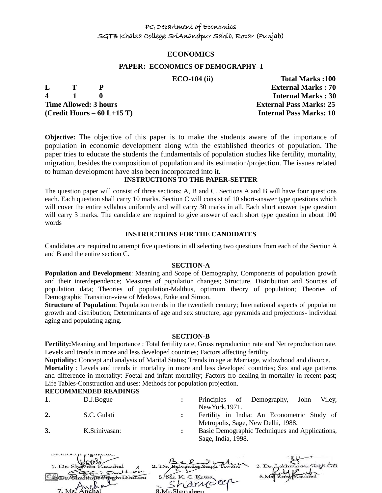#### **ECONOMICS**

#### **PAPER: ECONOMICS OF DEMOGRAPHY–I**

**4 1 0 Internal Marks : 30 Time Allowed: 3 hours External Pass Marks: 25 (Credit Hours – 60 L+15 T) Internal Pass Marks: 10**

 **ECO-104 (ii) Total Marks :100 L T P External Marks : 70**

**Objective:** The objective of this paper is to make the students aware of the importance of population in economic development along with the established theories of population. The paper tries to educate the students the fundamentals of population studies like fertility, mortality, migration, besides the composition of population and its estimation/projection. The issues related to human development have also been incorporated into it.

#### **INSTRUCTIONS TO THE PAPER-SETTER**

The question paper will consist of three sections: A, B and C. Sections A and B will have four questions each. Each question shall carry 10 marks. Section C will consist of 10 short-answer type questions which will cover the entire syllabus uniformly and will carry 30 marks in all. Each short answer type question will carry 3 marks. The candidate are required to give answer of each short type question in about 100 words

#### **INSTRUCTIONS FOR THE CANDIDATES**

Candidates are required to attempt five questions in all selecting two questions from each of the Section A and B and the entire section C.

#### **SECTION-A**

**Population and Development**: Meaning and Scope of Demography, Components of population growth and their interdependence; Measures of population changes; Structure, Distribution and Sources of population data; Theories of population-Malthus, optimum theory of population; Theories of Demographic Transition-view of Medows, Enke and Simon.

**Structure of Population**: Population trends in the twentieth century; International aspects of population growth and distribution; Determinants of age and sex structure; age pyramids and projections- individual aging and populating aging.

#### **SECTION-B**

**Fertility:**Meaning and Importance ; Total fertility rate, Gross reproduction rate and Net reproduction rate. Levels and trends in more and less developed countries; Factors affecting fertility.

**Nuptiality:** Concept and analysis of Marital Status; Trends in age at Marriage, widowhood and divorce.

**Mortality** : Levels and trends in mortality in more and less developed countries; Sex and age patterns and difference in mortality: Foetal and infant mortality; Factors fro dealing in mortality in recent past; Life Tables-Construction and uses: Methods for population projection.

## **RECOMMENDED READINGS**

- **1.** D.J.Bogue **:** Principles of Demography, John Viley, NewYork,1971.
- **2.** S.C. Gulati **:** Fertility in India: An Econometric Study of Metropolis, Sage, New Delhi, 1988.
- **3.** K.Srinivasan: **:** Basic Demographic Techniques and Applications, Sage, India, 1998.

| 1. Dr. Shaveta Kaushal        |                    | 3. Dr. Aakhwinder Singh Gill |
|-------------------------------|--------------------|------------------------------|
| Deullon                       | 5. Mr. K. C. Katna |                              |
| <b><i>osinghabahillon</i></b> | · arrioler         |                              |
| 7 Ms Anchal                   | 8 Mr Sharpdeen     |                              |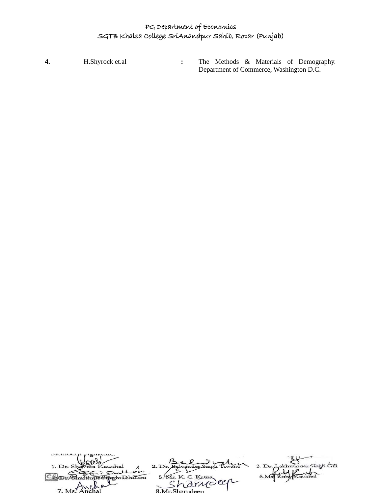**4.** H.Shyrock et.al **:** The Methods & Materials of Demography. Department of Commerce, Washington D.C.

| 1. Dr. Shaveta Kaushal |                    | 3. Dr. Lakhwinger Singh Gill |
|------------------------|--------------------|------------------------------|
| An Sullon              |                    |                              |
| Un Sinoh Dhillon       | 5. Mr. K. C. Katna |                              |
|                        | Arriolen           |                              |
| $7. Ms$ . Anchal       | 8. Mr. Sharndeen   |                              |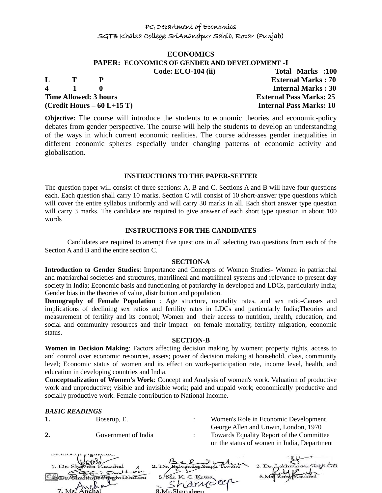# **ECONOMICS PAPER: ECONOMICS OF GENDER AND DEVELOPMENT -I**

**L T P External Marks : 70 4 1 0 Internal Marks : 30 Time Allowed: 3 hours External Pass Marks: 25 (Credit Hours – 60 L+15 T) Internal Pass Marks: 10**

 **Code: ECO-104 (ii) Total Marks :100** 

**Objective:** The course will introduce the students to economic theories and economic-policy debates from gender perspective. The course will help the students to develop an understanding of the ways in which current economic realities. The course addresses gender inequalities in different economic spheres especially under changing patterns of economic activity and globalisation.

#### **INSTRUCTIONS TO THE PAPER-SETTER**

The question paper will consist of three sections: A, B and C. Sections A and B will have four questions each. Each question shall carry 10 marks. Section C will consist of 10 short-answer type questions which will cover the entire syllabus uniformly and will carry 30 marks in all. Each short answer type question will carry 3 marks. The candidate are required to give answer of each short type question in about 100 words

#### **INSTRUCTIONS FOR THE CANDIDATES**

Candidates are required to attempt five questions in all selecting two questions from each of the Section A and B and the entire section C.

#### **SECTION-A**

**Introduction to Gender Studies**: Importance and Concepts of Women Studies- Women in patriarchal and matriarchal societies and structures, matrilineal and matrilineal systems and relevance to present day society in India; Economic basis and functioning of patriarchy in developed and LDCs, particularly India; Gender bias in the theories of value, distribution and population.

**Demography of Female Population** : Age structure, mortality rates, and sex ratio-Causes and implications of declining sex ratios and fertility rates in LDCs and particularly India;Theories and measurement of fertility and its control; Women and their access to nutrition, health, education, and social and community resources and their impact on female mortality, fertility migration, economic status.

#### **SECTION-B**

**Women in Decision Making**: Factors affecting decision making by women; property rights, access to and control over economic resources, assets; power of decision making at household, class, community level; Economic status of women and its effect on work-participation rate, income level, health, and education in developing countries and India.

**Conceptualization of Women's Work**: Concept and Analysis of women's work. Valuation of productive work and unproductive; visible and invisible work; paid and unpaid work; economically productive and socially productive work. Female contribution to National Income.

#### *BASIC READINGS*

| 1.                  | Boserup, E.         |                                                         |          | Women's Role in Economic Development,<br>George Allen and Unwin, London, 1970           |
|---------------------|---------------------|---------------------------------------------------------|----------|-----------------------------------------------------------------------------------------|
|                     | Government of India |                                                         |          | Towards Equality Report of the Committee<br>on the status of women in India, Department |
| 1. Dr. Sha<br>7. Ms | Outlos<br>Dhillon   | Balwinder Singh<br>5. Mr. K. C. Katna<br>8 Mr Sharndeen | harydeen | 3. Dr. Lakhwinger Singh Gill                                                            |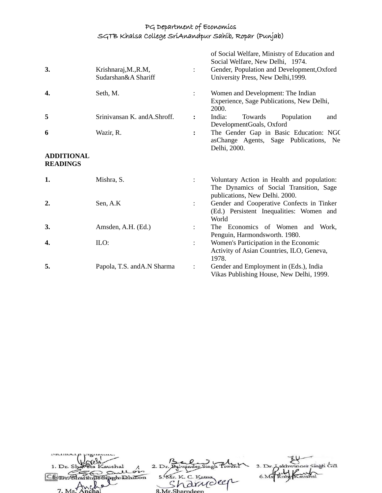| 3.                                   | Krishnaraj, M., R.M,<br>Sudarshan&A Shariff |                | of Social Welfare, Ministry of Education and<br>Social Welfare, New Delhi, 1974.<br>Gender, Population and Development, Oxford<br>University Press, New Delhi, 1999. |
|--------------------------------------|---------------------------------------------|----------------|----------------------------------------------------------------------------------------------------------------------------------------------------------------------|
| 4.                                   | Seth, M.                                    |                | Women and Development: The Indian<br>Experience, Sage Publications, New Delhi,<br>2000.                                                                              |
| 5                                    | Srinivansan K. and A. Shroff.               | $\ddot{\cdot}$ | India:<br>Towards<br>Population<br>and<br>DevelopmentGoals, Oxford                                                                                                   |
| 6                                    | Wazir, R.                                   |                | The Gender Gap in Basic Education: NGC<br>asChange Agents, Sage Publications, Ne<br>Delhi, 2000.                                                                     |
| <b>ADDITIONAL</b><br><b>READINGS</b> |                                             |                |                                                                                                                                                                      |
| 1.                                   | Mishra, S.                                  | $\ddot{\cdot}$ | Voluntary Action in Health and population:<br>The Dynamics of Social Transition, Sage<br>publications, New Delhi. 2000.                                              |
| 2.                                   | Sen, A.K                                    | $\ddot{\cdot}$ | Gender and Cooperative Confects in Tinker<br>(Ed.) Persistent Inequalities: Women and<br>World                                                                       |
| 3.                                   | Amsden, A.H. (Ed.)                          |                | The Economics of Women and Work,<br>Penguin, Harmondsworth. 1980.                                                                                                    |
| 4.                                   | ILO:                                        | $\ddot{\cdot}$ | Women's Participation in the Economic<br>Activity of Asian Countries, ILO, Geneva,<br>1978.                                                                          |
| 5.                                   | Papola, T.S. and A.N Sharma                 |                | Gender and Employment in (Eds.), India<br>Vikas Publishing House, New Delhi, 1999.                                                                                   |

| 1. Dr. Shaveta Kaushal  |                    | 3. Dr. Lakhwinger Singh Gill |
|-------------------------|--------------------|------------------------------|
| as sullon               |                    |                              |
| Shartinus Sinch Dhillon | 5. Mr. K. C. Katna |                              |
|                         | 'a drudeer         |                              |
| 7 M <sub>e</sub>        | 8 Mr Sharpdoon     |                              |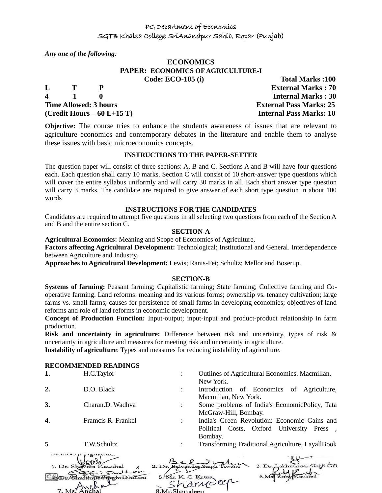*Any one of the following:*

### **ECONOMICS PAPER: ECONOMICS OF AGRICULTURE-I Code: ECO-105 (i)** Total Marks :100

**L T P External Marks : 70 4 1 0 Internal Marks : 30 Time Allowed: 3 hours External Pass Marks: 25 (Credit Hours – 60 L+15 T) Internal Pass Marks: 10**

**Objective:** The course tries to enhance the students awareness of issues that are relevant to agriculture economics and contemporary debates in the literature and enable them to analyse these issues with basic microeconomics concepts.

#### **INSTRUCTIONS TO THE PAPER-SETTER**

The question paper will consist of three sections: A, B and C. Sections A and B will have four questions each. Each question shall carry 10 marks. Section C will consist of 10 short-answer type questions which will cover the entire syllabus uniformly and will carry 30 marks in all. Each short answer type question will carry 3 marks. The candidate are required to give answer of each short type question in about 100 words

#### **INSTRUCTIONS FOR THE CANDIDATES**

Candidates are required to attempt five questions in all selecting two questions from each of the Section A and B and the entire section C.

#### **SECTION-A**

**Agricultural Economics:** Meaning and Scope of Economics of Agriculture,

**Factors affecting Agricultural Development:** Technological; Institutional and General. Interdependence between Agriculture and Industry.

**Approaches to Agricultural Development:** Lewis; Ranis-Fei; Schultz; Mellor and Boserup.

#### **SECTION-B**

**Systems of farming:** Peasant farming; Capitalistic farming; State farming; Collective farming and Cooperative farming. Land reforms: meaning and its various forms; ownership vs. tenancy cultivation; large farms vs. small farms; causes for persistence of small farms in developing economies; objectives of land reforms and role of land reforms in economic development.

**Concept of Production Function:** Input-output; input-input and product-product relationship in farm production.

**Risk and uncertainty in agriculture:** Difference between risk and uncertainty, types of risk & uncertainty in agriculture and measures for meeting risk and uncertainty in agriculture.

**Instability of agriculture**: Types and measures for reducing instability of agriculture.

#### **RECOMMENDED READINGS**

| 1. | H.C.Taylor         | Outlines of Agricultural Economics. Macmillan,<br>New York.                                          |
|----|--------------------|------------------------------------------------------------------------------------------------------|
| 2. | D.O. Black         | Introduction of Economics of Agriculture,<br>Macmillan, New York.                                    |
| 3. | Charan.D. Wadhva   | Some problems of India's EconomicPolicy, Tata<br>McGraw-Hill, Bombay.                                |
| 4. | Framcis R. Frankel | India's Green Revolution: Economic Gains and<br>Political Costs, Oxford University Press,<br>Bombay. |
| 5  | T.W.Schultz        | Transforming Traditional Agriculture, LayallBook                                                     |

| 1. Dr. Shaveta Kaushal |                    | 3. Dr. Lakhwinger Singh Gill |
|------------------------|--------------------|------------------------------|
| gullon                 |                    |                              |
| mitinus Singh Dhillon  | 5. Mr. K. C. Katna |                              |
|                        | 'a drudeer         |                              |
| 7. Ms. Anchal          | 8 Mr Sharndeen     |                              |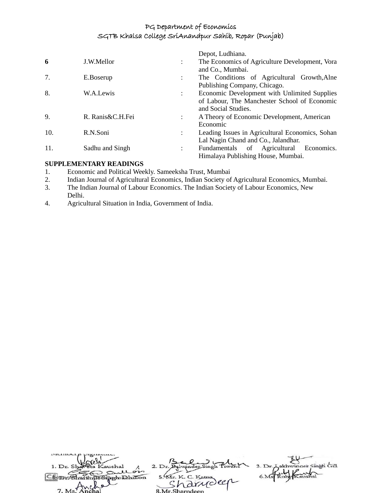|     |                  |                      | Depot, Ludhiana.                                |
|-----|------------------|----------------------|-------------------------------------------------|
| 6   | J.W.Mellor       | ٠                    | The Economics of Agriculture Development, Vora  |
|     |                  |                      | and Co., Mumbai.                                |
| 7.  | E.Boserup        |                      | The Conditions of Agricultural Growth, Alne     |
|     |                  |                      | Publishing Company, Chicago.                    |
| 8.  | W.A.Lewis        |                      | Economic Development with Unlimited Supplies    |
|     |                  |                      | of Labour, The Manchester School of Economic    |
|     |                  |                      | and Social Studies.                             |
| 9.  | R. Ranis&C.H.Fei |                      | A Theory of Economic Development, American      |
|     |                  |                      | Economic                                        |
| 10. | R.N.Soni         |                      | Leading Issues in Agricultural Economics, Sohan |
|     |                  |                      | Lal Nagin Chand and Co., Jalandhar.             |
| 11. | Sadhu and Singh  | $\ddot{\phantom{a}}$ | Fundamentals of Agricultural Economics.         |
|     |                  |                      | Himalaya Publishing House, Mumbai.              |

# **SUPPLEMENTARY READINGS**

- 1. Economic and Political Weekly. Sameeksha Trust, Mumbai
- 2. Indian Journal of Agricultural Economics, Indian Society of Agricultural Economics, Mumbai.
- 3. The Indian Journal of Labour Economics. The Indian Society of Labour Economics, New Delhi.
- 4. Agricultural Situation in India, Government of India.

| 1. Dr. Shaveta Kaushal        |                    | 3. Dr. Lakhwinder Singh Gill |
|-------------------------------|--------------------|------------------------------|
| as sull on<br>unSinghabhillon | 5. Mr. K. C. Katna |                              |
| 10 <sup>9</sup>               | arriveer           |                              |
| 7 Ms Anchal                   | 8 Mr Sharpdoon     |                              |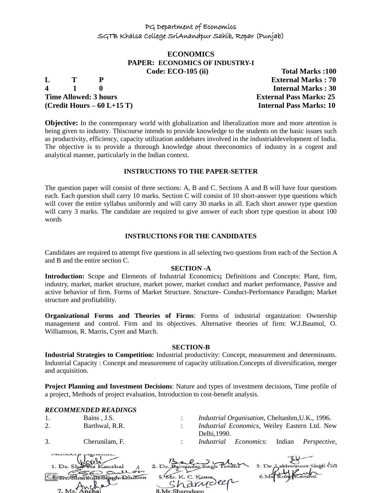#### **ECONOMICS PAPER: ECONOMICS OF INDUSTRY-I Code: ECO-105 (ii)** Total Marks :100

**4 1 0 Internal Marks : 30 Time Allowed: 3 hours External Pass Marks: 25 (Credit Hours – 60 L+15 T) Internal Pass Marks: 10**

**L T P External Marks : 70**

**Objective:** In the contemporary world with globalization and liberalization more and more attention is being given to industry. Thiscourse intends to provide knowledge to the students on the basic issues such as productivity, efficiency, capacity utilization anddebates involved in the industrialdevelopment of India. The objective is to provide a thorough knowledge about theeconomics of industry in a cogent and analytical manner, particularly in the Indian context.

#### **INSTRUCTIONS TO THE PAPER-SETTER**

The question paper will consist of three sections: A, B and C. Sections A and B will have four questions each. Each question shall carry 10 marks. Section C will consist of 10 short-answer type questions which will cover the entire syllabus uniformly and will carry 30 marks in all. Each short answer type question will carry 3 marks. The candidate are required to give answer of each short type question in about 100 words

#### **INSTRUCTIONS FOR THE CANDIDATES**

Candidates are required to attempt five questions in all selecting two questions from each of the Section A and B and the entire section C.

#### **SECTION -A**

**Introduction:** Scope and Elements of Industrial Economics**;** Definitions and Concepts: Plant, firm, industry, market, market structure, market power, market conduct and market performance, Passive and active behavior of firm. Forms of Market Structure. Structure- Conduct-Performance Paradigm; Market structure and profitability.

**Organizational Forms and Theories of Firms**: Forms of industrial organization: Ownership management and control. Firm and its objectives. Alternative theories of firm: W.J.Baumol, O. Williamson, R. Marris, Cyret and March.

#### **SECTION-B**

**Industrial Strategies to Competition:** Industrial productivity: Concept, measurement and determinants. Industrial Capacity : Concept and measurement of capacity utilization.Concepts of diversification, merger and acquisition.

**Project Planning and Investment Decisions**: Nature and types of investment decisions, Time profile of a project, Methods of project evaluation, Introduction to cost-benefit analysis.

#### *RECOMMENDED READINGS*

| 1. | Bains, J.S.    |             | <i>Industrial Organisation, Cheltanhm, U.K., 1996.</i>   |       |
|----|----------------|-------------|----------------------------------------------------------|-------|
|    | Barthwal, R.R. | Delhi.1990. | Industrial Economics, Weiley Eastern Ltd. New            |       |
| 3. | Cherunilam, F. |             | <i>Industrial Economics:</i> Indian <i>Perspective</i> , |       |
|    | $\frac{1}{2}$  |             |                                                          | $-11$ |

| $\tilde{\phantom{a}}$  |                    |                              |
|------------------------|--------------------|------------------------------|
| 1. Dr. Shareta Kaushal |                    | 3. Dr. Lakhwinder Singh Gill |
| the sull on            |                    |                              |
| Bharthus Singh Dhillon | 5. Mr. K. C. Katna |                              |
|                        | · harveler         |                              |
| 7. Ms. Anchal          | 8 Mr Sharndeen     |                              |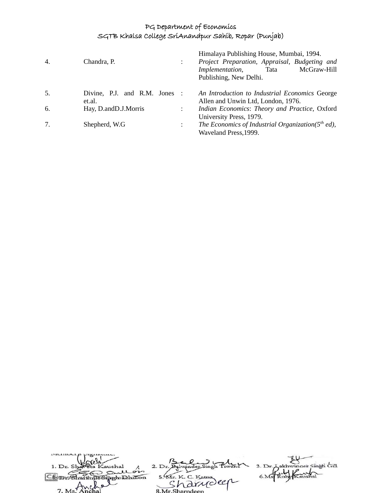| 4. | Chandra, P.                             |           | Himalaya Publishing House, Mumbai, 1994.<br>Project Preparation, Appraisal, Budgeting and<br>McGraw-Hill<br>Implementation,<br>Tata<br>Publishing, New Delhi. |
|----|-----------------------------------------|-----------|---------------------------------------------------------------------------------------------------------------------------------------------------------------|
| 5. | Divine, P.J. and R.M. Jones :<br>et.al. |           | An Introduction to Industrial Economics George<br>Allen and Unwin Ltd, London, 1976.                                                                          |
| 6. | Hay, D.andD.J.Morris                    | $\bullet$ | Indian Economics: Theory and Practice, Oxford<br>University Press, 1979.                                                                                      |
| 7. | Shepherd, W.G.                          |           | The Economics of Industrial Organization( $5th$ ed),<br>Waveland Press, 1999.                                                                                 |

| 1. Dr. Shaveta Kaushal                  |                    | 3. Dr. Lakhwinger Singh Gill |
|-----------------------------------------|--------------------|------------------------------|
| Sullois                                 |                    |                              |
| informala billon                        | 5. Mr. K. C. Katna |                              |
|                                         | · Arrioler         |                              |
| $1 \text{ Me}^{\frac{1}{2} \text{MeV}}$ |                    |                              |
|                                         | 8 Mr Sharpdeen     |                              |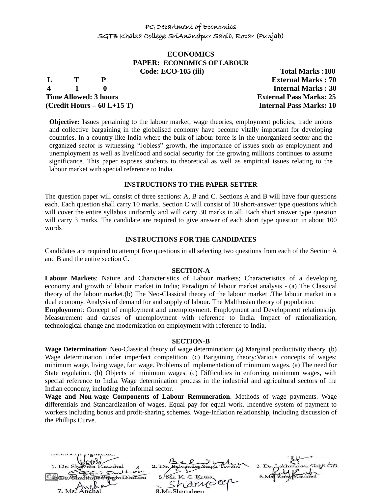#### **ECONOMICS PAPER: ECONOMICS OF LABOUR Code: ECO-105 (iii)** Total Marks :100

**4 1 0 Internal Marks : 30 Time Allowed: 3 hours External Pass Marks: 25 (Credit Hours – 60 L+15 T) Internal Pass Marks: 10**

**L T P External Marks : 70**

**Objective:** Issues pertaining to the labour market, wage theories, employment policies, trade unions and collective bargaining in the globalised economy have become vitally important for developing countries. In a country like India where the bulk of labour force is in the unorganized sector and the organized sector is witnessing "Jobless" growth, the importance of issues such as employment and unemployment as well as livelihood and social security for the growing millions continues to assume significance. This paper exposes students to theoretical as well as empirical issues relating to the labour market with special reference to India.

#### **INSTRUCTIONS TO THE PAPER-SETTER**

The question paper will consist of three sections: A, B and C. Sections A and B will have four questions each. Each question shall carry 10 marks. Section C will consist of 10 short-answer type questions which will cover the entire syllabus uniformly and will carry 30 marks in all. Each short answer type question will carry 3 marks. The candidate are required to give answer of each short type question in about 100 words

#### **INSTRUCTIONS FOR THE CANDIDATES**

Candidates are required to attempt five questions in all selecting two questions from each of the Section A and B and the entire section C.

#### **SECTION-A**

**Labour Markets**: Nature and Characteristics of Labour markets; Characteristics of a developing economy and growth of labour market in India; Paradigm of labour market analysis - (a) The Classical theory of the labour market.(b) The Neo-Classical theory of the labour market .The labour market in a dual economy. Analysis of demand for and supply of labour. The Malthusian theory of population.

**Employmen**t: Concept of employment and unemployment. Employment and Development relationship. Measurement and causes of unemployment with reference to India. Impact of rationalization, technological change and modernization on employment with reference to India.

#### **SECTION-B**

**Wage Determination**: Neo-Classical theory of wage determination: (a) Marginal productivity theory. (b) Wage determination under imperfect competition. (c) Bargaining theory:Various concepts of wages: minimum wage, living wage, fair wage. Problems of implementation of minimum wages. (a) The need for State regulation. (b) Objects of minimum wages. (c) Difficulties in enforcing minimum wages, with special reference to India. Wage determination process in the industrial and agricultural sectors of the Indian economy, including the informal sector.

**Wage and Non-wage Components of Labour Remuneration**. Methods of wage payments. Wage differentials and Standardization of wages. Equal pay for equal work. Incentive system of payment to workers including bonus and profit-sharing schemes. Wage-Inflation relationship, including discussion of the Phillips Curve.

Singh Gill  $2. D<sub>1</sub>$  $\mathbf{\hat{C}}$ To Sipph Dhillon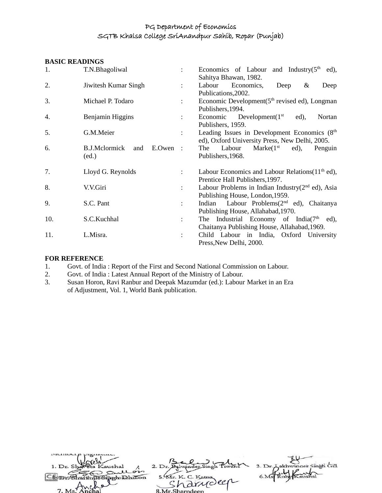#### **BASIC READINGS**

| 1.  | T.N.Bhagoliwal                             |                      | Economics of Labour and Industry $(5th$<br>ed),<br>Sahitya Bhawan, 1982.       |
|-----|--------------------------------------------|----------------------|--------------------------------------------------------------------------------|
| 2.  | Jiwitesh Kumar Singh                       | $\ddot{\phantom{0}}$ | Labour<br>Economics,<br>Deep<br>&<br>Deep                                      |
| 3.  | Michael P. Todaro                          |                      | Publications, 2002.                                                            |
|     |                                            | $\mathbf{L}$         | Economic Development(5 <sup>th</sup> revised ed), Longman<br>Publishers, 1994. |
| 4.  | Benjamin Higgins                           | $\mathbf{L}$         | Economic<br>Development $(1st)$<br>Nortan<br>$ed)$ ,                           |
|     |                                            |                      | Publishers, 1959.                                                              |
| 5.  | G.M.Meier                                  | ÷                    | Leading Issues in Development Economics (8 <sup>th</sup> )                     |
|     |                                            |                      | ed), Oxford University Press, New Delhi, 2005.                                 |
| 6.  | <b>B.J.Mclormick</b><br>$E. Owen$ :<br>and |                      | Marke $(1st$ ed),<br>Labour<br>The<br>Penguin                                  |
|     | (ed.)                                      |                      | Publishers, 1968.                                                              |
| 7.  | Lloyd G. Reynolds                          |                      | Labour Economics and Labour Relations $(11th$ ed),                             |
|     |                                            |                      | Prentice Hall Publishers, 1997.                                                |
| 8.  | V.V.Giri                                   | ÷                    | Labour Problems in Indian Industry $(2nd$ ed), Asia                            |
|     |                                            |                      | Publishing House, London, 1959.                                                |
| 9.  | S.C. Pant                                  | $\ddot{\phantom{0}}$ | Indian Labour Problems(2 <sup>nd</sup> ed), Chaitanya                          |
|     |                                            |                      | Publishing House, Allahabad, 1970.                                             |
| 10. | S.C.Kuchhal                                | $\ddot{\phantom{0}}$ | The Industrial Economy of India $(7th$ ed),                                    |
|     |                                            |                      | Chaitanya Publishing House, Allahabad, 1969.                                   |
| 11. | L.Misra.                                   |                      | Child Labour in India, Oxford University                                       |
|     |                                            |                      | Press, New Delhi, 2000.                                                        |

#### **FOR REFERENCE**

 $\overline{\phantom{a}}$ 

- 1. Govt. of India: Report of the First and Second National Commission on Labour.<br>2. Govt. of India: Latest Annual Report of the Ministry of Labour.
- 2. Govt. of India : Latest Annual Report of the Ministry of Labour.<br>3. Susan Horon, Ravi Ranbur and Deepak Mazumdar (ed.): Labour
- Susan Horon, Ravi Ranbur and Deepak Mazumdar (ed.): Labour Market in an Era of Adjustment, Vol. 1, World Bank publication.

| 1. Dr. Shareta Kaushal           |                    | 3. Dr. Lakhwinger Singh Gill |
|----------------------------------|--------------------|------------------------------|
| conton<br>Shwithun Sinch Dhillon | 5. Mr. K. C. Katna |                              |
|                                  | rannoler           |                              |
| 7 Ms Anche                       | 8 Mr Sharpdeen     |                              |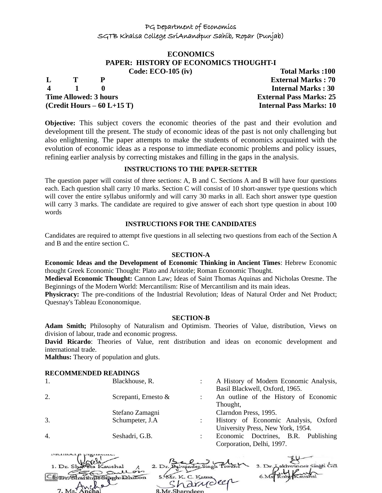# **ECONOMICS PAPER: HISTORY OF ECONOMICS THOUGHT-I**

**L T P External Marks : 70 4 1 0 Internal Marks : 30 Time Allowed: 3 hours External Pass Marks: 25 (Credit Hours – 60 L+15 T) Internal Pass Marks: 10**

**Code: ECO-105 (iv)** Total Marks :100

**Objective:** This subject covers the economic theories of the past and their evolution and development till the present. The study of economic ideas of the past is not only challenging but also enlightening. The paper attempts to make the students of economics acquainted with the evolution of economic ideas as a response to immediate economic problems and policy issues, refining earlier analysis by correcting mistakes and filling in the gaps in the analysis.

### **INSTRUCTIONS TO THE PAPER-SETTER**

The question paper will consist of three sections: A, B and C. Sections A and B will have four questions each. Each question shall carry 10 marks. Section C will consist of 10 short-answer type questions which will cover the entire syllabus uniformly and will carry 30 marks in all. Each short answer type question will carry 3 marks. The candidate are required to give answer of each short type question in about 100 words

#### **INSTRUCTIONS FOR THE CANDIDATES**

Candidates are required to attempt five questions in all selecting two questions from each of the Section A and B and the entire section C.

#### **SECTION-A**

**Economic Ideas and the Development of Economic Thinking in Ancient Times**: Hebrew Economic thought Greek Economic Thought: Plato and Aristotle; Roman Economic Thought.

**Medieval Economic Thought:** Cannon Law; Ideas of Saint Thomas Aquinas and Nicholas Oresme. The Beginnings of the Modern World: Mercantilism: Rise of Mercantilism and its main ideas.

**Physicracy:** The pre-conditions of the Industrial Revolution; Ideas of Natural Order and Net Product; Quesnay's Tableau Econonomique.

#### **SECTION-B**

**Adam Smith;** Philosophy of Naturalism and Optimism. Theories of Value, distribution, Views on division of labour, trade and economic progress.

**David Ricardo**: Theories of Value, rent distribution and ideas on economic development and international trade.

**Malthus:** Theory of population and gluts.

#### **RECOMMENDED READINGS**

| КЕСОММЕНИЕВ КЕАРНУЮ |                      |                                        |
|---------------------|----------------------|----------------------------------------|
| 1.                  | Blackhouse, R.       | A History of Modern Economic Analysis, |
|                     |                      | Basil Blackwell, Oxford, 1965.         |
| 2.                  | Screpanti, Ernesto & | An outline of the History of Economic  |
|                     |                      | Thought,                               |
|                     | Stefano Zamagni      | Clarndon Press, 1995.                  |
| 3.                  | Schumpeter, J.A.     | History of Economic Analysis, Oxford   |
|                     |                      | University Press, New York, 1954.      |
| $\overline{4}$ .    | Seshadri, G.B.       | Economic Doctrines, B.R. Publishing    |
|                     |                      | Corporation, Delhi, 1997.              |
|                     |                      |                                        |

| 1. Dr. Shareta Kaushal |                    | 3. Dr. Aakhwinder Singh Gill |
|------------------------|--------------------|------------------------------|
| Sullois<br>$\sim$      |                    |                              |
| Ho Singh Dhillon       | 5. Mr. K. C. Katna |                              |
| $\sim$                 | rarydeer           |                              |
| $1 \text{Ms}^2$        | 8 Mr Sharndeen     |                              |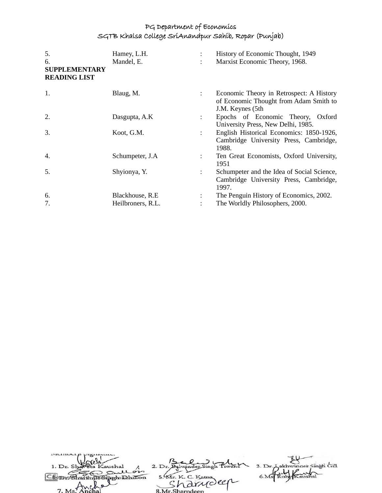| 5.<br>6.<br><b>SUPPLEMENTARY</b><br><b>READING LIST</b> | Hamey, L.H.<br>Mandel, E. |                      | History of Economic Thought, 1949<br>Marxist Economic Theory, 1968.                                     |
|---------------------------------------------------------|---------------------------|----------------------|---------------------------------------------------------------------------------------------------------|
| 1.                                                      | Blaug, M.                 | $\ddot{\phantom{0}}$ | Economic Theory in Retrospect: A History<br>of Economic Thought from Adam Smith to<br>J.M. Keynes (5th) |
| 2.                                                      | Dasgupta, A.K.            | $\ddot{\phantom{a}}$ | Epochs of Economic Theory, Oxford<br>University Press, New Delhi, 1985.                                 |
| 3.                                                      | Koot, G.M.                | $\ddot{\phantom{a}}$ | English Historical Economics: 1850-1926,<br>Cambridge University Press, Cambridge,<br>1988.             |
| $\overline{4}$ .                                        | Schumpeter, J.A.          |                      | Ten Great Economists, Oxford University,<br>1951                                                        |
| 5.                                                      | Shyionya, Y.              | $\ddot{\phantom{a}}$ | Schumpeter and the Idea of Social Science,<br>Cambridge University Press, Cambridge,<br>1997.           |
| 6.                                                      | Blackhouse, R.E.          |                      | The Penguin History of Economics, 2002.                                                                 |
| 7.                                                      | Heilbroners, R.L.         |                      | The Worldly Philosophers, 2000.                                                                         |

| 1. Dr. Shaveta Kaushal |                    | 3. Dr. Lakhwinger Singh Gill |
|------------------------|--------------------|------------------------------|
| Sullon                 |                    |                              |
| Un Singeholdhillon     | 5. Mr. K. C. Katna |                              |
| $\sim$                 | rarroller          |                              |
| $7. M_s$ Anchal        | 8 Mr Sharndeen     |                              |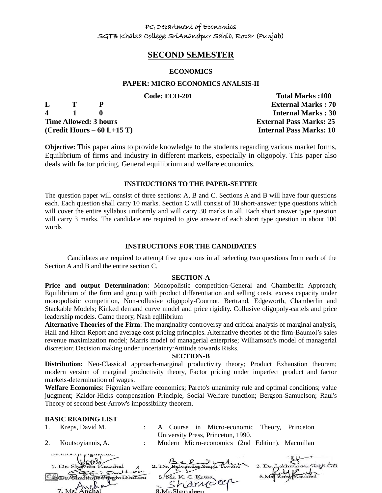## **SECOND SEMESTER**

#### **ECONOMICS**

#### **PAPER: MICRO ECONOMICS ANALSIS-II**

|             |              |                              | Code: ECO-201 | <b>Total Marks:100</b>         |
|-------------|--------------|------------------------------|---------------|--------------------------------|
| L           | $\mathbf{T}$ |                              |               | <b>External Marks: 70</b>      |
| $\mathbf 4$ | $\mathbf{1}$ |                              |               | <b>Internal Marks: 30</b>      |
|             |              | <b>Time Allowed: 3 hours</b> |               | <b>External Pass Marks: 25</b> |
|             |              | $(Credit Hours - 60 L+15 T)$ |               | <b>Internal Pass Marks: 10</b> |

**Objective:** This paper aims to provide knowledge to the students regarding various market forms, Equilibrium of firms and industry in different markets, especially in oligopoly. This paper also deals with factor pricing, General equilibrium and welfare economics.

#### **INSTRUCTIONS TO THE PAPER-SETTER**

The question paper will consist of three sections: A, B and C. Sections A and B will have four questions each. Each question shall carry 10 marks. Section C will consist of 10 short-answer type questions which will cover the entire syllabus uniformly and will carry 30 marks in all. Each short answer type question will carry 3 marks. The candidate are required to give answer of each short type question in about 100 words

#### **INSTRUCTIONS FOR THE CANDIDATES**

Candidates are required to attempt five questions in all selecting two questions from each of the Section A and B and the entire section C.

#### **SECTION-A**

**Price and output Determination**: Monopolistic competition-General and Chamberlin Approach; Equilibrium of the firm and group with product differentiation and selling costs, excess capacity under monopolistic competition, Non-collusive oligopoly-Cournot, Bertrand, Edgeworth, Chamberlin and Stackable Models; Kinked demand curve model and price rigidity. Collusive oligopoly-cartels and price leadership models. Game theory, Nash eqillibrium

**Alternative Theories of the Firm**: The marginality controversy and critical analysis of marginal analysis, Hall and Hitch Report and average cost pricing principles. Alternative theories of the firm-Baumol's sales revenue maximization model; Marris model of managerial enterprise; Williamson's model of managerial discretion; Decision making under uncertainty:Attitude towards Risks.

#### **SECTION-B**

**Distribution:** Neo-Classical approach-marginal productivity theory; Product Exhaustion theorem; modern version of marginal productivity theory, Factor pricing under imperfect product and factor markets-determination of wages.

**Welfare Economics**: Pigouian welfare economics; Pareto's unanimity rule and optimal conditions; value judgment; Kaldor-Hicks compensation Principle, Social Welfare function; Bergson-Samuelson; Raul's Theory of second best-Arrow's impossibility theorem.

#### **BASIC READING LIST**

| Kreps, David M.      |  |                                    |  | : A Course in Micro-economic Theory, Princeton  |  |
|----------------------|--|------------------------------------|--|-------------------------------------------------|--|
|                      |  | University Press, Princeton, 1990. |  |                                                 |  |
| 2. Koutsoyiannis, A. |  |                                    |  | Modern Micro-economics (2nd Edition). Macmillan |  |

| mennocrp promotive.                 |                    |                              |
|-------------------------------------|--------------------|------------------------------|
|                                     |                    |                              |
| 1. Dr. Shareta Kaushal              |                    | 3. Dr. Lakhwinger Singh Gill |
| gullois                             |                    |                              |
| <b>EDIO Shartinus Singh Dhillon</b> | 5. Mr. K. C. Katna |                              |
|                                     | 'a drudeer         |                              |
|                                     |                    |                              |
| 7. Ms. Anchal                       | 8. Mr. Sharndeen   |                              |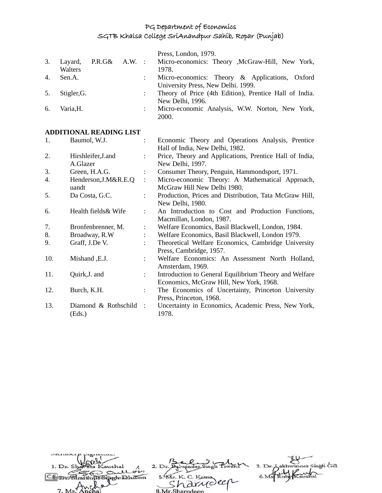|    |             |                 |                           | Press, London, 1979.                                   |
|----|-------------|-----------------|---------------------------|--------------------------------------------------------|
| 3. | Layard,     | $P.R.G& A.W.$ : |                           | Micro-economics: Theory , McGraw-Hill, New York,       |
|    | Walters     |                 |                           | 1978.                                                  |
| 4. | Sen.A.      |                 |                           | Micro-economics: Theory & Applications, Oxford         |
|    |             |                 |                           | University Press, New Delhi. 1999.                     |
| 5. | Stigler, G. |                 |                           | Theory of Price (4th Edition), Prentice Hall of India. |
|    |             |                 |                           | New Delhi, 1996.                                       |
| 6. | Varia.H.    |                 | $\mathbb{R}^{\mathbb{Z}}$ | Micro-economic Analysis, W.W. Norton, New York,        |
|    |             |                 |                           | 2000.                                                  |

# **ADDITIONAL READING LIST**<br>1. Baumol, W.J.

|     | ADDI HONAL NEADHN LIOT          |                      |                                                                                                   |
|-----|---------------------------------|----------------------|---------------------------------------------------------------------------------------------------|
| 1.  | Baumol, W.J.                    |                      | Economic Theory and Operations Analysis, Prentice<br>Hall of India, New Delhi, 1982.              |
| 2.  | Hirshleifer, J. and<br>A.Glazer | $\ddot{\phantom{a}}$ | Price, Theory and Applications, Prentice Hall of India,<br>New Delhi, 1997.                       |
| 3.  | Green, H.A.G.                   | $\ddot{\cdot}$       | Consumer Theory, Penguin, Hammondsport, 1971.                                                     |
| 4.  | Henderson, J. M&R.E.Q<br>uandt  | $\ddot{\cdot}$       | Micro-economic Theory: A Mathematical Approach,<br>McGraw Hill New Delhi 1980.                    |
| 5.  | Da Costa, G.C.                  | $\ddot{\phantom{a}}$ | Production, Prices and Distribution, Tata McGraw Hill,<br>New Delhi, 1980.                        |
| 6.  | Health fields & Wife            | $\ddot{\cdot}$       | An Introduction to Cost and Production Functions,<br>Macmillan, London, 1987.                     |
| 7.  | Bronfenbrenner, M.              | $\ddot{\cdot}$       | Welfare Economics, Basil Blackwell, London, 1984.                                                 |
| 8.  | Broadway, R.W                   |                      | Welfare Economics, Basil Blackwell, London 1979.                                                  |
| 9.  | Graff, J.De V.                  | $\ddot{\cdot}$       | Theoretical Welfare Economics, Cambridge University<br>Press, Cambridge, 1957.                    |
| 10. | Mishand, E.J.                   | ÷                    | Welfare Economics: An Assessment North Holland,<br>Amsterdam, 1969.                               |
| 11. | Quirk, J. and                   | $\ddot{\phantom{a}}$ | Introduction to General Equilibrium Theory and Welfare<br>Economics, McGraw Hill, New York, 1968. |
| 12. | Burch, K.H.                     | $\ddot{\cdot}$       | The Economics of Uncertainty, Princeton University<br>Press, Princeton, 1968.                     |
| 13. | Diamond & Rothschild<br>(Eds.)  | $\mathbf{r}$         | Uncertainty in Economics, Academic Press, New York,<br>1978.                                      |

| 1. Dr. Shaveta Kaushal<br>Sullon |                             | 3. Dr. Aakhwinger Singh Gill |
|----------------------------------|-----------------------------|------------------------------|
| <b>UnSimen Dhillon</b>           | 5. Mr. K. C. Katna          |                              |
| 7. Ms. Anchal                    | · drudeer<br>8 Mr Sharndeen |                              |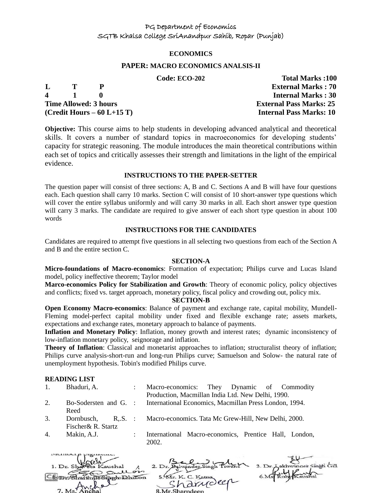#### **ECONOMICS**

#### **PAPER: MACRO ECONOMICS ANALSIS-II**

#### **Code: ECO-202 Total Marks :100**

| L | $\mathbf{T}$  |                              | <b>External Marks: 70</b>      |
|---|---------------|------------------------------|--------------------------------|
|   | $\frac{1}{1}$ |                              | <b>Internal Marks: 30</b>      |
|   |               | <b>Time Allowed: 3 hours</b> | <b>External Pass Marks: 25</b> |
|   |               | (Credit Hours $-60$ L+15 T)  | <b>Internal Pass Marks: 10</b> |
|   |               |                              |                                |

**Objective:** This course aims to help students in developing advanced analytical and theoretical skills. It covers a number of standard topics in macroeconomics for developing students' capacity for strategic reasoning. The module introduces the main theoretical contributions within each set of topics and critically assesses their strength and limitations in the light of the empirical evidence.

#### **INSTRUCTIONS TO THE PAPER-SETTER**

The question paper will consist of three sections: A, B and C. Sections A and B will have four questions each. Each question shall carry 10 marks. Section C will consist of 10 short-answer type questions which will cover the entire syllabus uniformly and will carry 30 marks in all. Each short answer type question will carry 3 marks. The candidate are required to give answer of each short type question in about 100 words

### **INSTRUCTIONS FOR THE CANDIDATES**

Candidates are required to attempt five questions in all selecting two questions from each of the Section A and B and the entire section C.

#### **SECTION-A**

**Micro-foundations of Macro-economics**: Formation of expectation; Philips curve and Lucas Island model, policy ineffective theorem; Taylor model

**Marco-economics Policy for Stabilization and Growth**: Theory of economic policy, policy objectives and conflicts; fixed vs. target approach, monetary policy, fiscal policy and crowding out, policy mix.

#### **SECTION-B**

**Open Economy Macro-economics**: Balance of payment and exchange rate, capital mobility, Mundell-Fleming model-perfect capital mobility under fixed and flexible exchange rate; assets markets, expectations and exchange rates, monetary approach to balance of payments.

**Inflation and Monetary Policy**: Inflation, money growth and interest rates; dynamic inconsistency of low-inflation monetary policy, seignorage and inflation.

**Theory of Inflation**: Classical and monetarist approaches to inflation; structuralist theory of inflation; Philips curve analysis-short-run and long-run Philips curve; Samuelson and Solow- the natural rate of unemployment hypothesis. Tobin's modified Philips curve.

#### **READING LIST**

- 1. Bhaduri, A. : Macro-economics: They Dynamic of Commodity Production, Macmillan India Ltd. New Delhi, 1990. 2. Bo-Sodersten and G. : International Economics, Macmillan Press London, 1994.
- Reed 3. Dornbusch, R,.S.
- Macro-economics. Tata Mc Grew-Hill, New Delhi, 2000.
- Fischer& R. Startz

manner p pignama.

4. Makin, A.J. : International Macro-economics, Prentice Hall, London, 2002.

**Contract Contract** 

| 1. Dr. Shareta Kaushal |                    | 3. Dr. Lakhwinger Singh Gill |
|------------------------|--------------------|------------------------------|
| An Sullon              |                    |                              |
| To Singh Dhillon       | 5. Mr. K. C. Katna |                              |
|                        | 'harvoler          |                              |
| $Ms$ Anchal            |                    |                              |
|                        | 8 Mr Sharpdoon     |                              |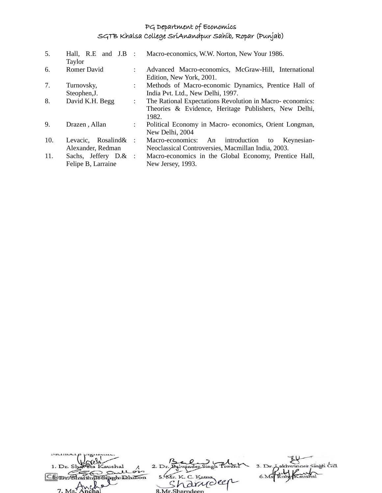| 5.  | Hall, R.E and J.B :<br>Taylor |                           | Macro-economics, W.W. Norton, New Your 1986.               |
|-----|-------------------------------|---------------------------|------------------------------------------------------------|
| 6.  | Romer David                   | $\mathbb{R}^n$            | Advanced Macro-economics, McGraw-Hill, International       |
|     |                               |                           | Edition, New York, 2001.                                   |
| 7.  | Turnovsky,                    | $\mathcal{L}$             | Methods of Macro-economic Dynamics, Prentice Hall of       |
|     | Steophen, J.                  |                           | India Pvt. Ltd., New Delhi, 1997.                          |
| 8.  | David K.H. Begg               | $\ddot{\phantom{a}}$      | The Rational Expectations Revolution in Macro-economics:   |
|     |                               |                           | Theories & Evidence, Heritage Publishers, New Delhi,       |
|     |                               |                           | 1982.                                                      |
| 9.  | Drazen, Allan                 | $\mathbb{Z}^{\mathbb{Z}}$ | Political Economy in Macro-economics, Orient Longman,      |
|     |                               |                           | New Delhi, 2004                                            |
| 10. | Rosalind&<br>Levacic,         | $\cdot$ :                 | introduction<br>Macro-economics:<br>An<br>Keynesian-<br>to |
|     | Alexander, Redman             |                           | Neoclassical Controversies, Macmillan India, 2003.         |
| 11. | Sachs, Jeffery D.& :          |                           | Macro-economics in the Global Economy, Prentice Hall,      |
|     | Felipe B, Larraine            |                           | New Jersey, 1993.                                          |

| 1. Dr. Shaveta Kaushal |                    | 3. Dr. Lakhwinger Singh Gill |
|------------------------|--------------------|------------------------------|
| as sull on             |                    |                              |
| in Singh Dhillon       | 5. Mr. K. C. Katna |                              |
|                        | arrideer           |                              |
| 7 M <sub>s</sub>       | 2 Mr Charpdoon     |                              |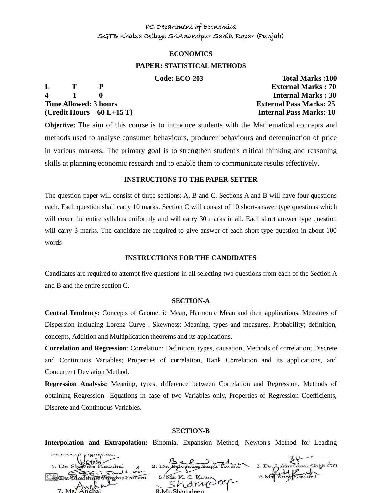#### **ECONOMICS**

#### **PAPER: STATISTICAL METHODS**

**4 1 0 Internal Marks : 30 Time Allowed: 3 hours External Pass Marks: 25 (Credit Hours – 60 L+15 T) Internal Pass Marks: 10**

 **Code: ECO-203 Total Marks :100 L T P External Marks : 70**

**Objective:** The aim of this course is to introduce students with the Mathematical concepts and methods used to analyse consumer behaviours, producer behaviours and determination of price in various markets. The primary goal is to strengthen student's critical thinking and reasoning skills at planning economic research and to enable them to communicate results effectively.

#### **INSTRUCTIONS TO THE PAPER-SETTER**

The question paper will consist of three sections: A, B and C. Sections A and B will have four questions each. Each question shall carry 10 marks. Section C will consist of 10 short-answer type questions which will cover the entire syllabus uniformly and will carry 30 marks in all. Each short answer type question will carry 3 marks. The candidate are required to give answer of each short type question in about 100 words

#### **INSTRUCTIONS FOR THE CANDIDATES**

Candidates are required to attempt five questions in all selecting two questions from each of the Section A and B and the entire section C.

#### **SECTION-A**

**Central Tendency:** Concepts of Geometric Mean, Harmonic Mean and their applications, Measures of Dispersion including Lorenz Curve . Skewness: Meaning, types and measures. Probability; definition, concepts, Addition and Multiplication theorems and its applications.

**Correlation and Regression**: Correlation: Definition, types, causation, Methods of correlation; Discrete and Continuous Variables; Properties of correlation, Rank Correlation and its applications, and Concurrent Deviation Method.

**Regression Analysis:** Meaning, types, difference between Correlation and Regression, Methods of obtaining Regression Equations in case of two Variables only, Properties of Regression Coefficients, Discrete and Continuous Variables.

#### **SECTION-B**

**Interpolation and Extrapolation:** Binomial Expansion Method, Newton's Method for Leading

| 1. Dr. Shareta Kaushal |                    | 3. Dr. Aakhwinder Singh Gill |
|------------------------|--------------------|------------------------------|
| Sullois                |                    |                              |
| Sharinus Singh Dhillon | 5. Mr. K. C. Katna |                              |
| 7 Motmcha              | · arrioler         |                              |
|                        | 2 Mr Sharpdoon     |                              |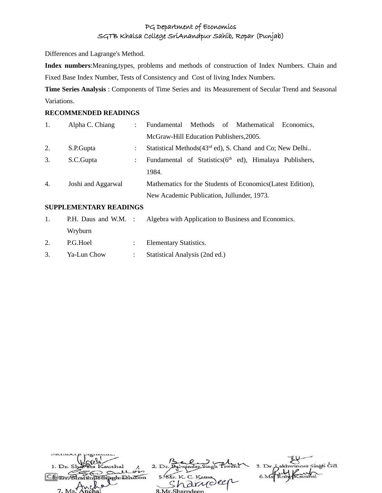Differences and Lagrange's Method.

**Index numbers**:Meaning,types, problems and methods of construction of Index Numbers. Chain and Fixed Base Index Number, Tests of Consistency and Cost of living Index Numbers.

**Time Series Analysis** : Components of Time Series and its Measurement of Secular Trend and Seasonal Variations.

### **RECOMMENDED READINGS**

| 1. | Alpha C. Chiang    | Fundamental Methods of Mathematical<br>Economics.                     |
|----|--------------------|-----------------------------------------------------------------------|
|    |                    | McGraw-Hill Education Publishers, 2005.                               |
| 2. | S.P.Gupta          | Statistical Methods (43 <sup>rd</sup> ed), S. Chand and Co; New Delhi |
| 3. | S.C.Gupta          | Fundamental of Statistics( $6th$ ed), Himalaya Publishers,            |
|    |                    | 1984.                                                                 |
| 4. | Joshi and Aggarwal | Mathematics for the Students of Economics (Latest Edition),           |
|    |                    | New Academic Publication, Jullunder, 1973.                            |
|    |                    |                                                                       |

## **SUPPLEMENTARY READINGS**

| $\mathbf{1}$ . |             | P.H. Daus and W.M. : Algebra with Application to Business and Economics. |
|----------------|-------------|--------------------------------------------------------------------------|
|                | Wryburn     |                                                                          |
| 2.             | P.G.Hoel    | : Elementary Statistics.                                                 |
| 3.             | Ya-Lun Chow | : Statistical Analysis (2nd ed.)                                         |

| 1. Dr. Shareta Kaushal                |                    | 3. Dr. Lakhwinger Singh Gill |
|---------------------------------------|--------------------|------------------------------|
| gullon<br>in Singholahillon           | 5. Mr. K. C. Katna |                              |
| $7 M e$ <sup><math>7 M W</math></sup> | · Arrioler         |                              |
|                                       | 8 Mr Sharpdeen     |                              |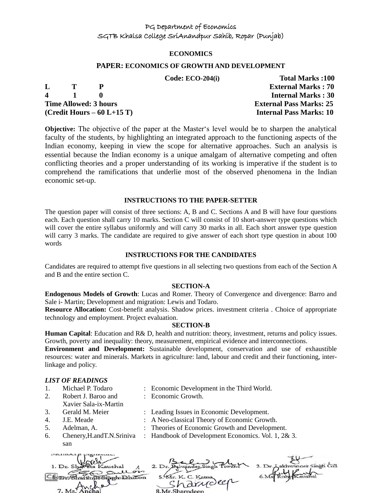#### **ECONOMICS**

#### **PAPER: ECONOMICS OF GROWTH AND DEVELOPMENT**

|                |              |                              | Code: $ECO-204(i)$ | <b>Total Marks:100</b>         |
|----------------|--------------|------------------------------|--------------------|--------------------------------|
| L              | $\mathbf{T}$ |                              |                    | <b>External Marks: 70</b>      |
| $\overline{4}$ | $\mathbf{1}$ |                              |                    | <b>Internal Marks: 30</b>      |
|                |              | <b>Time Allowed: 3 hours</b> |                    | <b>External Pass Marks: 25</b> |
|                |              | $(Credit Hours - 60 L+15 T)$ |                    | <b>Internal Pass Marks: 10</b> |

**Objective:** The objective of the paper at the Master's level would be to sharpen the analytical faculty of the students, by highlighting an integrated approach to the functioning aspects of the Indian economy, keeping in view the scope for alternative approaches. Such an analysis is essential because the Indian economy is a unique amalgam of alternative competing and often conflicting theories and a proper understanding of its working is imperative if the student is to comprehend the ramifications that underlie most of the observed phenomena in the Indian economic set-up.

#### **INSTRUCTIONS TO THE PAPER-SETTER**

The question paper will consist of three sections: A, B and C. Sections A and B will have four questions each. Each question shall carry 10 marks. Section C will consist of 10 short-answer type questions which will cover the entire syllabus uniformly and will carry 30 marks in all. Each short answer type question will carry 3 marks. The candidate are required to give answer of each short type question in about 100 words

#### **INSTRUCTIONS FOR THE CANDIDATES**

Candidates are required to attempt five questions in all selecting two questions from each of the Section A and B and the entire section C.

#### **SECTION-A**

**Endogenous Models of Growth**: Lucas and Romer. Theory of Convergence and divergence: Barro and Sale i- Martin; Development and migration: Lewis and Todaro.

**Resource Allocation:** Cost-benefit analysis. Shadow prices. investment criteria . Choice of appropriate technology and employment. Project evaluation.

#### **SECTION-B**

**Human Capital**: Education and R& D, health and nutrition: theory, investment, returns and policy issues. Growth, poverty and inequality: theory, measurement, empirical evidence and interconnections.

**Environment and Development:** Sustainable development, conservation and use of exhaustible resources: water and minerals. Markets in agriculture: land, labour and credit and their functioning, interlinkage and policy.

#### *LIST OF READINGS*

- 
- 2. Robert J. Baroo and
- Xavier Sala-ix-Martin
- 
- 
- 
- san
- 1. Michael P. Todaro : Economic Development in the Third World.
	-
- : Economic Growth.
- 3. Gerald M. Meier : Leading Issues in Economic Development.
- 4. J.E. Meade : A Neo-classical Theory of Economic Growth.
- 5. Adelman, A. : Theories of Economic Growth and Development.
- 6. Chenery,H.andT.N.Sriniva : Handbook of Development Economics. Vol. 1, 2& 3.

| 1. Dr. Shareta Kaushal |                                 | 3. Dr. Lakhwinger Singh Gill |
|------------------------|---------------------------------|------------------------------|
| as sullois             |                                 |                              |
| In Simoh Dhillon       | 5. Mr. K. C. Katna<br>· drudeer |                              |
| $-9$<br>7 Ms Anchal    |                                 |                              |
|                        | 8 Mr Sharpdeen                  |                              |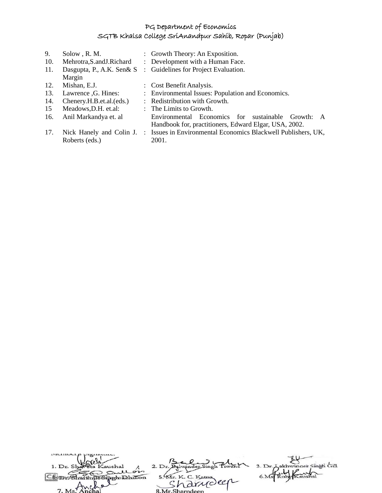| 9.  | Solow, R. M.                |           | : Growth Theory: An Exposition.                             |
|-----|-----------------------------|-----------|-------------------------------------------------------------|
| 10. | Mehrotra, S. and J. Richard |           | : Development with a Human Face.                            |
| 11. | Dasgupta, P., A.K. Sen& S   |           | : Guidelines for Project Evaluation.                        |
|     | Margin                      |           |                                                             |
| 12. | Mishan, E.J.                |           | : Cost Benefit Analysis.                                    |
| 13. | Lawrence , G. Hines:        |           | : Environmental Issues: Population and Economics.           |
| 14. | Chenery.H.B.et.al.(eds.)    |           | : Redistribution with Growth.                               |
| 15  | Meadows, D.H. et.al:        |           | : The Limits to Growth.                                     |
| 16. | Anil Markandya et. al       |           | Environmental Economics for sustainable Growth:<br>A        |
|     |                             |           | Handbook for, practitioners, Edward Elgar, USA, 2002.       |
| 17. | Nick Hanely and Colin J.    | $\cdot$ . | Issues in Environmental Economics Blackwell Publishers, UK, |
|     | Roberts (eds.)              |           | 2001.                                                       |
|     |                             |           |                                                             |

| 1. Dr. Shaveta Kaushal |                    | 3. Dr. Lakhwinder Singh Gill |
|------------------------|--------------------|------------------------------|
| as sullon              |                    |                              |
| <b>Information</b>     | 5. Mr. K. C. Katna |                              |
|                        | 'a drudeer         |                              |
| $7. Ms.$ Anchal        | 8. Mr. Sharndeen   |                              |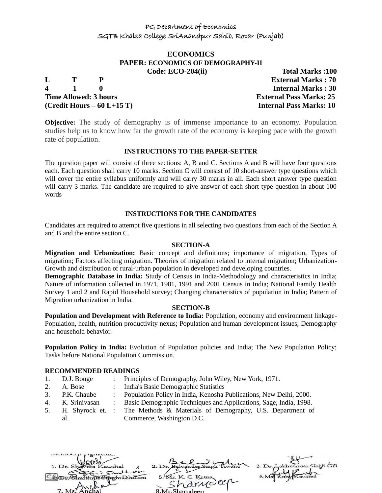#### **ECONOMICS PAPER: ECONOMICS OF DEMOGRAPHY-II Code: ECO-204(ii) Total Marks :100**

**4 1 0 Internal Marks : 30 Time Allowed: 3 hours External Pass Marks: 25 (Credit Hours – 60 L+15 T) Internal Pass Marks: 10**

**L T P External Marks : 70**

**Objective:** The study of demography is of immense importance to an economy. Population studies help us to know how far the growth rate of the economy is keeping pace with the growth rate of population.

#### **INSTRUCTIONS TO THE PAPER-SETTER**

The question paper will consist of three sections: A, B and C. Sections A and B will have four questions each. Each question shall carry 10 marks. Section C will consist of 10 short-answer type questions which will cover the entire syllabus uniformly and will carry 30 marks in all. Each short answer type question will carry 3 marks. The candidate are required to give answer of each short type question in about 100 words

#### **INSTRUCTIONS FOR THE CANDIDATES**

Candidates are required to attempt five questions in all selecting two questions from each of the Section A and B and the entire section C.

#### **SECTION-A**

**Migration and Urbanization:** Basic concept and definitions; importance of migration, Types of migration; Factors affecting migration. Theories of migration related to internal migration; Urbanization-Growth and distribution of rural-urban population in developed and developing countries.

**Demographic Database in India:** Study of Census in India-Methodology and characteristics in India; Nature of information collected in 1971, 1981, 1991 and 2001 Census in India; National Family Health Survey 1 and 2 and Rapid Household survey; Changing characteristics of population in India; Pattern of Migration urbanization in India.

#### **SECTION-B**

**Population and Development with Reference to India:** Population, economy and environment linkage-Population, health, nutrition productivity nexus; Population and human development issues; Demography and household behavior.

**Population Policy in India:** Evolution of Population policies and India; The New Population Policy; Tasks before National Population Commission.

#### **RECOMMENDED READINGS**

- 1. D.J. Bouge : Principles of Demography, John Wiley, New York, 1971.
- 2. A. Bose : India's Basic Demographic Statistics
- 3. P.K. Chaube : Population Policy in India, Kenosha Publications, New Delhi, 2000.
- 4. K. Srinivasan : Basic Demographic Techniques and Applications, Sage, India, 1998.
- 5. H. Shyrock et. al. : The Methods & Materials of Demography, U.S. Department of Commerce, Washington D.C.

 $2. D<sub>1</sub>$ pph Dhillon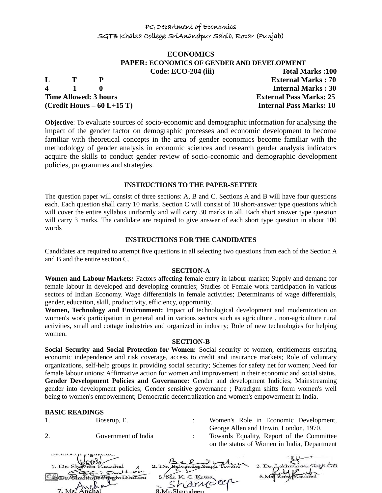#### **ECONOMICS PAPER: ECONOMICS OF GENDER AND DEVELOPMENT Code: ECO-204 (iii) Total Marks :100**

**L T P External Marks : 70 4 1 0 Internal Marks : 30 Time Allowed: 3 hours External Pass Marks: 25 (Credit Hours – 60 L+15 T) Internal Pass Marks: 10**

**Objective**: To evaluate sources of socio-economic and demographic information for analysing the impact of the gender factor on demographic processes and economic development to become familiar with theoretical concepts in the area of gender economics become familiar with the methodology of gender analysis in economic sciences and research gender analysis indicators acquire the skills to conduct gender review of socio-economic and demographic development policies, programmes and strategies.

#### **INSTRUCTIONS TO THE PAPER-SETTER**

The question paper will consist of three sections: A, B and C. Sections A and B will have four questions each. Each question shall carry 10 marks. Section C will consist of 10 short-answer type questions which will cover the entire syllabus uniformly and will carry 30 marks in all. Each short answer type question will carry 3 marks. The candidate are required to give answer of each short type question in about 100 words

#### **INSTRUCTIONS FOR THE CANDIDATES**

Candidates are required to attempt five questions in all selecting two questions from each of the Section A and B and the entire section C.

#### **SECTION-A**

**Women and Labour Markets:** Factors affecting female entry in labour market; Supply and demand for female labour in developed and developing countries; Studies of Female work participation in various sectors of Indian Economy. Wage differentials in female activities; Determinants of wage differentials, gender, education, skill, productivity, efficiency, opportunity.

**Women, Technology and Environment:** Impact of technological development and modernization on women's work participation in general and in various sectors such as agriculture , non-agriculture rural activities, small and cottage industries and organized in industry; Role of new technologies for helping women.

#### **SECTION-B**

**Social Security and Social Protection for Women:** Social security of women, entitlements ensuring economic independence and risk coverage, access to credit and insurance markets; Role of voluntary organizations, self-help groups in providing social security; Schemes for safety net for women; Need for female labour unions; Affirmative action for women and improvement in their economic and social status. **Gender Development Policies and Governance:** Gender and development Indicies; Mainstreaming gender into development policies; Gender sensitive governance ; Paradigm shifts form women's well being to women's empowerment; Democratic decentralization and women's empowerment in India.

#### **BASIC READINGS**

| DAOIU READINUO |                     |                               |            |                                             |  |
|----------------|---------------------|-------------------------------|------------|---------------------------------------------|--|
| 1.             | Boserup, E.         |                               |            | Women's Role in Economic Development,       |  |
|                |                     |                               |            | George Allen and Unwin, London, 1970.       |  |
|                | Government of India |                               |            | Towards Equality, Report of the Committee   |  |
|                |                     |                               |            | on the status of Women in India, Department |  |
| 1. Dr. Sha     | Quellon             | 2. Dr. Balwinder Singh Tiwana |            | 3. Dr. Lakhwinger Singh Gill                |  |
|                | mahillon            | 5. Mr. K. C. Katna            |            |                                             |  |
|                |                     |                               | sharrideen |                                             |  |
| $7. Ms7$ And   |                     | 8.Mr.Sharndeep                |            |                                             |  |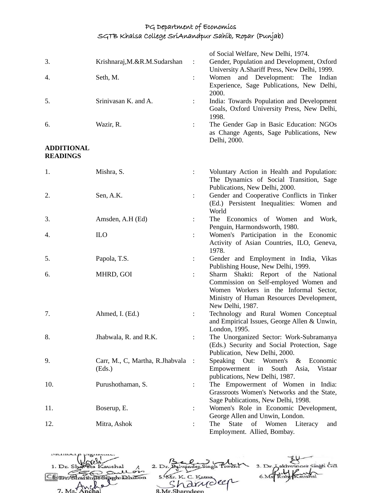|                   |                                           |                      | of Social Welfare, New Delhi, 1974.                                                        |
|-------------------|-------------------------------------------|----------------------|--------------------------------------------------------------------------------------------|
| 3.                | Krishnaraj, M.&R.M.Sudarshan              | $\ddot{\cdot}$       | Gender, Population and Development, Oxford<br>University A.Shariff Press, New Delhi, 1999. |
| 4.                | Seth, M.                                  | $\ddot{\cdot}$       | Women and Development: The<br>Indian                                                       |
|                   |                                           |                      | Experience, Sage Publications, New Delhi,<br>2000.                                         |
| 5.                | Srinivasan K. and A.                      | $\ddot{\phantom{a}}$ | India: Towards Population and Development                                                  |
|                   |                                           |                      | Goals, Oxford University Press, New Delhi,<br>1998.                                        |
| 6.                | Wazir, R.                                 | ÷                    | The Gender Gap in Basic Education: NGOs                                                    |
|                   |                                           |                      | as Change Agents, Sage Publications, New<br>Delhi, 2000.                                   |
| <b>ADDITIONAL</b> |                                           |                      |                                                                                            |
| <b>READINGS</b>   |                                           |                      |                                                                                            |
| 1.                | Mishra, S.                                | $\ddot{\phantom{a}}$ | Voluntary Action in Health and Population:                                                 |
|                   |                                           |                      | The Dynamics of Social Transition, Sage                                                    |
|                   |                                           |                      | Publications, New Delhi, 2000.                                                             |
| 2.                | Sen, A.K.                                 | $\ddot{\cdot}$       | Gender and Cooperative Conflicts in Tinker                                                 |
|                   |                                           |                      | (Ed.) Persistent Inequalities: Women and                                                   |
| 3.                | Amsden, A.H (Ed)                          | $\ddot{\phantom{a}}$ | World<br>The Economics of Women<br>and Work,                                               |
|                   |                                           |                      | Penguin, Harmondsworth, 1980.                                                              |
| 4.                | <b>ILO</b>                                | $\ddot{\phantom{a}}$ | Women's Participation in the Economic                                                      |
|                   |                                           |                      | Activity of Asian Countries, ILO, Geneva,                                                  |
|                   |                                           |                      | 1978.                                                                                      |
| 5.                | Papola, T.S.                              |                      | Gender and Employment in India, Vikas                                                      |
|                   |                                           |                      | Publishing House, New Delhi, 1999.                                                         |
| 6.                | MHRD, GOI                                 | ÷                    | Sharm<br>Shakti: Report of the National                                                    |
|                   |                                           |                      | Commission on Self-employed Women and                                                      |
|                   |                                           |                      | Women Workers in the Informal Sector,<br>Ministry of Human Resources Development,          |
|                   |                                           |                      | New Delhi, 1987.                                                                           |
| 7.                | Ahmed, I. (Ed.)                           |                      | Technology and Rural Women Conceptual                                                      |
|                   |                                           |                      | and Empirical Issues, George Allen & Unwin,                                                |
|                   |                                           |                      | London, 1995.                                                                              |
| 8.                | Jhabwala, R. and R.K.                     |                      | The Unorganized Sector: Work-Subramanya                                                    |
|                   |                                           |                      | (Eds.) Security and Social Protection, Sage                                                |
|                   |                                           |                      | Publication, New Delhi, 2000.<br>Economic                                                  |
| 9.                | Carr, M., C, Martha, R.Jhabvala<br>(Eds.) | $\cdot$ :            | Speaking<br>Out:<br>Women's<br>&<br>Empowerment<br>South<br>Asia,<br>in<br>Vistaar         |
|                   |                                           |                      | publications, New Delhi, 1987.                                                             |
| 10.               | Purushothaman, S.                         |                      | The Empowerment of Women in India:                                                         |
|                   |                                           |                      | Grassroots Women's Networks and the State,                                                 |
|                   |                                           |                      | Sage Publications, New Delhi, 1998.                                                        |
| 11.               | Boserup, E.                               | ÷                    | Women's Role in Economic Development,                                                      |
|                   |                                           |                      | George Allen and Unwin, London.                                                            |
| 12.               | Mitra, Ashok                              |                      | The<br><b>State</b><br>Women<br>of<br>Literacy<br>and                                      |
|                   |                                           |                      | Employment. Allied, Bombay.                                                                |

akhwinger Singh Gill 2. Dr. Balwinder Singh Tiv 1. Dr. Sl aushal  $3. Dr.$ Kaushal<br>Soullor 5. Kr. K. C. Kama 6.Ms Rut Com Sharing os pen Dhillon 7. 8.Mr.Sharno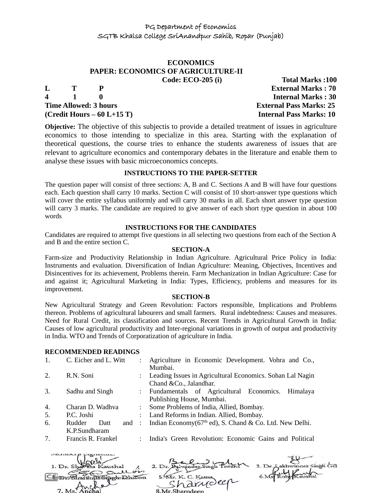# **ECONOMICS PAPER: ECONOMICS OF AGRICULTURE-II**

| L | T | P                            |
|---|---|------------------------------|
| 4 | 1 | o                            |
|   |   | <b>Time Allowed: 3 hours</b> |
|   |   | (Credit Hours – 60 L+15 T)   |

**Code: ECO-205 (i) Total Marks :100 External Marks : 70 4 1 0 Internal Marks : 30 External Pass Marks: 25 Internal Pass Marks: 10** 

**Objective:** The objective of this subjectis to provide a detailed treatment of issues in agriculture economics to those intending to specialize in this area. Starting with the explanation of theoretical questions, the course tries to enhance the students awareness of issues that are relevant to agriculture economics and contemporary debates in the literature and enable them to analyse these issues with basic microeconomics concepts.

#### **INSTRUCTIONS TO THE PAPER-SETTER**

The question paper will consist of three sections: A, B and C. Sections A and B will have four questions each. Each question shall carry 10 marks. Section C will consist of 10 short-answer type questions which will cover the entire syllabus uniformly and will carry 30 marks in all. Each short answer type question will carry 3 marks. The candidate are required to give answer of each short type question in about 100 words

#### **INSTRUCTIONS FOR THE CANDIDATES**

Candidates are required to attempt five questions in all selecting two questions from each of the Section A and B and the entire section C.

#### **SECTION-A**

Farm-size and Productivity Relationship in Indian Agriculture. Agricultural Price Policy in India: Instruments and evaluation. Diversification of Indian Agriculture: Meaning, Objectives, Incentives and Disincentives for its achievement, Problems therein. Farm Mechanization in Indian Agriculture: Case for and against it; Agricultural Marketing in India: Types, Efficiency, problems and measures for its improvement.

#### **SECTION-B**

New Agricultural Strategy and Green Revolution: Factors responsible, Implications and Problems thereon. Problems of agricultural labourers and small farmers. Rural indebtedness: Causes and measures. Need for Rural Credit, its classification and sources. Recent Trends in Agricultural Growth in India: Causes of low agricultural productivity and Inter-regional variations in growth of output and productivity in India. WTO and Trends of Corporatization of agriculture in India.

#### **RECOMMENDED READINGS**

|    | C. Eicher and L. Witt                                         |               | Agriculture in Economic Development. Vohra and Co.,<br>Mumbai.                         |  |
|----|---------------------------------------------------------------|---------------|----------------------------------------------------------------------------------------|--|
| 2. | R.N. Soni                                                     |               | : Leading Issues in Agricultural Economics. Sohan Lal Nagin<br>Chand & Co., Jalandhar. |  |
| 3. | Sadhu and Singh                                               |               | : Fundamentals of Agricultural Economics.<br>Himalaya<br>Publishing House, Mumbai.     |  |
| 4. | : Some Problems of India, Allied, Bombay.<br>Charan D. Wadhva |               |                                                                                        |  |
| 5. | P.C. Joshi                                                    |               | : Land Reforms in Indian. Allied, Bombay.                                              |  |
| 6. | Rudder<br>and<br>Datt<br>K.P.Sundharam                        |               | : Indian Economy( $67th$ ed), S. Chand & Co. Ltd. New Delhi.                           |  |
| 7. | Francis R. Frankel                                            | $\mathcal{L}$ | India's Green Revolution: Economic Gains and Political                                 |  |

| 1. Dr. Shareta Kaushal                  |                    | 3. Dr. Aakhwinger Singh Gill |
|-----------------------------------------|--------------------|------------------------------|
| gullon<br>Comm Shartin To Singh Dhillon | 5. Mr. K. C. Katna |                              |
|                                         | in arriveer        |                              |
| Ms Anchal                               | 8 Mr Sharpdeen     |                              |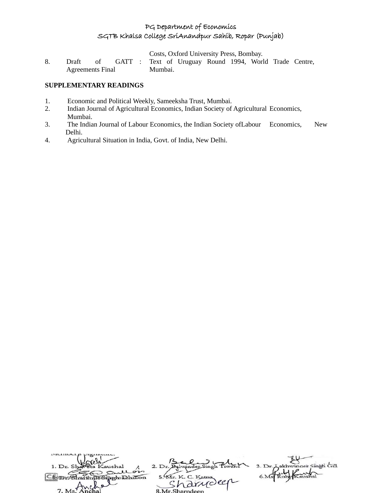Costs, Oxford University Press, Bombay.

8. Draft of GATT Agreements Final : Text of Uruguay Round 1994, World Trade Centre, Mumbai.

#### **SUPPLEMENTARY READINGS**

- 1. Economic and Political Weekly, Sameeksha Trust, Mumbai.
- 2. Indian Journal of Agricultural Economics, Indian Society of Agricultural Economics, Mumbai.
- 3. The Indian Journal of Labour Economics, the Indian Society ofLabour Economics, New Delhi.
- 4. Agricultural Situation in India, Govt. of India, New Delhi.

| 1. Dr. Shaveta Kaushal |                    | 3. Dr. Lakhwinger Singh Gill |
|------------------------|--------------------|------------------------------|
| Sullon                 |                    |                              |
| Un Singeholdhillon     | 5. Mr. K. C. Katna |                              |
| $\sim$                 | narydeer           |                              |
| 7. Ms. Anchal          | 8 Mr Sharndeen     |                              |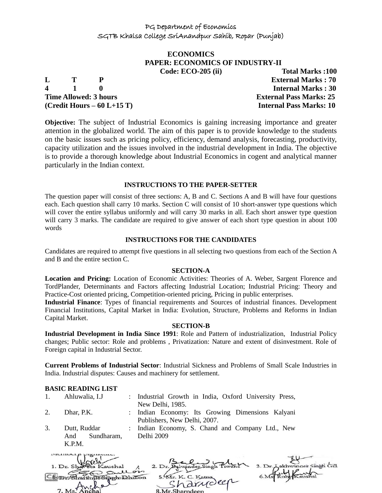# **ECONOMICS PAPER: ECONOMICS OF INDUSTRY-II**

**4 1 0 Internal Marks : 30 Time Allowed: 3 hours External Pass Marks: 25 (Credit Hours – 60 L+15 T) Internal Pass Marks: 10**

**Code: ECO-205 (ii) Total Marks :100 L T P External Marks : 70**

**Objective:** The subject of Industrial Economics is gaining increasing importance and greater attention in the globalized world. The aim of this paper is to provide knowledge to the students on the basic issues such as pricing policy, efficiency, demand analysis, forecasting, productivity, capacity utilization and the issues involved in the industrial development in India. The objective is to provide a thorough knowledge about Industrial Economics in cogent and analytical manner particularly in the Indian context.

#### **INSTRUCTIONS TO THE PAPER-SETTER**

The question paper will consist of three sections: A, B and C. Sections A and B will have four questions each. Each question shall carry 10 marks. Section C will consist of 10 short-answer type questions which will cover the entire syllabus uniformly and will carry 30 marks in all. Each short answer type question will carry 3 marks. The candidate are required to give answer of each short type question in about 100 words

#### **INSTRUCTIONS FOR THE CANDIDATES**

Candidates are required to attempt five questions in all selecting two questions from each of the Section A and B and the entire section C.

#### **SECTION-A**

**Location and Pricing:** Location of Economic Activities: Theories of A. Weber, Sargent Florence and TordPlander, Determinants and Factors affecting Industrial Location; Industrial Pricing: Theory and Practice-Cost oriented pricing, Competition-oriented pricing, Pricing in public enterprises.

**Industrial Finance**: Types of financial requirements and Sources of industrial finances. Development Financial Institutions, Capital Market in India: Evolution, Structure, Problems and Reforms in Indian Capital Market.

#### **SECTION-B**

**Industrial Development in India Since 1991**: Role and Pattern of industrialization, Industrial Policy changes; Public sector: Role and problems , Privatization: Nature and extent of disinvestment. Role of Foreign capital in Industrial Sector.

**Current Problems of Industrial Sector**: Industrial Sickness and Problems of Small Scale Industries in India. Industrial disputes: Causes and machinery for settlement.

#### **BASIC READING LIST**

| 1. | Ahluwalia, I.J      | : Industrial Growth in India, Oxford University Press, |
|----|---------------------|--------------------------------------------------------|
|    |                     | New Delhi, 1985.                                       |
| 2. | Dhar, P.K.          | : Indian Economy: Its Growing Dimensions Kalyani       |
|    |                     | Publishers, New Delhi, 2007.                           |
| 3. | Dutt. Ruddar        | : Indian Economy, S. Chand and Company Ltd., New       |
|    | Sundharam.<br>And   | Delhi 2009                                             |
|    | K.P.M.              |                                                        |
|    | mumorep promission. | $-11$                                                  |

| 1. Dr. Shaveta Kaushal      |                             | 3. Dr. Lakhwinder Singh Gill |
|-----------------------------|-----------------------------|------------------------------|
| gullois<br>in Sinoh Dhillon | 5. Mr. K. C. Katna          |                              |
|                             | "harrioler<br>Mr. Sharndeep |                              |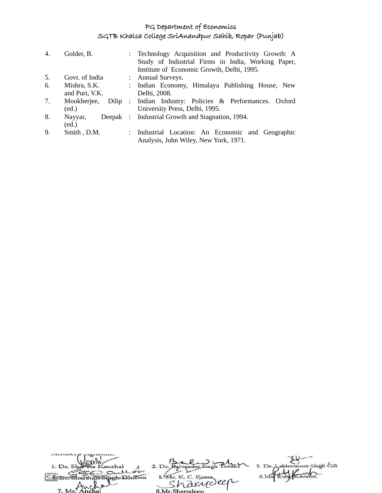| 4. | Golder, B.     | : Technology Acquisition and Productivity Growth: A      |
|----|----------------|----------------------------------------------------------|
|    |                | Study of Industrial Firms in India, Working Paper,       |
|    |                | Institute of Economic Growth, Delhi, 1995.               |
| 5. | Govt. of India | : Annual Surveys.                                        |
| 6. | Mishra, S.K.   | : Indian Economy, Himalaya Publishing House, New         |
|    | and Puri, V.K. | Delhi, 2008.                                             |
| 7. | Mookherjee,    | Dilip : Indian Industry: Policies & Performances. Oxford |
|    | (ed.)          | University Press, Delhi, 1995.                           |
| 8. | Nayyar,        | Deepak : Industrial Growth and Stagnation, 1994.         |
|    | (ed.)          |                                                          |
| 9. | Smith, D.M.    | : Industrial Location: An Economic and Geographic        |
|    |                | Analysis, John Wiley, New York, 1971.                    |
|    |                |                                                          |

| 1. Dr. Shareta Kaushal  |                    | 3. Dr. Lakhwinger Singh Gill |
|-------------------------|--------------------|------------------------------|
| Sullon                  |                    |                              |
| <b>unSimpholahillon</b> | 5. Mr. K. C. Katna |                              |
| 40.9                    | 'a drudeer         |                              |
| 7. Ms Anchal            | 8 Mr Sharndeen     |                              |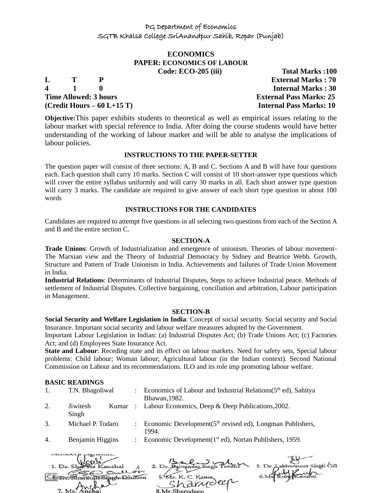# **ECONOMICS PAPER: ECONOMICS OF LABOUR**

**4 1 0 Internal Marks : 30 Time Allowed: 3 hours External Pass Marks: 25 (Credit Hours – 60 L+15 T) Internal Pass Marks: 10**

**Code: ECO-205 (iii) Total Marks :100 L T P External Marks : 70**

**Objective:**This paper exhibits students to theoretical as well as empirical issues relating to the labour market with special reference to India. After doing the course students would have better understanding of the working of labour market and will be able to analyse the implications of labour policies.

#### **INSTRUCTIONS TO THE PAPER-SETTER**

The question paper will consist of three sections: A, B and C. Sections A and B will have four questions each. Each question shall carry 10 marks. Section C will consist of 10 short-answer type questions which will cover the entire syllabus uniformly and will carry 30 marks in all. Each short answer type question will carry 3 marks. The candidate are required to give answer of each short type question in about 100 words

#### **INSTRUCTIONS FOR THE CANDIDATES**

Candidates are required to attempt five questions in all selecting two questions from each of the Section A and B and the entire section C.

#### **SECTION-A**

**Trade Unions**: Growth of Industrialization and emergence of unionism. Theories of labour movement-The Marxian view and the Theory of Industrial Democracy by Sidney and Beatrice Webb. Growth, Structure and Pattern of Trade Unionism in India. Achievements and failures of Trade Union Movement in India.

**Industrial Relations**: Determinants of Industrial Disputes, Steps to achieve Industrial peace. Methods of settlement of Industrial Disputes. Collective bargaining, conciliation and arbitration, Labour participation in Management.

#### **SECTION-B**

**Social Security and Welfare Legislation in India**: Concept of social security. Social security and Social Insurance. Important social security and labour welfare measures adopted by the Government.

Important Labour Legislation in Indian: (a) Industrial Disputes Act; (b) Trade Unions Act; (c) Factories Act; and (d) Employees State Insurance Act.

**State and Labour**: Receding state and its effect on labour markets. Need for safety sets, Special labour problems: Child labour; Woman labour; Agricultural labour (in the Indian context). Second National Commission on Labour and its recommendations. ILO and its role imp promoting labour welfare.

#### **BASIC READINGS**

| 1. | T.N. Bhagoliwal   | Economics of Labour and Industrial Relations $(5th$ ed), Sahitya<br>Bhawan, 1982. |
|----|-------------------|-----------------------------------------------------------------------------------|
| 2. | Jiwitesh<br>Singh | Kumar : Labour Economics, Deep & Deep Publications, 2002.                         |
| 3. | Michael P. Todaro | Economic Development(5 <sup>th</sup> revised ed), Longman Publishers,<br>1994.    |
| 4. | Benjamin Higgins  | Economic Development(1 <sup>st</sup> ed), Nortan Publishers, 1959.                |

| members premiume.       |                    |                              |
|-------------------------|--------------------|------------------------------|
|                         |                    |                              |
| 1. Dr. Shaveta Kaushal  | 2. Dr.             | 3. Dr. Lakhwinder Singh Gill |
| Sullon                  | 5. Mr. K. C. Katna |                              |
| Charthua Singhabahillon | 'a drudeer         |                              |
|                         |                    |                              |
| 7. Ms. And              | 8.Mr.Sharndeep     |                              |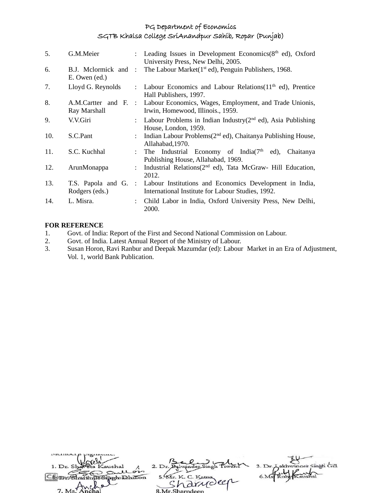| 5.  | G.M.Meier                             |                           | : Leading Issues in Development Economics(8 <sup>th</sup> ed), Oxford<br>University Press, New Delhi, 2005.                       |
|-----|---------------------------------------|---------------------------|-----------------------------------------------------------------------------------------------------------------------------------|
| 6.  | B.J. Mclormick and :<br>E. Owen (ed.) |                           | The Labour Market (1 <sup>st</sup> ed), Penguin Publishers, 1968.                                                                 |
| 7.  | Lloyd G. Reynolds                     | $\mathcal{L}$             | Labour Economics and Labour Relations $(11th$ ed), Prentice<br>Hall Publishers, 1997.                                             |
| 8.  | Ray Marshall                          |                           | A.M.Cartter and F. : Labour Economics, Wages, Employment, and Trade Unionis,<br>Irwin, Homewood, Illinois., 1959.                 |
| 9.  | V.V.Giri                              |                           | : Labour Problems in Indian Industry( $2nd$ ed), Asia Publishing<br>House, London, 1959.                                          |
| 10. | S.C.Pant                              |                           | : Indian Labour Problems $(2^{nd}$ ed), Chaitanya Publishing House,<br>Allahabad, 1970.                                           |
| 11. | S.C. Kuchhal                          | $\mathbb{R}^{\mathbb{Z}}$ | The Industrial Economy of India( $7th$ ed), Chaitanya<br>Publishing House, Allahabad, 1969.                                       |
| 12. | ArunMonappa                           |                           | : Industrial Relations(2 <sup>nd</sup> ed), Tata McGraw- Hill Education,<br>2012.                                                 |
| 13. | Rodgers (eds.)                        |                           | T.S. Papola and G. : Labour Institutions and Economics Development in India,<br>International Institute for Labour Studies, 1992. |
| 14. | L. Misra.                             |                           | Child Labor in India, Oxford University Press, New Delhi,<br>2000.                                                                |

#### **FOR REFERENCE**

- 1. Govt. of India: Report of the First and Second National Commission on Labour.<br>2. Govt. of India. Latest Annual Report of the Ministry of Labour.
- 2. Govt. of India. Latest Annual Report of the Ministry of Labour.
- 3. Susan Horon, Ravi Ranbur and Deepak Mazumdar (ed): Labour Market in an Era of Adjustment, Vol. 1, world Bank Publication.

| 1. Dr. Shareta Kaushal |                    | 3. Dr. Lakhwinger Singh Gill |
|------------------------|--------------------|------------------------------|
| Sullon                 |                    |                              |
| Enarthus Singh Dhillon | 5. Mr. K. C. Katna |                              |
| 7 Ms Anche             | rarroller          |                              |
|                        | 8 Mr Sharndeen     |                              |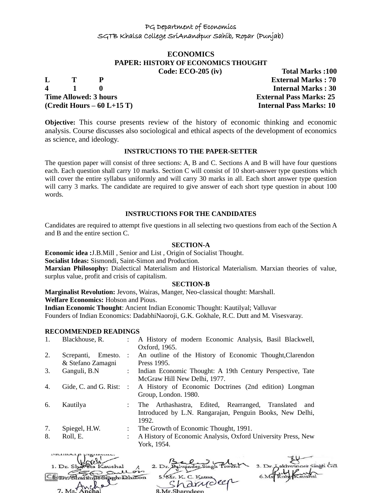# **ECONOMICS PAPER: HISTORY OF ECONOMICS THOUGHT**

**4 1 0 Internal Marks : 30 Time Allowed: 3 hours External Pass Marks: 25 (Credit Hours – 60 L+15 T) Internal Pass Marks: 10**

**Code: ECO-205 (iv) Total Marks :100 L T P External Marks : 70**

**Objective:** This course presents review of the history of economic thinking and economic analysis. Course discusses also sociological and ethical aspects of the development of economics as science, and ideology.

#### **INSTRUCTIONS TO THE PAPER-SETTER**

The question paper will consist of three sections: A, B and C. Sections A and B will have four questions each. Each question shall carry 10 marks. Section C will consist of 10 short-answer type questions which will cover the entire syllabus uniformly and will carry 30 marks in all. Each short answer type question will carry 3 marks. The candidate are required to give answer of each short type question in about 100 words.

#### **INSTRUCTIONS FOR THE CANDIDATES**

Candidates are required to attempt five questions in all selecting two questions from each of the Section A and B and the entire section C.

#### **SECTION-A**

**Economic idea :**J.B.Mill , Senior and List , Origin of Socialist Thought.

**Socialist Ideas:** Sismondi, Saint-Simon and Production.

**Marxian Philosophy:** Dialectical Materialism and Historical Materialism. Marxian theories of value, surplus value, profit and crisis of capitalism.

#### **SECTION-B**

**Marginalist Revolution:** Jevons, Wairas, Manger, Neo-classical thought: Marshall.

**Welfare Economics:** Hobson and Pious.

**Indian Economic Thought**: Ancient Indian Economic Thought: Kautilyal; Valluvar

Founders of Indian Economics: DadabhiNaoroji, G.K. Gokhale, R.C. Dutt and M. Visesvaray.

#### **RECOMMENDED READINGS**

| 1.       | Blackhouse, R.                             |                                                   | A History of modern Economic Analysis, Basil Blackwell,<br>Oxford, 1965.                                                     |
|----------|--------------------------------------------|---------------------------------------------------|------------------------------------------------------------------------------------------------------------------------------|
| 2.       | Screpanti,<br>Emesto.<br>& Stefano Zamagni |                                                   | : An outline of the History of Economic Thought, Clarendon<br>Press 1995.                                                    |
| 3.       | Ganguli, B.N.                              | $\mathcal{L}$                                     | Indian Economic Thought: A 19th Century Perspective, Tate<br>McGraw Hill New Delhi, 1977.                                    |
| 4.       | Gide, C. and G. Rist:                      | $\sim$ $\sim$                                     | A History of Economic Doctrines (2nd edition) Longman<br>Group, London. 1980.                                                |
| 6.       | Kautilya                                   | $\mathcal{L}$                                     | The Arthashastra, Edited, Rearranged, Translated<br>and<br>Introduced by L.N. Rangarajan, Penguin Books, New Delhi,<br>1992. |
| 7.<br>8. | Spiegel, H.W.<br>Roll, E.                  | $\mathbb{Z}^{\mathbb{Z}}$<br>$\ddot{\phantom{a}}$ | The Growth of Economic Thought, 1991.<br>A History of Economic Analysis, Oxford University Press, New<br>York, 1954.         |

| 1. Dr. Shaveta Kaushal |                    | 3. Dr. Lakhwinder Singh Gill |
|------------------------|--------------------|------------------------------|
| Sullois                |                    |                              |
| ShartinusSiarhilon     | 5. Mr. K. C. Katna |                              |
|                        | "harrioler         |                              |
| 7. Ms. Anchal          | 8 Mr Sharndeen     |                              |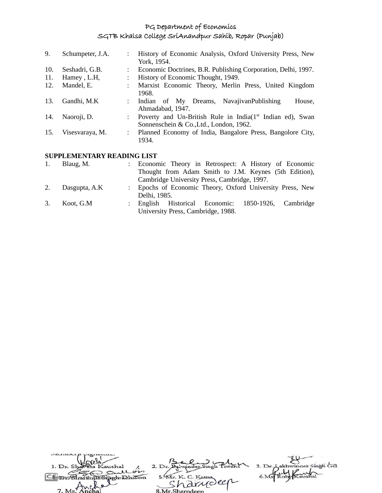| 9.  | Schumpeter, J.A.                 |  | History of Economic Analysis, Oxford University Press, New                                                       |  |  |
|-----|----------------------------------|--|------------------------------------------------------------------------------------------------------------------|--|--|
|     |                                  |  | York, 1954.                                                                                                      |  |  |
| 10. | Seshadri, G.B.                   |  | Economic Doctrines, B.R. Publishing Corporation, Delhi, 1997.                                                    |  |  |
| 11. | Hamey, L.H.                      |  | History of Economic Thought, 1949.                                                                               |  |  |
| 12. | Mandel, E.                       |  | Marxist Economic Theory, Merlin Press, United Kingdom<br>1968.                                                   |  |  |
| 13. | Gandhi, M.K                      |  | Indian of My Dreams, NavajivanPublishing<br>House,<br>Ahmadabad, 1947.                                           |  |  |
| 14. | Naoroji, D.                      |  | Poverty and Un-British Rule in India(1 <sup>st</sup> Indian ed), Swan<br>Sonnenschein & Co., Ltd., London, 1962. |  |  |
| 15. | Visesvaraya, M.                  |  | Planned Economy of India, Bangalore Press, Bangolore City,<br>1934.                                              |  |  |
|     | CHIDDI EMENTA DV DE A DINA I ICT |  |                                                                                                                  |  |  |

#### **SUPPLEMENTARY READING LIST**

| 1. | Blaug, M.     | : Economic Theory in Retrospect: A History of Economic    |
|----|---------------|-----------------------------------------------------------|
|    |               | Thought from Adam Smith to J.M. Keynes (5th Edition),     |
|    |               | Cambridge University Press, Cambridge, 1997.              |
| 2. | Dasgupta, A.K | : Epochs of Economic Theory, Oxford University Press, New |
|    |               | Delhi, 1985.                                              |
| 3. | Koot, G.M     | : English Historical Economic: 1850-1926, Cambridge       |
|    |               | University Press, Cambridge, 1988.                        |

| 1. Dr. Shareta Kaushal             |                              | 3. Dr. Lakhwinder Singh Gill |
|------------------------------------|------------------------------|------------------------------|
| an Sullon<br>with Un Simoh Dhillon | 5. Mr. K. C. Katna           |                              |
| 7 Met MC                           | 'a drudeer<br>8 Mr Sharpdeen |                              |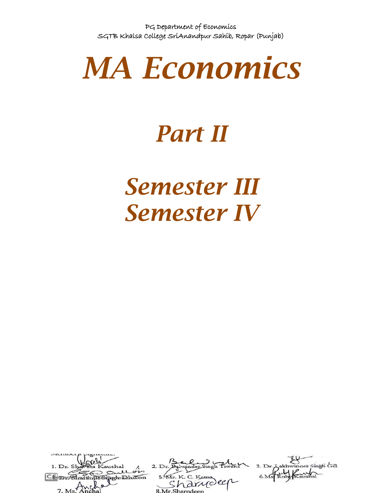

# *Part II*

# *Semester III Semester IV*

| 1. Dr. Shareta Kaushal         |                                        | 3. Dr. Lakhwinder Singh Gill |
|--------------------------------|----------------------------------------|------------------------------|
| an sull on<br>in Singh Dhillon | 5. Mr. K. C. Katna                     |                              |
| $\sim$                         | · anydeer                              |                              |
| $7 \text{Me} \cdot \text{Me}$  | 0 M <sub>n</sub> Chownd <sub>con</sub> |                              |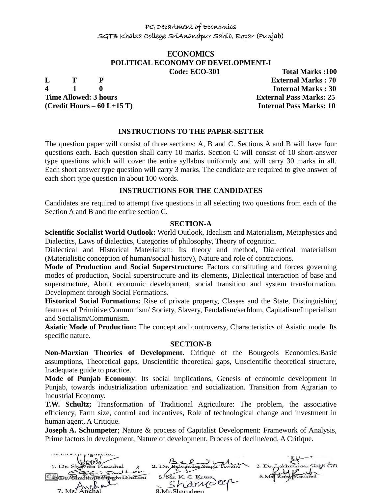# **ECONOMICS POLITICAL ECONOMY OF DEVELOPMENT-I**

**Time Allowed: 3 hours External Pass Marks: 25** 

**Code: ECO-301 Total Marks :100 L T P External Marks : 70 4 1 0 Internal Marks : 30 (Credit Hours – 60 L+15 T) Internal Pass Marks: 10**

#### **INSTRUCTIONS TO THE PAPER-SETTER**

The question paper will consist of three sections: A, B and C. Sections A and B will have four questions each. Each question shall carry 10 marks. Section C will consist of 10 short-answer type questions which will cover the entire syllabus uniformly and will carry 30 marks in all. Each short answer type question will carry 3 marks. The candidate are required to give answer of each short type question in about 100 words.

#### **INSTRUCTIONS FOR THE CANDIDATES**

Candidates are required to attempt five questions in all selecting two questions from each of the Section A and B and the entire section C.

#### **SECTION-A**

**Scientific Socialist World Outlook:** World Outlook, Idealism and Materialism, Metaphysics and Dialectics, Laws of dialectics, Categories of philosophy, Theory of cognition.

Dialectical and Historical Materialism: Its theory and method, Dialectical materialism (Materialistic conception of human/social history), Nature and role of contractions.

**Mode of Production and Social Superstructure:** Factors constituting and forces governing modes of production, Social superstructure and its elements, Dialectical interaction of base and superstructure, About economic development, social transition and system transformation. Development through Social Formations.

**Historical Social Formations:** Rise of private property, Classes and the State, Distinguishing features of Primitive Communism/ Society, Slavery, Feudalism/serfdom, Capitalism/Imperialism and Socialism/Communism.

**Asiatic Mode of Production:** The concept and controversy, Characteristics of Asiatic mode. Its specific nature.

#### **SECTION-B**

**Non-Marxian Theories of Development**. Critique of the Bourgeois Economics:Basic assumptions, Theoretical gaps, Unscientific theoretical gaps, Unscientific theoretical structure, Inadequate guide to practice.

**Mode of Punjab Economy**: Its social implications, Genesis of economic development in Punjab, towards industrialization urbanization and socialization. Transition from Agrarian to Industrial Economy.

**T.W. Schultz;** Transformation of Traditional Agriculture: The problem, the associative efficiency, Farm size, control and incentives, Role of technological change and investment in human agent, A Critique.

**Joseph A. Schumpeter**; Nature & process of Capitalist Development: Framework of Analysis, Prime factors in development, Nature of development, Process of decline/end, A Critique.

akhwinger Singh Gill  $2. Dr$  $\sim$ To Sipph Dhillon  $5.94r$ , K.C.  $10<sup>o</sup>$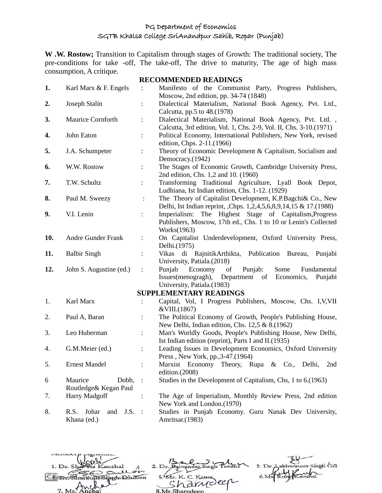**W .W. Rostow;** Transition to Capitalism through stages of Growth: The traditional society, The pre-conditions for take -off, The take-off, The drive to maturity, The age of high mass consumption, A critique. **RECOMMENDED READINGS**

|     |                              |                      | <b>RECOMMENDED READINGS</b>                                                                     |
|-----|------------------------------|----------------------|-------------------------------------------------------------------------------------------------|
| 1.  | Karl Marx & F. Engels        |                      | Manifesto of the Communist Party, Progress Publishers,<br>Moscow, 2nd edition, pp. 34-74 (1848) |
| 2.  | Joseph Stalin                | $\vdots$             | Dialectical Materialism, National Book Agency, Pvt. Ltd.,                                       |
|     |                              |                      | Calcutta, pp.5 to 48.(1978)                                                                     |
| 3.  | Maurice Cornforth            |                      | Dialectical Materialism, National Book Agency, Pvt. Ltd.,                                       |
|     |                              |                      | Calcutta, 3rd edition, Vol. 1, Chs. 2-9, Vol. II, Chs. 3-10.(1971)                              |
| 4.  | John Eaton                   |                      | Political Economy, International Publishers, New York, revised                                  |
|     |                              |                      | edition, Chps. 2-11.(1966)                                                                      |
| 5.  | J.A. Schumpeter              | $\ddot{\phantom{0}}$ | Theory of Economic Development & Capitalism, Socialism and                                      |
|     |                              |                      | Democracy.(1942)                                                                                |
| 6.  | W.W. Rostow                  | $\ddot{\phantom{a}}$ | The Stages of Economic Growth, Cambridge University Press,                                      |
|     |                              |                      | 2nd edition, Chs. 1,2 and 10. (1960)                                                            |
| 7.  | T.W. Schultz                 | $\ddot{\phantom{a}}$ | Transforming Traditional Agriculture, Lyall Book Depot,                                         |
|     |                              |                      | Ludhiana, Ist Indian edition, Chs. 1-12. (1929)                                                 |
| 8.  | Paul M. Sweezy               | :                    | The Theory of Capitalist Development, K.P.Bagchi& Co., New                                      |
|     |                              |                      | Delhi, Ist Indian reprint, Chps. 1,2,4,5,6,8,9,14,15 & 17.(1988)                                |
| 9.  | V.I. Lenin                   | $\ddot{\cdot}$       | The<br>Highest Stage of Capitalism, Progress<br>Imperialism:                                    |
|     |                              |                      | Publishers, Moscow, 17th ed., Chs. 1 to 10 or Lenin's Collected                                 |
|     |                              |                      |                                                                                                 |
|     |                              |                      | Works(1963)                                                                                     |
| 10. | Andre Gunder Frank           | $\ddot{\phantom{a}}$ | On Capitalist Underdevelopment, Oxford University Press,                                        |
|     |                              |                      | Delhi.(1975)                                                                                    |
| 11. | <b>Balbir Singh</b>          |                      | Vikas di RajnitikArthikta, Publication Bureau,<br>Punjabi                                       |
|     |                              |                      | University, Patiala.(2018)                                                                      |
| 12. | John S. Augustine (ed.)      | $\ddot{\cdot}$       | Punjab<br>Economy<br>Punjab:<br>Some<br>of<br>Fundamental                                       |
|     |                              |                      | Economics,<br>Issues(menogragh),<br>Department of<br>Punjabi                                    |
|     |                              |                      | University, Patiala.(1983)                                                                      |
|     |                              |                      | <b>SUPPLEMENTARY READINGS</b>                                                                   |
| 1.  | Karl Marx                    | $\ddot{\cdot}$       | Capital, Vol, I Progress Publishers, Moscow, Chs. I, V, VII                                     |
|     |                              |                      | &VIII.(1867)                                                                                    |
| 2.  | Paul A, Baran                |                      | The Political Economy of Growth, People's Publishing House,                                     |
|     |                              |                      | New Delhi, Indian edition, Chs. 12,5 & 8.(1962)                                                 |
| 3.  | Leo Huberman                 | $\vdots$             | Man's Worldly Goods, People's Publishing House, New Delhi,                                      |
|     |                              |                      | Ist Indian edition (reprint), Parts I and II.(1935)                                             |
|     |                              |                      |                                                                                                 |
| 4.  | G.M.Meier (ed.)              | $\ddot{\cdot}$       | Leading Issues in Development Economics, Oxford University                                      |
|     |                              |                      | Press, New York, pp., 3-47. (1964)                                                              |
| 5.  | <b>Ernest Mandel</b>         | $\ddot{\cdot}$       | Marxist Economy Theory, Rupa & Co., Delhi,<br>2nd                                               |
|     |                              |                      | edition.(2008)                                                                                  |
| 6   | Maurice<br>Dobb,             | $\mathbb{R}^2$       | Studies in the Development of Capitalism, Chs, 1 to 6.(1963)                                    |
|     | Routledge& Kegan Paul        |                      |                                                                                                 |
| 7.  | Harry Madgoff                | :                    | The Age of Imperialism, Monthly Review Press, 2nd edition                                       |
|     |                              |                      | New York and London.(1970)                                                                      |
| 8.  | R.S.<br>Johar<br>J.S.<br>and | $\sim$ :             | Studies in Punjab Economy. Guru Nanak Dev University,                                           |
|     | Khana (ed.)                  |                      | Amritsar.(1983)                                                                                 |

akhwinger Singh Gill 2. Dr. Balwinder Singh 1. Dr. S shal  $3. Dr.$ S Sull 5. KIr. K. C. Katna  $6.Ms$ Comm Sharinjin Singh Dhillon rannoley 7.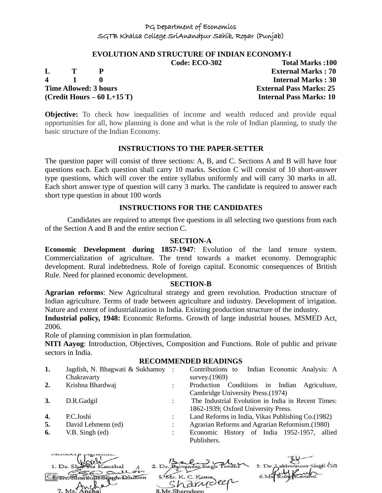#### **EVOLUTION AND STRUCTURE OF INDIAN ECONOMY-I**

**4 1 0 Internal Marks : 30 Time Allowed: 3 hours External Pass Marks: 25 (Credit Hours – 60 L+15 T) Internal Pass Marks: 10**

**Code: ECO-302 Total Marks :100 L T P External Marks : 70**

**Objective:** To check how inequalities of income and wealth reduced and provide equal opportunities for all, how planning is done and what is the role of Indian planning, to study the basic structure of the Indian Economy.

#### **INSTRUCTIONS TO THE PAPER-SETTER**

The question paper will consist of three sections: A, B, and C. Sections A and B will have four questions each. Each question shall carry 10 marks. Section C will consist of 10 short-answer type questions, which will cover the entire syllabus uniformly and will carry 30 marks in all. Each short answer type of question will carry 3 marks. The candidate is required to answer each short type question in about 100 words

#### **INSTRUCTIONS FOR THE CANDIDATES**

Candidates are required to attempt five questions in all selecting two questions from each of the Section A and B and the entire section C.

#### **SECTION-A**

**Economic Development during 1857-1947**: Evolution of the land tenure system. Commercialization of agriculture. The trend towards a market economy. Demographic development. Rural indebtedness. Role of foreign capital. Economic consequences of British Rule. Need for planned economic development.

#### **SECTION-B**

**Agrarian reforms**: New Agricultural strategy and green revolution. Production structure of Indian agriculture. Terms of trade between agriculture and industry. Development of irrigation. Nature and extent of industrialization in India. Existing production structure of the industry.

**Industrial policy, 1948:** Economic Reforms. Growth of large industrial houses. MSMED Act, 2006.

Role of planning commision in plan formulation.

manner p pignana.

**NITI Aayog**: Introduction, Objectives, Composition and Functions. Role of public and private sectors in India.

#### **RECOMMENDED READINGS**

| 1. | Jagdish, N. Bhagwati & Sukhamoy:<br>Chakravarty | Contributions to Indian Economic Analysis: A<br>survey. (1969)                            |
|----|-------------------------------------------------|-------------------------------------------------------------------------------------------|
| 2. | Krishna Bhardwaj                                | Production Conditions in Indian Agriculture,<br>Cambridge University Press. (1974)        |
| 3. | D.R.Gadgil                                      | The Industrial Evolution in India in Recent Times:<br>1862-1939; Oxford University Press. |
| 4. | P.C.Joshi                                       | Land Reforms in India, Vikas Publishing Co. (1982)                                        |
| 5. | David Lehmenn (ed)                              | Agrarian Reforms and Agrarian Reformism.(1980)                                            |
| 6. | V.B. Singh (ed)                                 | Economic History of India 1952-1957, allied<br>Publishers.                                |

| 1. Dr. Shareta Kaushal |                    | 3. Dr. Lakhwinger Singh Gill |
|------------------------|--------------------|------------------------------|
| An Sullois             |                    |                              |
| Donoh Dhillon          | 5. Mr. K. C. Katna |                              |
|                        | "harrideen         |                              |
| 7. Ms. Anchal          | 8 Mr Sharpdeen     |                              |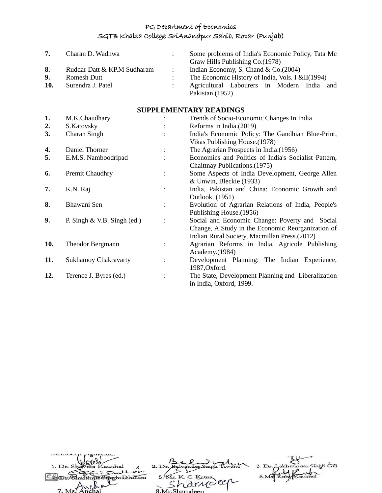| 7.  | Charan D. Wadhwa            |                            | Some problems of India's Economic Policy, Tata Mc<br>Graw Hills Publishing Co. (1978) |
|-----|-----------------------------|----------------------------|---------------------------------------------------------------------------------------|
| 8.  | Ruddar Datt & KP.M Sudharam | $\sim$ 100 $\pm$ 100 $\pm$ | Indian Economy, S. Chand & $Co.(2004)$                                                |
|     |                             |                            |                                                                                       |
| 9.  | Romesh Dutt                 |                            | The Economic History of India, Vols. I &II(1994)                                      |
| 10. | Surendra J. Patel           |                            | Agricultural Labourers in Modern India<br>and<br>Pakistan. (1952)                     |

# **SUPPLEMENTARY READINGS**

| 1.  | M.K.Chaudhary                 |                | Trends of Socio-Economic Changes In India            |
|-----|-------------------------------|----------------|------------------------------------------------------|
| 2.  | S.Katovsky                    |                | Reforms in India. (2019)                             |
| 3.  | Charan Singh                  |                | India's Economic Policy: The Gandhian Blue-Print,    |
|     |                               |                | Vikas Publishing House. (1978)                       |
| 4.  | Daniel Thorner                | $\ddot{\cdot}$ | The Agrarian Prospects in India. (1956)              |
| 5.  | E.M.S. Namboodripad           |                | Economics and Politics of India's Socialist Pattern, |
|     |                               |                | Chaittnay Publications. (1975)                       |
| 6.  | Premit Chaudhry               | $\ddot{\cdot}$ | Some Aspects of India Development, George Allen      |
|     |                               |                | & Unwin, Bleckie (1933)                              |
| 7.  | K.N. Raj                      | $\ddot{\cdot}$ | India, Pakistan and China: Economic Growth and       |
|     |                               |                | Outlook. (1951)                                      |
| 8.  | Bhawani Sen                   | $\ddot{\cdot}$ | Evolution of Agrarian Relations of India, People's   |
|     |                               |                | Publishing House. (1956)                             |
| 9.  | P. Singh $&$ V.B. Singh (ed.) | $\ddot{\cdot}$ | Social and Economic Change: Poverty and Social       |
|     |                               |                | Change, A Study in the Economic Reorganization of    |
|     |                               |                | Indian Rural Society, Macmillan Press.(2012)         |
| 10. | <b>Theodor Bergmann</b>       | ÷              | Agrarian Reforms in India, Agricole Publishing       |
|     |                               |                | Academy.(1984)                                       |
| 11. | <b>Sukhamoy Chakravarty</b>   | $\ddot{\cdot}$ | Development Planning: The Indian Experience,         |
|     |                               |                | 1987, Oxford.                                        |
| 12. | Terence J. Byres (ed.)        | $\ddot{\cdot}$ | The State, Development Planning and Liberalization   |
|     |                               |                | in India, Oxford, 1999.                              |

| 1. Dr. Shaveta Kaushal | 2. Dr.             | 3. Dr. Lakhwinger Singh Gill |
|------------------------|--------------------|------------------------------|
| Sullon                 |                    |                              |
| To Singh Dhillon       | 5. Mr. K. C. Katna |                              |
|                        | 's arriveer        |                              |
| 7. Ms. Anchal          | 8 Mr Sharndeen     |                              |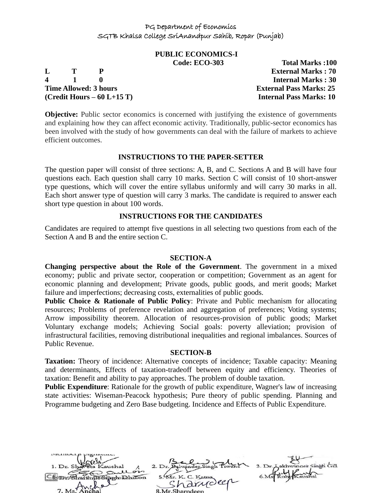# **PUBLIC ECONOMICS-I**

**L T P External Marks : 70 4 1 0 Internal Marks : 30 Time Allowed: 3 hours External Pass Marks: 25 (Credit Hours – 60 L+15 T) Internal Pass Marks: 10**

**Code: ECO-303 Total Marks :100**

**Objective:** Public sector economics is concerned with justifying the existence of governments and explaining how they can affect economic activity. Traditionally, public-sector economics has been involved with the study of how governments can deal with the failure of markets to achieve efficient outcomes.

#### **INSTRUCTIONS TO THE PAPER-SETTER**

The question paper will consist of three sections: A, B, and C. Sections A and B will have four questions each. Each question shall carry 10 marks. Section C will consist of 10 short-answer type questions, which will cover the entire syllabus uniformly and will carry 30 marks in all. Each short answer type of question will carry 3 marks. The candidate is required to answer each short type question in about 100 words.

# **INSTRUCTIONS FOR THE CANDIDATES**

Candidates are required to attempt five questions in all selecting two questions from each of the Section A and B and the entire section C.

#### **SECTION-A**

**Changing perspective about the Role of the Government**. The government in a mixed economy; public and private sector, cooperation or competition; Government as an agent for economic planning and development; Private goods, public goods, and merit goods; Market failure and imperfections; decreasing costs, externalities of public goods.

**Public Choice & Rationale of Public Policy:** Private and Public mechanism for allocating resources; Problems of preference revelation and aggregation of preferences; Voting systems; Arrow impossibility theorem. Allocation of resources-provision of public goods; Market Voluntary exchange models; Achieving Social goals: poverty alleviation; provision of infrastructural facilities, removing distributional inequalities and regional imbalances. Sources of Public Revenue.

# **SECTION-B**

**Taxation:** Theory of incidence: Alternative concepts of incidence; Taxable capacity: Meaning and determinants, Effects of taxation-tradeoff between equity and efficiency. Theories of taxation: Benefit and ability to pay approaches. The problem of double taxation.

**Public Expenditure**: Rationale for the growth of public expenditure, Wagner's law of increasing state activities: Wiseman-Peacock hypothesis; Pure theory of public spending. Planning and Programme budgeting and Zero Base budgeting. Incidence and Effects of Public Expenditure.

 $2. D<sub>1</sub>$ pphilon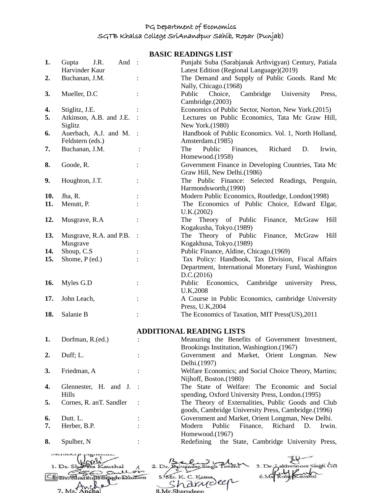**BASIC READINGS LIST**

| 1.             | J.R.<br>And<br>Gupta                                         | $\sim$ 1  | Punjabi Suba (Sarabjanak Arthvigyan) Century, Patiala                                      |  |
|----------------|--------------------------------------------------------------|-----------|--------------------------------------------------------------------------------------------|--|
| $\mathbf{2}$ . | Harvinder Kaur<br>Buchanan, J.M.                             |           | Latest Edition (Regional Language)(2019)<br>The Demand and Supply of Public Goods. Rand Mc |  |
|                |                                                              |           | Nally, Chicago.(1968)                                                                      |  |
| 3.             | Mueller, D.C                                                 |           | Public<br>Cambridge<br>University<br>Choice,<br>Press,<br>Cambridge.(2003)                 |  |
| 4.             | Stiglitz, J.E.                                               |           | Economics of Public Sector, Norton, New York.(2015)                                        |  |
| 5.             | Atkinson, A.B. and J.E.                                      |           | Lectures on Public Economics, Tata Mc Graw Hill,                                           |  |
|                | Siglitz                                                      |           | New York.(1980)                                                                            |  |
| 6.             | Auerbach, A.J. and M.<br>Feldstern (eds.)                    | $\cdot$ : | Handbook of Public Economics. Vol. 1, North Holland,<br>Amsterdam.(1985)                   |  |
| 7.             | Buchanan, J.M.                                               |           | Public<br>The<br>Finances,<br>Richard<br>D.<br>Irwin,                                      |  |
|                |                                                              |           | Homewood.(1958)                                                                            |  |
| 8.             | Goode, R.                                                    |           | Government Finance in Developing Countries, Tata Mc<br>Graw Hill, New Delhi.(1986)         |  |
| 9.             | Houghton, J.T.                                               |           | The Public Finance: Selected Readings, Penguin,                                            |  |
|                |                                                              |           | Harmondsworth, (1990)                                                                      |  |
| 10.            | Jha, R.                                                      |           | Modern Public Economics, Routledge, London(1998)                                           |  |
| 11.            | Menutt, P.                                                   |           | The Economics of Public Choice, Edward Elgar,                                              |  |
|                |                                                              |           | U.K.(2002)                                                                                 |  |
| 12.            | Musgrave, R.A                                                |           | Theory of Public<br>Finance,<br>McGraw<br>Hill<br>The                                      |  |
|                |                                                              |           | Kogakusha, Tokyo.(1989)                                                                    |  |
| 13.            | Musgrave, R.A. and P.B.                                      |           | Theory of Public<br>Finance,<br>McGraw<br>Hill<br>The                                      |  |
|                | Musgrave                                                     |           | Kogakhusa, Tokyo.(1989)                                                                    |  |
| 14.            | Shoup, C.S.                                                  |           | Public Finance, Aldine, Chicago.(1969)                                                     |  |
| 15.            | Shome, $P$ (ed.)                                             |           | Tax Policy: Handbook, Tax Division, Fiscal Affairs                                         |  |
|                |                                                              |           | Department, International Monetary Fund, Washington                                        |  |
|                |                                                              |           | D.C.(2016)                                                                                 |  |
| 16.            | Myles G.D                                                    |           | Public Economics,<br>Cambridge<br>university<br>Press,<br>U.K,2008                         |  |
| 17.            | John Leach,                                                  |           | A Course in Public Economics, cambridge University                                         |  |
|                |                                                              |           | Press, U.K, 2004                                                                           |  |
| 18.            | Salanie B                                                    |           | The Economics of Taxation, MIT Press(US), 2011                                             |  |
|                |                                                              |           | <b>ADDITIONAL READING LISTS</b>                                                            |  |
| 1.             | Dorfman, R.(ed.)                                             |           | Measuring the Benefits of Government Investment,                                           |  |
|                |                                                              |           | Brookings Institution, Washingtion.(1967)                                                  |  |
| $\mathbf{2}$ . | Duff; L.                                                     |           | Government and Market, Orient Longman. New                                                 |  |
|                |                                                              |           | Delhi.(1997)                                                                               |  |
| 3.             | Friedman, A                                                  |           | Welfare Economics; and Social Choice Theory, Martins;                                      |  |
|                |                                                              |           | Nijhoff, Boston.(1980)                                                                     |  |
| 4.             | Glennester, H. and J.                                        |           | The State of Welfare: The Economic and Social                                              |  |
|                | Hills                                                        |           | spending, Oxford University Press, London.(1995)                                           |  |
| 5.             | Cornes, R. anT. Sandler                                      |           | The Theory of Externalities, Public Goods and Club                                         |  |
|                |                                                              |           | goods, Cambridge University Press, Cambridge.(1996)                                        |  |
| 6.             | Dutt. L.                                                     |           | Government and Market, Orient Longman, New Delhi.                                          |  |
| 7.             | Herber, B.P.                                                 |           | Modern<br>Public<br>Finance,<br>Richard<br>D.<br>Irwin.<br>Homewood.(1967)                 |  |
| 8.             | Spulber, N                                                   |           | the State, Cambridge University Press,<br>Redefining                                       |  |
|                |                                                              |           |                                                                                            |  |
|                |                                                              |           |                                                                                            |  |
|                | 3. Dr. Lakhwinger Singh Gill<br>$1.$ Dr. Sl<br>2. Dr. Balwin |           |                                                                                            |  |
|                | 5. Mr. K. C. Katn<br>Jo Sipph Dhillon<br>Cecoms              |           |                                                                                            |  |
|                |                                                              |           | $ch$ ar                                                                                    |  |
|                |                                                              |           | 8.Mr.Sharndeen                                                                             |  |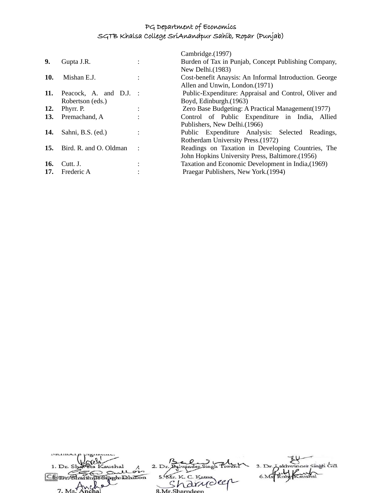|     |                        | Cambridge.(1997)                                       |
|-----|------------------------|--------------------------------------------------------|
| 9.  | Gupta J.R.             | Burden of Tax in Punjab, Concept Publishing Company,   |
|     |                        | New Delhi. $(1983)$                                    |
| 10. | Mishan E.J.            | Cost-benefit Anaysis: An Informal Introduction. George |
|     |                        | Allen and Unwin, London.(1971)                         |
| 11. | Peacock, A. and D.J. : | Public-Expenditure: Appraisal and Control, Oliver and  |
|     | Robertson (eds.)       | Boyd, Edinburgh. (1963)                                |
| 12. | Phyrr. P.              | Zero Base Budgeting: A Practical Management (1977)     |
| 13. | Premachand, A          | Control of Public Expenditure in India, Allied         |
|     |                        | Publishers, New Delhi. (1966)                          |
| 14. | Sahni, B.S. (ed.)      | Public Expenditure Analysis: Selected Readings,        |
|     |                        | Rotherdam University Press. (1972)                     |
| 15. | Bird. R. and O. Oldman | Readings on Taxation in Developing Countries, The      |
|     |                        | John Hopkins University Press, Baltimore. (1956)       |
| 16. | Cutt. J.               | Taxation and Economic Development in India, (1969)     |
| 17. | Frederic A             | Praegar Publishers, New York.(1994)                    |
|     |                        |                                                        |

| 1. Dr. Shaveta Kaushal |                    | 3. Dr. Lakhwinger Singh Gill |
|------------------------|--------------------|------------------------------|
| Sullon                 |                    |                              |
| in Signah Dhillon      | 5. Mr. K. C. Katna |                              |
|                        | 'a drudeer         |                              |
| 7. Ms. Anchal          | 8 Mr Sharndeen     |                              |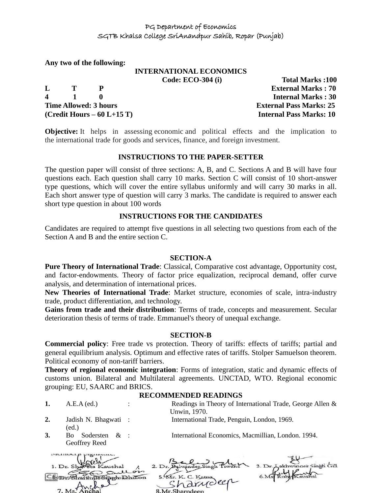**Any two of the following:**

# **INTERNATIONAL ECONOMICS**

**4 1 0 Internal Marks : 30 Time Allowed: 3 hours External Pass Marks: 25 (Credit Hours – 60 L+15 T) Internal Pass Marks: 10**

**Code: ECO-304 (i) Total Marks :100 L T P External Marks : 70**

**Objective:** It helps in assessing economic and political effects and the implication to the international trade for goods and services, finance, and foreign investment.

#### **INSTRUCTIONS TO THE PAPER-SETTER**

The question paper will consist of three sections: A, B, and C. Sections A and B will have four questions each. Each question shall carry 10 marks. Section C will consist of 10 short-answer type questions, which will cover the entire syllabus uniformly and will carry 30 marks in all. Each short answer type of question will carry 3 marks. The candidate is required to answer each short type question in about 100 words

# **INSTRUCTIONS FOR THE CANDIDATES**

Candidates are required to attempt five questions in all selecting two questions from each of the Section A and B and the entire section C.

# **SECTION-A**

**Pure Theory of International Trade**: Classical, Comparative cost advantage, Opportunity cost, and factor-endowments. Theory of factor price equalization, reciprocal demand, offer curve analysis, and determination of international prices.

**New Theories of International Trade**: Market structure, economies of scale, intra-industry trade, product differentiation, and technology.

**Gains from trade and their distribution**: Terms of trade, concepts and measurement. Secular deterioration thesis of terms of trade. Emmanuel's theory of unequal exchange.

#### **SECTION-B**

**Commercial policy**: Free trade vs protection. Theory of tariffs: effects of tariffs; partial and general equilibrium analysis. Optimum and effective rates of tariffs. Stolper Samuelson theorem. Political economy of non-tariff barriers.

**Theory of regional economic integration**: Forms of integration, static and dynamic effects of customs union. Bilateral and Multilateral agreements. UNCTAD, WTO. Regional economic grouping: EU, SAARC and BRICS.

#### **RECOMMENDED READINGS**

**1.** A.E.A (ed.) : Readings in Theory of International Trade, George Allen & Unwin, 1970. **2.** Jadish N. Bhagwati : International Trade, Penguin, London, 1969. (ed.) **3.** Bo Sodersten & : International Economics, Macmillian, London. 1994.Geoffrey Reed manderp pignance.

| $-$                    |                    |                              |
|------------------------|--------------------|------------------------------|
| 1. Dr. Shareta Kaushal |                    | 3. Dr. Lakhwinder Singh Gill |
| Sullois                |                    |                              |
| In Simoh Dhillon       | 5. Mr. K. C. Katna |                              |
|                        | "harrioler         |                              |
| 7. Ms. Anchal          |                    |                              |
|                        | 8 Mr Sharndeen     |                              |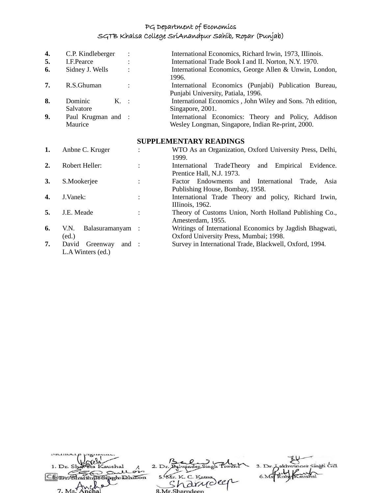| 4. | C.P. Kindleberger  |                      | International Economics, Richard Irwin, 1973, Illinois.     |
|----|--------------------|----------------------|-------------------------------------------------------------|
| 5. | I.F.Pearce         |                      | International Trade Book I and II. Norton, N.Y. 1970.       |
| 6. | Sidney J. Wells    |                      | International Economics, George Allen & Unwin, London,      |
|    |                    |                      | 1996.                                                       |
| 7. | R.S.Ghuman         | $\ddot{\phantom{0}}$ | International Economics (Punjabi) Publication Bureau,       |
|    |                    |                      | Punjabi University, Patiala, 1996.                          |
| 8. | Dominic<br>K. :    |                      | International Economics , John Wiley and Sons. 7th edition, |
|    | Salvatore          |                      | Singapore, 2001.                                            |
| 9. | Paul Krugman and : |                      | International Economics: Theory and Policy, Addison         |
|    | Maurice            |                      | Wesley Longman, Singapore, Indian Re-print, 2000.           |

#### **SUPPLEMENTARY READINGS**

| 1. | Anbne C. Kruger                                 | WTO As an Organization, Oxford University Press, Delhi,<br>1999.                                   |
|----|-------------------------------------------------|----------------------------------------------------------------------------------------------------|
| 2. | Robert Heller:                                  | Empirical<br>Evidence.<br>TradeTheory<br>and<br>International<br>Prentice Hall, N.J. 1973.         |
| 3. | S.Mookerjee                                     | Factor Endowments and International<br>Trade,<br>Asia<br>Publishing House, Bombay, 1958.           |
| 4. | J.Vanek:                                        | International Trade Theory and policy, Richard Irwin,<br>IIIinois, 1962.                           |
| 5. | J.E. Meade                                      | Theory of Customs Union, North Holland Publishing Co.,<br>Amesterdam, 1955.                        |
| 6. | Balasuramanyam :<br>V.N.<br>(ed.)               | Writings of International Economics by Jagdish Bhagwati,<br>Oxford University Press, Mumbai; 1998. |
| 7. | David<br>Greenway<br>and :<br>L.A Winters (ed.) | Survey in International Trade, Blackwell, Oxford, 1994.                                            |

| 1. Dr. Shareta Kaushal  |                    | 3. Dr. Lakhwinder Singh Gill |
|-------------------------|--------------------|------------------------------|
| Sullon                  |                    |                              |
| ShartinusSiarch Dhillon | 5. Mr. K. C. Katna |                              |
| $\sim$                  | harrideen          |                              |
| 7. Ms. Anchal           | 8 Mr Sharndeen     |                              |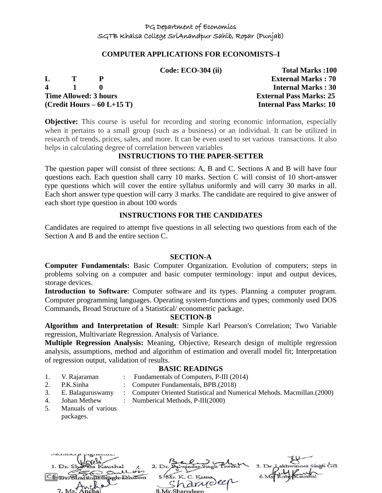#### **COMPUTER APPLICATIONS FOR ECONOMISTS–I**

|              |              |                              | Code: ECO-304 (ii) | <b>Total Marks:100</b>         |
|--------------|--------------|------------------------------|--------------------|--------------------------------|
| $\mathbf{L}$ | - 72         |                              |                    | <b>External Marks: 70</b>      |
| $\mathbf 4$  | $\mathbf{1}$ |                              |                    | <b>Internal Marks: 30</b>      |
|              |              | <b>Time Allowed: 3 hours</b> |                    | <b>External Pass Marks: 25</b> |
|              |              | $(Credit Hours - 60 L+15 T)$ |                    | <b>Internal Pass Marks: 10</b> |

**Objective:** This course is useful for recording and storing economic information, especially when it pertains to a small group (such as a business) or an individual. It can be utilized in research of trends, prices, sales, and more. It can be even used to set various transactions. It also helps in calculating degree of correlation between variables

#### **INSTRUCTIONS TO THE PAPER-SETTER**

The question paper will consist of three sections: A, B and C. Sections A and B will have four questions each. Each question shall carry 10 marks. Section C will consist of 10 short-answer type questions which will cover the entire syllabus uniformly and will carry 30 marks in all. Each short answer type question will carry 3 marks. The candidate are required to give answer of each short type question in about 100 words

#### **INSTRUCTIONS FOR THE CANDIDATES**

Candidates are required to attempt five questions in all selecting two questions from each of the Section A and B and the entire section C.

#### **SECTION-A**

**Computer Fundamentals:** Basic Computer Organization. Evolution of computers; steps in problems solving on a computer and basic computer terminology: input and output devices, storage devices.

**Introduction to Software**: Computer software and its types. Planning a computer program. Computer programming languages. Operating system-functions and types; commonly used DOS Commands, Broad Structure of a Statistical/ econometric package.

#### **SECTION-B**

**Algorithm and Interpretation of Result**: Simple Karl Pearson's Correlation; Two Variable regression, Multivariate Regression. Analysis of Variance.

**Multiple Regression Analysis:** Meaning, Objective, Research design of multiple regression analysis, assumptions, method and algorithm of estimation and overall model fit; Interpretation of regression output, validation of results.

#### **BASIC READINGS**

- 1. V. Rajaraman : Fundamentals of Computers, P-III (2014)
	-
- 2. P.K.Sinha : Computer Fundamentals, BPB.(2018)
- 3. E. Balaguruswamy : Computer Oriented Statistical and Numerical Mehods. Macmillan.(2000)
- 4. Johan Methew : Numberical Methods, P-III(2000)
- 5. Manuals of various packages.

| 1. Dr. Shareta Kaushal |                                  | 3. Dr. Lakhwinger Singh Gill |
|------------------------|----------------------------------|------------------------------|
| gullon                 |                                  |                              |
| in Sinoho Dhillon      | 5. Mr. K. C. Katna<br>'a drudeer |                              |
| $\sim$<br>7 Me Anchal  | 2 Mr Charpdoon                   |                              |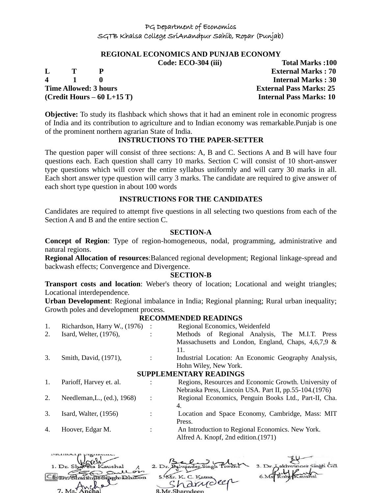#### **REGIONAL ECONOMICS AND PUNJAB ECONOMY**

**L T P External Marks : 70 4 1 0 Internal Marks : 30 Time Allowed: 3 hours External Pass Marks: 25 (Credit Hours – 60 L+15 T) Internal Pass Marks: 10**

manner p pignana.

**Code: ECO-304 (iii) Total Marks :100**

**Objective:** To study its flashback which shows that it had an eminent role in economic progress of India and its contribution to agriculture and to Indian economy was remarkable.Punjab is one of the prominent northern agrarian State of India.

# **INSTRUCTIONS TO THE PAPER-SETTER**

The question paper will consist of three sections: A, B and C. Sections A and B will have four questions each. Each question shall carry 10 marks. Section C will consist of 10 short-answer type questions which will cover the entire syllabus uniformly and will carry 30 marks in all. Each short answer type question will carry 3 marks. The candidate are required to give answer of each short type question in about 100 words

#### **INSTRUCTIONS FOR THE CANDIDATES**

Candidates are required to attempt five questions in all selecting two questions from each of the Section A and B and the entire section C.

#### **SECTION-A**

**Concept of Region**: Type of region-homogeneous, nodal, programming, administrative and natural regions.

**Regional Allocation of resources**:Balanced regional development; Regional linkage-spread and backwash effects; Convergence and Divergence.

#### **SECTION-B**

**Transport costs and location**: Weber's theory of location; Locational and weight triangles; Locational interdependence.

**Urban Development**: Regional imbalance in India; Regional planning; Rural urban inequality; Growth poles and development process.

#### **RECOMMENDED READINGS**

| 1. | Richardson, Harry W., (1976) |                | Regional Economics, Weidenfeld                           |
|----|------------------------------|----------------|----------------------------------------------------------|
| 2. | Isard, Welter, (1976),       | ٠              | Methods of Regional Analysis, The M.I.T. Press           |
|    |                              |                | Massachusetts and London, England, Chaps, $4,6,7,9$ &    |
|    |                              |                | 11.                                                      |
| 3. | Smith, David, (1971),        |                | Industrial Location: An Economic Geography Analysis,     |
|    |                              |                | Hohn Wiley, New York.                                    |
|    |                              |                | <b>SUPPLEMENTARY READINGS</b>                            |
| 1. | Parioff, Harvey et. al.      |                | Regions, Resources and Economic Growth. University of    |
|    |                              |                | Nebraska Press, Lincoin USA. Part II, pp. 55-104. (1976) |
| 2. | Needleman, L., (ed.), 1968)  | $\ddot{\cdot}$ | Regional Economics, Penguin Books Ltd., Part-II, Cha.    |
|    |                              |                | 4.                                                       |
| 3. | Isard, Walter, $(1956)$      |                | Location and Space Economy, Cambridge, Mass: MIT         |
|    |                              |                | Press.                                                   |
| 4. | Hoover, Edgar M.             |                | An Introduction to Regional Economics. New York.         |
|    |                              |                | Alfred A. Knopf, 2nd edition. (1971)                     |
|    |                              |                |                                                          |

| $\overline{\phantom{a}}$    |                    |                              |
|-----------------------------|--------------------|------------------------------|
| 1. Dr. Shareta Kaushal      |                    | 3. Dr. Lakhwinder Singh Gill |
| gullon<br>w                 |                    |                              |
| CScpmGharttnusSiaghtDhillon | 5. Mr. K. C. Katna |                              |
|                             | · harriolen        |                              |
| 7. Ms. Anchal               | 8 Mr Sharndeen     |                              |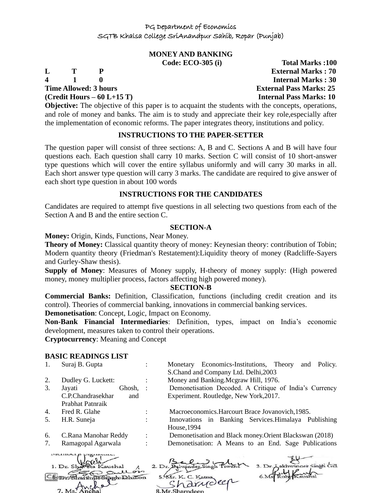# **MONEY AND BANKING**

**Time Allowed: 3 hours External Pass Marks: 25** 

**(Credit Hours – 60 L+15 T) Internal Pass Marks: 10**

**Code: ECO-305 (i) Total Marks :100 L T P External Marks : 70 4 1 0 Internal Marks : 30**

**Objective:** The objective of this paper is to acquaint the students with the concepts, operations, and role of money and banks. The aim is to study and appreciate their key role,especially after the implementation of economic reforms. The paper integrates theory, institutions and policy.

# **INSTRUCTIONS TO THE PAPER-SETTER**

The question paper will consist of three sections: A, B and C. Sections A and B will have four questions each. Each question shall carry 10 marks. Section C will consist of 10 short-answer type questions which will cover the entire syllabus uniformly and will carry 30 marks in all. Each short answer type question will carry 3 marks. The candidate are required to give answer of each short type question in about 100 words

#### **INSTRUCTIONS FOR THE CANDIDATES**

Candidates are required to attempt five questions in all selecting two questions from each of the Section A and B and the entire section C.

#### **SECTION-A**

**Money:** Origin, Kinds, Functions, Near Money.

**Theory of Money:** Classical quantity theory of money: Keynesian theory: contribution of Tobin; Modern quantity theory (Friedman's Restatement):Liquidity theory of money (Radcliffe-Sayers and Gurley-Shaw thesis).

**Supply of Money**: Measures of Money supply, H-theory of money supply: (High powered money, money multiplier process, factors affecting high powered money).

# **SECTION-B**

**Commercial Banks:** Definition, Classification, functions (including credit creation and its control). Theories of commercial banking, innovations in commercial banking services.

**Demonetisation**: Concept, Logic, Impact on Economy.

**Non-Bank Financial Intermediaries**: Definition, types, impact on India's economic development, measures taken to control their operations.

**Cryptocurrency**: Meaning and Concept

# **BASIC READINGS LIST**

1. Suraj B. Gupta : Monetary Economics-Institutions, Theory and Policy. S.Chand and Company Ltd. Delhi,2003 2. Dudley G. Luckett: : : Money and Banking.Mcgraw Hill, 1976. 3. Jayati Ghosh, : Demonetisation Decoded. A Critique of India's Currency Experiment. Routledge, New York,2017. C.P.Chandrasekhar and Prabhat Patnraik 4. Fred R. Glahe : Macroeconomics.Harcourt Brace Jovanovich,1985. 5. H.R. Suneja : Innovations in Banking Services.Himalaya Publishing House,1994 6. C.Rana Manohar Reddy : Demonetisation and Black money.Orient Blackswan (2018) 7. Ramagopal Agarwala : Demonetisation: A Means to an End. Sage Publications municip pignami.  $-111$ 

| 1. Dr. Shaveta Kaushal                         | 2. Dr.                        | 3. Dr. Lakhwinder Singh Gill |
|------------------------------------------------|-------------------------------|------------------------------|
| gullon<br>$\sim$<br>CScpmGhartinusSipphDhillon | 5. Mr. K. C. Katna            | Kaushal                      |
| 7. Ms Anche                                    | in arriveer<br>8 Mr Sharndeen |                              |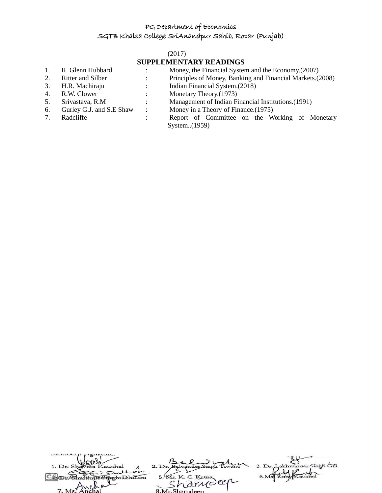#### (2017)

# **SUPPLEMENTARY READINGS**

- 1. R. Glenn Hubbard : Money, the Financial System and the Economy.(2007)
- 
- 
- 
- 
- 
- 
- 2. Ritter and Silber : Principles of Money, Banking and Financial Markets.(2008)
- 3. H.R. Machiraju : Indian Financial System.(2018)
- 4. R.W. Clower : Monetary Theory.(1973)
- 5. Srivastava, R.M : Management of Indian Financial Institutions.(1991)
- 6. Gurley G.J. and S.E Shaw : Money in a Theory of Finance.(1975)
- 7. Radcliffe : Report of Committee on the Working of Monetary System..(1959)

| mennocrp promissio.    |                    |                              |
|------------------------|--------------------|------------------------------|
|                        |                    |                              |
| 1. Dr. Shareta Kaushal |                    | 3. Dr. Aakhwinder Singh Gill |
| Sullois                |                    |                              |
| ShartinusSiarhilon     | 5. Mr. K. C. Katna |                              |
|                        | "harrydeen         |                              |
| $7. Ms$ mche           |                    |                              |
|                        | 8.Mr.Sharndeep     |                              |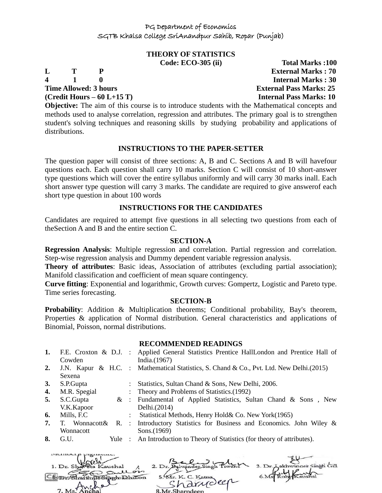# **THEORY OF STATISTICS**

**Code: ECO-305 (ii) Total Marks :100 L T P External Marks : 70 4 1 0 Internal Marks : 30 Time Allowed: 3 hours External Pass Marks: 25 (Credit Hours – 60 L+15 T) Internal Pass Marks: 10**

**Objective:** The aim of this course is to introduce students with the Mathematical concepts and methods used to analyse correlation, regression and attributes. The primary goal is to strengthen student's solving techniques and reasoning skills by studying probability and applications of distributions.

# **INSTRUCTIONS TO THE PAPER-SETTER**

The question paper will consist of three sections: A, B and C. Sections A and B will havefour questions each. Each question shall carry 10 marks. Section C will consist of 10 short-answer type questions which will cover the entire syllabus uniformly and will carry 30 marks inall. Each short answer type question will carry 3 marks. The candidate are required to give answerof each short type question in about 100 words

# **INSTRUCTIONS FOR THE CANDIDATES**

Candidates are required to attempt five questions in all selecting two questions from each of theSection A and B and the entire section C.

# **SECTION-A**

**Regression Analysis**: Multiple regression and correlation. Partial regression and correlation. Step-wise regression analysis and Dummy dependent variable regression analysis.

**Theory of attributes**: Basic ideas, Association of attributes (excluding partial association); Manifold classification and coefficient of mean square contingency.

**Curve fitting**: Exponential and logarithmic, Growth curves: Gompertz, Logistic and Pareto type. Time series forecasting.

#### **SECTION-B**

**Probability:** Addition & Multiplication theorems; Conditional probability, Bay's theorem, Properties & application of Normal distribution. General characteristics and applications of Binomial, Poisson, normal distributions.

#### **RECOMMENDED READINGS**

| 1. | Cowden        | F.E. Croxton & D.J. : Applied General Statistics Prentice HallLondon and Prentice Hall of<br>India. $(1967)$ |
|----|---------------|--------------------------------------------------------------------------------------------------------------|
| 2. | Sexena        | J.N. Kapur & H.C. : Mathematical Statistics, S. Chand & Co., Pvt. Ltd. New Delhi. (2015)                     |
| 3. | S.P.Gupta     | : Statistics, Sultan Chand & Sons, New Delhi, 2006.                                                          |
| 4. | M.R. Spegial  | : Theory and Problems of Statistics. (1992)                                                                  |
| 5. | S.C.Gupta     | & : Fundamental of Applied Statistics, Sultan Chand & Sons, New                                              |
|    | V.K.Kapoor    | Delhi.(2014)                                                                                                 |
| 6. | Mills, F.C    | Statistical Methods, Henry Hold& Co. New York(1965)                                                          |
| 7. | T. Wonnacott& | R. : Introductory Statistics for Business and Economics. John Wiley &                                        |
|    | Wonnacott     | Sons.(1969)                                                                                                  |
| 8. | G.U.<br>Yule  | : An Introduction to Theory of Statistics (for theory of attributes).                                        |
|    |               | $12.07 \cdot 1$                                                                                              |

| 1. Dr. Shareta Kaushal            |                    | 3. Dr. Lakhwinger Singh Gill |
|-----------------------------------|--------------------|------------------------------|
| gullon<br>Shartinus Singhabhillon | 5. Mr. K. C. Katna |                              |
|                                   | · Finideer         |                              |
| 7 Metapohal                       | 2 Mr Charpdoon     |                              |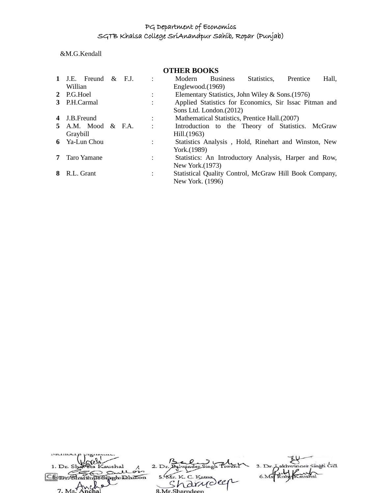&M.G.Kendall

# **OTHER BOOKS**

|   |              | 1 J.E. Freund $\&$ F.J.   |  |                | Modern           | <b>Business</b>          | Statistics,                                            | Prentice | Hall, |
|---|--------------|---------------------------|--|----------------|------------------|--------------------------|--------------------------------------------------------|----------|-------|
|   | Willian      |                           |  |                | Englewood.(1969) |                          |                                                        |          |       |
|   | 2 P.G.Hoel   |                           |  | $\ddot{\cdot}$ |                  |                          | Elementary Statistics, John Wiley & Sons. (1976)       |          |       |
|   | 3 P.H.Carmal |                           |  | $\bullet$      |                  |                          | Applied Statistics for Economics, Sir Issac Pitman and |          |       |
|   |              |                           |  |                |                  | Sons Ltd. London. (2012) |                                                        |          |       |
| 4 | J.B.Freund   |                           |  |                |                  |                          | Mathematical Statistics, Prentice Hall. (2007)         |          |       |
|   |              | <b>5</b> A.M. Mood & F.A. |  | $\ddot{\cdot}$ |                  |                          | Introduction to the Theory of Statistics. McGraw       |          |       |
|   | Graybill     |                           |  |                | Hill.(1963)      |                          |                                                        |          |       |
|   |              | 6 Ya-Lun Chou             |  | $\ddot{\cdot}$ |                  |                          | Statistics Analysis, Hold, Rinehart and Winston, New   |          |       |
|   |              |                           |  |                | York.(1989)      |                          |                                                        |          |       |
|   |              | <b>7</b> Taro Yamane      |  |                |                  |                          | Statistics: An Introductory Analysis, Harper and Row,  |          |       |
|   |              |                           |  |                | New York. (1973) |                          |                                                        |          |       |
|   | 8 R.L. Grant |                           |  |                |                  |                          | Statistical Quality Control, McGraw Hill Book Company, |          |       |
|   |              |                           |  |                | New York. (1996) |                          |                                                        |          |       |

| 1. Dr. Shareta Kaushal                  |                    | 3. Dr. Lakhwinger Singh Gill |
|-----------------------------------------|--------------------|------------------------------|
| Sullon<br>in Sinoh Dhillon              | 5. Mr. K. C. Katna |                              |
|                                         | · anideer          |                              |
| $7 \text{ Me}^{\frac{1}{4} \text{MeV}}$ | 8 Mr Sharpdeen     |                              |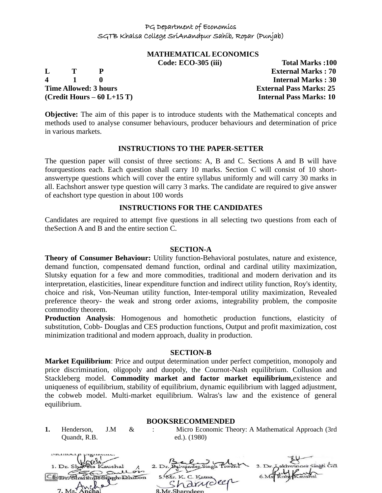# **MATHEMATICAL ECONOMICS**

**4 1 0 Internal Marks : 30 Time Allowed: 3 hours External Pass Marks: 25 (Credit Hours – 60 L+15 T) Internal Pass Marks: 10**

**Code: ECO-305 (iii) Total Marks :100 L T P External Marks : 70**

**Objective:** The aim of this paper is to introduce students with the Mathematical concepts and methods used to analyse consumer behaviours, producer behaviours and determination of price in various markets.

#### **INSTRUCTIONS TO THE PAPER-SETTER**

The question paper will consist of three sections: A, B and C. Sections A and B will have fourquestions each. Each question shall carry 10 marks. Section C will consist of 10 shortanswertype questions which will cover the entire syllabus uniformly and will carry 30 marks in all. Eachshort answer type question will carry 3 marks. The candidate are required to give answer of eachshort type question in about 100 words

#### **INSTRUCTIONS FOR THE CANDIDATES**

Candidates are required to attempt five questions in all selecting two questions from each of theSection A and B and the entire section C.

#### **SECTION-A**

**Theory of Consumer Behaviour:** Utility function-Behavioral postulates, nature and existence, demand function, compensated demand function, ordinal and cardinal utility maximization, Slutsky equation for a few and more commodities, traditional and modern derivation and its interpretation, elasticities, linear expenditure function and indirect utility function, Roy's identity, choice and risk, Von-Neuman utility function, Inter-temporal utility maximization, Revealed preference theory- the weak and strong order axioms, integrability problem, the composite commodity theorem.

**Production Analysis**: Homogenous and homothetic production functions, elasticity of substitution, Cobb- Douglas and CES production functions, Output and profit maximization, cost minimization traditional and modern approach, duality in production.

#### **SECTION-B**

**Market Equilibrium**: Price and output determination under perfect competition, monopoly and price discrimination, oligopoly and duopoly, the Cournot-Nash equilibrium. Collusion and Stackleberg model. **Commodity market and factor market equilibrium,**existence and uniqueness of equilibrium, stability of equilibrium, dynamic equilibrium with lagged adjustment, the cobweb model. Multi-market equilibrium. Walras's law and the existence of general equilibrium.

#### **BOOKSRECOMMENDED**

**1.** Henderson, J.M & Quandt, R.B.

: Micro Economic Theory: A Mathematical Approach (3rd ed.). (1980)

| .                        |                    |                              |
|--------------------------|--------------------|------------------------------|
| 1. Dr. Shaveta Kaushal   |                    | 3. Dr. Lakhwinder Singh Gill |
| as sull on               |                    |                              |
| <b>In Simoho Dhillon</b> | 5. Mr. K. C. Katna |                              |
|                          | "harrydeer         |                              |
| 7 Ms Anchal              | 2 Mr Charpdoon     |                              |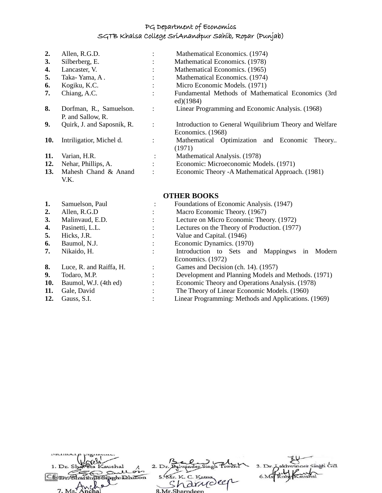| $\mathbf{2}$ | Allen, R.G.D.                                |                      | Mathematical Economics. (1974)                                              |
|--------------|----------------------------------------------|----------------------|-----------------------------------------------------------------------------|
| 3.           | Silberberg, E.                               | $\bullet$            | Mathematical Economics. (1978)                                              |
| 4.           | Lancaster, V.                                | $\bullet$            | Mathematical Economics. (1965)                                              |
| 5.           | Taka-Yama, A.                                |                      | Mathematical Economics. (1974)                                              |
| 6.           | Kogiku, K.C.                                 |                      | Micro Economic Models. (1971)                                               |
| 7.           | Chiang, A.C.                                 |                      | Fundamental Methods of Mathematical Economics (3rd<br>ed)(1984)             |
| 8.           | Dorfman, R., Samuelson.<br>P. and Sallow, R. | $\ddot{\cdot}$       | Linear Programming and Economic Analysis. (1968)                            |
| 9.           | Quirk, J. and Saposnik, R.                   |                      | Introduction to General Wquilibrium Theory and Welfare<br>Economics. (1968) |
| 10.          | Intriligatior, Michel d.                     |                      | Mathematical Optimization and Economic<br>Theory<br>(1971)                  |
| 11.          | Varian, H.R.                                 | $\ddot{\cdot}$       | Mathematical Analysis. (1978)                                               |
| 12.          | Nehar, Phillips, A.                          | $\ddot{\phantom{a}}$ | Economic: Microeconomic Models. (1971)                                      |
| 13.          | Mahesh Chand & Anand<br>V.K.                 | $\ddot{\cdot}$       | Economic Theory - A Mathematical Approach. (1981)                           |

# **OTHER BOOKS**

| 1.  | Samuelson, Paul         | ٠ | Foundations of Economic Analysis. (1947)             |  |  |
|-----|-------------------------|---|------------------------------------------------------|--|--|
| 2.  | Allen, R.G.D            |   | Macro Economic Theory. (1967)                        |  |  |
| 3.  | Malinvaud, E.D.         |   | Lecture on Micro Economic Theory. (1972)             |  |  |
| 4.  | Pasinetti, L.L.         |   | Lectures on the Theory of Production. (1977)         |  |  |
| 5.  | Hicks, J.R.             |   | Value and Capital. (1946)                            |  |  |
| 6.  | Baumol, N.J.            |   | Economic Dynamics. (1970)                            |  |  |
| 7.  | Nikaido, H.             |   | Modern<br>Introduction to Sets and Mappingws<br>1n   |  |  |
|     |                         |   | Economics. (1972)                                    |  |  |
| 8.  | Luce, R. and Raiffa, H. |   | Games and Decision (ch. 14). (1957)                  |  |  |
| 9.  | Todaro, M.P.            |   | Development and Planning Models and Methods. (1971)  |  |  |
| 10. | Baumol, W.J. (4th ed)   |   | Economic Theory and Operations Analysis. (1978)      |  |  |
| 11. | Gale, David             |   | The Theory of Linear Economic Models. (1960)         |  |  |
| 12. | Gauss, S.I.             |   | Linear Programming: Methods and Applications. (1969) |  |  |
|     |                         |   |                                                      |  |  |

| 1. Dr. Shaveta Kaushal            |                    | 3. Dr. Lakhwinger Singh Gill |
|-----------------------------------|--------------------|------------------------------|
| gullon<br>Chartinin Singhpopliton | 5. Mr. K. C. Katna |                              |
|                                   | 'n drucker         |                              |
| 7 Ms Anchal                       | 8 Mr Sharpdoon     |                              |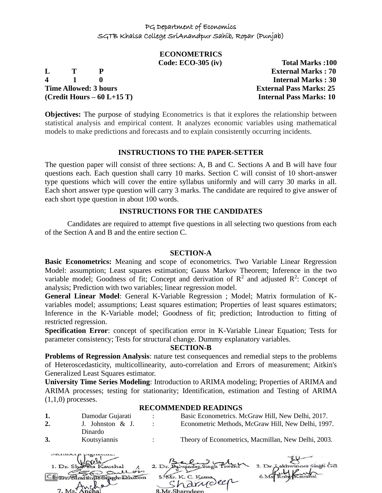# **ECONOMETRICS**

**4 1 0 Internal Marks : 30 Time Allowed: 3 hours External Pass Marks: 25 (Credit Hours – 60 L+15 T) Internal Pass Marks: 10**

**Code: ECO-305 (iv) Total Marks :100 L T P External Marks : 70**

**Objectives:** The purpose of studying Econometrics is that it explores the relationship between statistical analysis and empirical content. It analyzes economic variables using mathematical models to make predictions and forecasts and to explain consistently occurring incidents.

# **INSTRUCTIONS TO THE PAPER-SETTER**

The question paper will consist of three sections: A, B and C. Sections A and B will have four questions each. Each question shall carry 10 marks. Section C will consist of 10 short-answer type questions which will cover the entire syllabus uniformly and will carry 30 marks in all. Each short answer type question will carry 3 marks. The candidate are required to give answer of each short type question in about 100 words.

#### **INSTRUCTIONS FOR THE CANDIDATES**

Candidates are required to attempt five questions in all selecting two questions from each of the Section A and B and the entire section C.

#### **SECTION-A**

**Basic Econometrics:** Meaning and scope of econometrics. Two Variable Linear Regression Model: assumption; Least squares estimation; Gauss Markov Theorem; Inference in the two variable model; Goodness of fit; Concept and derivation of  $\mathbb{R}^2$  and adjusted  $\mathbb{R}^2$ : Concept of analysis; Prediction with two variables; linear regression model.

**General Linear Model**: General K-Variable Regression ; Model; Matrix formulation of Kvariables model; assumptions; Least squares estimation; Properties of least squares estimators; Inference in the K-Variable model; Goodness of fit; prediction; Introduction to fitting of restricted regression.

**Specification Error**: concept of specification error in K-Variable Linear Equation; Tests for parameter consistency; Tests for structural change. Dummy explanatory variables.

#### **SECTION-B**

**Problems of Regression Analysis**: nature test consequences and remedial steps to the problems of Heteroscedasticity, multicollinearity, auto-correlation and Errors of measurement; Aitkin's Generalized Least Squares estimator.

**University Time Series Modeling**: Introduction to ARIMA modeling; Properties of ARIMA and ARIMA processes; testing for stationarity; Identification, estimation and Testing of ARIMA  $(1,1,0)$  processes.

#### **RECOMMENDED READINGS**

| 2. | Damodar Gujarati<br>J. Johnston & J. |               | Basic Econometrics. McGraw Hill, New Delhi, 2017.<br>Econometric Methods, McGraw Hill, New Delhi, 1997. |
|----|--------------------------------------|---------------|---------------------------------------------------------------------------------------------------------|
| 3. | Dinardo<br>Koutsyiannis              | $\mathcal{L}$ | Theory of Econometrics, Macmillan, New Delhi, 2003.                                                     |
|    |                                      |               |                                                                                                         |

| 1. Dr. Shaveta Kaushal |                    | 3. Dr. Lakhwinder Singh Gill |
|------------------------|--------------------|------------------------------|
| Sullois                |                    |                              |
| ShartinusSiarchilon    | 5. Mr. K. C. Katna |                              |
|                        | narroller          |                              |
| 7. Ms. Anchal          | 8 Mr Sharndeen     |                              |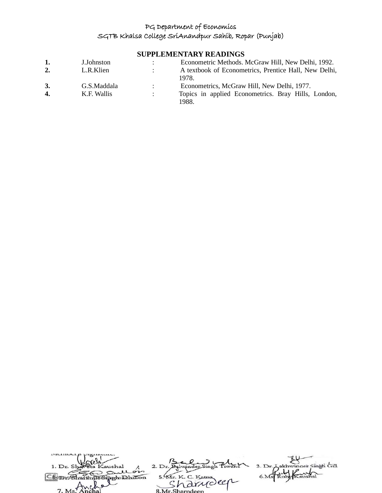# **SUPPLEMENTARY READINGS**

| 1.           | J.Johnston  | Econometric Methods. McGraw Hill, New Delhi, 1992.    |  |
|--------------|-------------|-------------------------------------------------------|--|
| 2.           | L.R.Klien   | A textbook of Econometrics, Prentice Hall, New Delhi, |  |
|              |             | 1978.                                                 |  |
| 3.           | G.S.Maddala | Econometrics, McGraw Hill, New Delhi, 1977.           |  |
| $\mathbf{4}$ | K.F. Wallis | Topics in applied Econometrics. Bray Hills, London,   |  |
|              |             | 1988.                                                 |  |

| 1. Dr. Shaveta Kaushal |                    | 3. Dr. Lakhwinger Singh Gill |
|------------------------|--------------------|------------------------------|
| as sullon              |                    |                              |
| in Singh Dhillon       | 5. Mr. K. C. Katna |                              |
|                        | arrideer           |                              |
| $-9$<br>7 Ms Anchal    | 8 Mr Sharpdoon     |                              |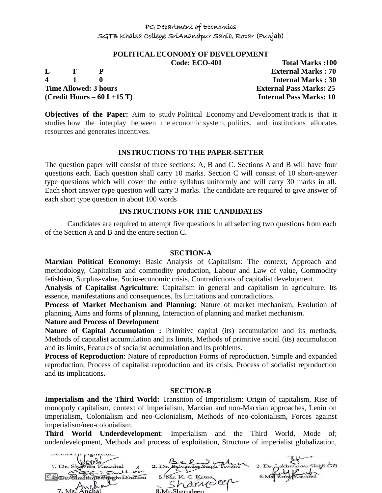# **POLITICAL ECONOMY OF DEVELOPMENT**

**4 1 0 Internal Marks : 30 Time Allowed: 3 hours External Pass Marks: 25 (Credit Hours – 60 L+15 T) Internal Pass Marks: 10**

**Code: ECO-401 Total Marks :100 L T P External Marks : 70**

**Objectives of the Paper:** Aim to study Political Economy and Development track is that it studies how the interplay between the economic system, politics, and institutions allocates resources and generates incentives.

#### **INSTRUCTIONS TO THE PAPER-SETTER**

The question paper will consist of three sections: A, B and C. Sections A and B will have four questions each. Each question shall carry 10 marks. Section C will consist of 10 short-answer type questions which will cover the entire syllabus uniformly and will carry 30 marks in all. Each short answer type question will carry 3 marks. The candidate are required to give answer of each short type question in about 100 words

#### **INSTRUCTIONS FOR THE CANDIDATES**

Candidates are required to attempt five questions in all selecting two questions from each of the Section A and B and the entire section C.

#### **SECTION-A**

**Marxian Political Economy:** Basic Analysis of Capitalism: The context, Approach and methodology, Capitalism and commodity production, Labour and Law of value, Commodity fetishism, Surplus-value, Socio-economic crisis, Contradictions of capitalist development.

**Analysis of Capitalist Agriculture**: Capitalism in general and capitalism in agriculture. Its essence, manifestations and consequences, Its limitations and contradictions.

**Process of Market Mechanism and Planning**: Nature of market mechanism, Evolution of planning, Aims and forms of planning, Interaction of planning and market mechanism.

#### **Nature and Process of Development**

**Nature of Capital Accumulation :** Primitive capital (its) accumulation and its methods, Methods of capitalist accumulation and its limits, Methods of primitive social (its) accumulation and its limits, Features of socialist accumulation and its problems.

**Process of Reproduction**: Nature of reproduction Forms of reproduction, Simple and expanded reproduction, Process of capitalist reproduction and its crisis, Process of socialist reproduction and its implications.

#### **SECTION-B**

**Imperialism and the Third World:** Transition of Imperialism: Origin of capitalism, Rise of monopoly capitalism, context of imperialism, Marxian and non-Marxian approaches, Lenin on imperialism, Colonialism and neo-Colonialism, Methods of neo-colonialism, Forces against imperialism/neo-colonialism.

**Third World Underdevelopment**: Imperialism and the Third World, Mode of; underdevelopment, Methods and process of exploitation, Structure of imperialist globalization,

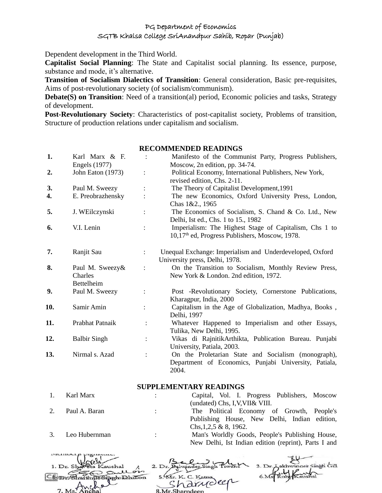Dependent development in the Third World.

**Capitalist Social Planning**: The State and Capitalist social planning. Its essence, purpose, substance and mode, it's alternative.

**Transition of Socialism Dialectics of Transition**: General consideration, Basic pre-requisites, Aims of post-revolutionary society (of socialism/communism).

**Debate(S) on Transition:** Need of a transition(al) period, Economic policies and tasks, Strategy of development.

**Post-Revolutionary Society**: Characteristics of post-capitalist society, Problems of transition, Structure of production relations under capitalism and socialism.

#### **RECOMMENDED READINGS**

| 1.  | Karl Marx & F.<br><b>Engels</b> (1977)          | $\ddot{\cdot}$ | Manifesto of the Communist Party, Progress Publishers,<br>Moscow, 2n edition, pp. 34-74.                              |  |
|-----|-------------------------------------------------|----------------|-----------------------------------------------------------------------------------------------------------------------|--|
| 2.  | John Eaton (1973)                               |                | Political Economy, International Publishers, New York,<br>revised edition, Chs. 2-11.                                 |  |
| 3.  | Paul M. Sweezy                                  |                | The Theory of Capitalist Development, 1991                                                                            |  |
| 4.  | E. Preobrazhensky                               |                | The new Economics, Oxford University Press, London,<br>Chas 1&2., 1965                                                |  |
| 5.  | J. WEilczynski                                  |                | The Economics of Socialism, S. Chand & Co. Ltd., New<br>Delhi, Ist ed., Chs. 1 to 15., 1982                           |  |
| 6.  | V.I. Lenin                                      | $\ddot{\cdot}$ | Imperialism: The Highest Stage of Capitalism, Chs 1 to<br>10,17 <sup>th</sup> ed, Progress Publishers, Moscow, 1978.  |  |
| 7.  | Ranjit Sau                                      | $\ddot{\cdot}$ | Unequal Exchange: Imperialism and Underdeveloped, Oxford<br>University press, Delhi, 1978.                            |  |
| 8.  | Paul M. Sweezy&<br>Charles<br><b>Bettelheim</b> |                | On the Transition to Socialism, Monthly Review Press,<br>New York & London. 2nd edition, 1972.                        |  |
| 9.  | Paul M. Sweezy                                  |                | Post -Revolutionary Society, Cornerstone Publications,<br>Kharagpur, India, 2000                                      |  |
| 10. | Samir Amin                                      |                | Capitalism in the Age of Globalization, Madhya, Books,<br>Delhi, 1997                                                 |  |
| 11. | Prabhat Patnaik                                 | $\ddot{\cdot}$ | Whatever Happened to Imperialism and other Essays,<br>Tulika, New Delhi, 1995.                                        |  |
| 12. | <b>Balbir Singh</b>                             | $\ddot{\cdot}$ | Vikas di RajnitikArthikta, Publication Bureau. Punjabi<br>University, Patiala, 2003.                                  |  |
| 13. | Nirmal s. Azad                                  | $\ddot{\cdot}$ | On the Proletarian State and Socialism (monograph),<br>Department of Economics, Punjabi University, Patiala,<br>2004. |  |

#### **SUPPLEMENTARY READINGS**

| -1. | Karl Marx     |               | Capital, Vol. I. Progress Publishers, Moscow    |
|-----|---------------|---------------|-------------------------------------------------|
|     |               |               | (undated) Chs, I, V, VII& VIII.                 |
|     | Paul A. Baran | $\mathcal{L}$ | The Political Economy of Growth, People's       |
|     |               |               | Publishing House, New Delhi, Indian edition,    |
|     |               |               | Chs, $1,2,5 \& 8$ , 1962.                       |
|     | Leo Hubernman |               | Man's Worldly Goods, People's Publishing House, |

New Delhi, Ist Indian edition (reprint), Parts I and

| mennocrp promissio.        |                    |                              |
|----------------------------|--------------------|------------------------------|
|                            |                    |                              |
| 1. Dr. Shareta Kaushal     |                    | 3. Dr. Lakhwinger Singh Gill |
|                            |                    |                              |
| gullon                     |                    |                              |
| Sharthun Sinch Dhillon     | 5. Mr. K. C. Katna |                              |
|                            | arrideer           |                              |
|                            |                    |                              |
| 7. Ms <sup>7</sup> A nchal | 8 Mr Sharndeen     |                              |
|                            |                    |                              |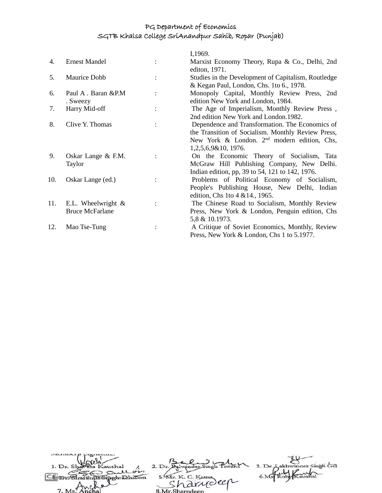|     |                                                 | I,1969.                                                                                                                                                                       |
|-----|-------------------------------------------------|-------------------------------------------------------------------------------------------------------------------------------------------------------------------------------|
| 4.  | <b>Ernest Mandel</b>                            | Marxist Economy Theory, Rupa & Co., Delhi, 2nd<br>editon, 1971.                                                                                                               |
| 5.  | Maurice Dobb                                    | Studies in the Development of Capitalism, Routledge<br>& Kegan Paul, London, Chs. 1to 6., 1978.                                                                               |
| 6.  | Paul A. Baran & P.M<br>. Sweezy                 | Monopoly Capital, Monthly Review Press, 2nd<br>edition New York and London, 1984.                                                                                             |
| 7.  | Harry Mid-off                                   | The Age of Imperialism, Monthly Review Press,<br>2nd edition New York and London.1982.                                                                                        |
| 8.  | Clive Y. Thomas                                 | Dependence and Transformation. The Economics of<br>the Transition of Socialism. Monthly Review Press,<br>New York & London. $2nd$ modern edition, Chs,<br>1,2,5,6,9&10, 1976. |
| 9.  | Oskar Lange & F.M.<br>Taylor                    | On the Economic Theory of Socialism, Tata<br>McGraw Hill Publishing Company, New Delhi.<br>Indian edition, pp, 39 to 54, 121 to 142, 1976.                                    |
| 10. | Oskar Lange (ed.)                               | Problems of Political Economy of Socialism,<br>People's Publishing House, New Delhi, Indian<br>edition, Chs 1to 4 & 14., 1965.                                                |
| 11. | E.L. Wheelwright $\&$<br><b>Bruce McFarlane</b> | The Chinese Road to Socialism, Monthly Review<br>Press, New York & London, Penguin edition, Chs<br>5,8 & 10.1973.                                                             |
| 12. | Mao Tse-Tung                                    | A Critique of Soviet Economics, Monthly, Review<br>Press, New York & London, Chs 1 to 5.1977.                                                                                 |

| MClIDCLB WILCHU.         |                    |                              |
|--------------------------|--------------------|------------------------------|
|                          |                    |                              |
| 1. Dr. Shareta Kaushal   |                    | 3. Dr. Lakhwinger Singh Gill |
| Sullon                   |                    |                              |
| Charthain Singhabahillon | 5. Mr. K. C. Katna |                              |
|                          | 'a drucler         |                              |
| $M_s$                    |                    |                              |
|                          | 8 Mr Sharpdoon     |                              |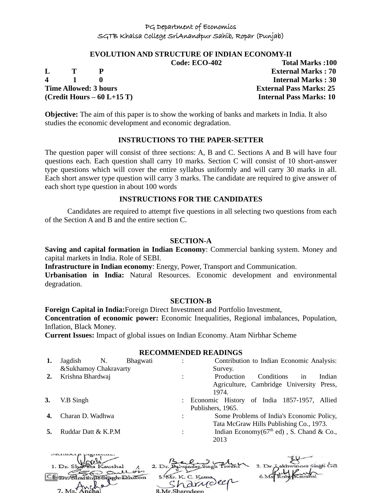#### **EVOLUTION AND STRUCTURE OF INDIAN ECONOMY-II**

**4 1 0 Internal Marks : 30 Time Allowed: 3 hours External Pass Marks: 25 (Credit Hours – 60 L+15 T) Internal Pass Marks: 10**

**Code: ECO-402 Total Marks :100 L T P External Marks : 70**

**Objective:** The aim of this paper is to show the working of banks and markets in India. It also studies the economic development and economic degradation.

#### **INSTRUCTIONS TO THE PAPER-SETTER**

The question paper will consist of three sections: A, B and C. Sections A and B will have four questions each. Each question shall carry 10 marks. Section C will consist of 10 short-answer type questions which will cover the entire syllabus uniformly and will carry 30 marks in all. Each short answer type question will carry 3 marks. The candidate are required to give answer of each short type question in about 100 words

#### **INSTRUCTIONS FOR THE CANDIDATES**

Candidates are required to attempt five questions in all selecting two questions from each of the Section A and B and the entire section C.

#### **SECTION-A**

**Saving and capital formation in Indian Economy**: Commercial banking system. Money and capital markets in India. Role of SEBI.

**Infrastructure in Indian economy**: Energy, Power, Transport and Communication.

**Urbanisation in India:** Natural Resources. Economic development and environmental degradation.

#### **SECTION-B**

**Foreign Capital in India:**Foreign Direct Investment and Portfolio Investment,

**Concentration of economic power:** Economic Inequalities, Regional imbalances, Population, Inflation, Black Money.

**Current Issues:** Impact of global issues on Indian Economy. Atam Nirbhar Scheme

#### **RECOMMENDED READINGS**

|    | Jagdish<br>&Sukhamoy Chakravarty | N. | Bhagwati | $\bullet$      | Contribution to Indian Economic Analysis:<br>Survey.                                          |
|----|----------------------------------|----|----------|----------------|-----------------------------------------------------------------------------------------------|
| 2. | Krishna Bhardwaj                 |    |          |                | Conditions<br>Production<br>Indian<br>in<br>Agriculture, Cambridge University Press,<br>1974. |
| 3. | V.B Singh                        |    |          |                | : Economic History of India 1857-1957, Allied<br>Publishers, 1965.                            |
|    | Charan D. Wadhwa                 |    |          |                | Some Problems of India's Economic Policy,<br>Tata McGraw Hills Publishing Co., 1973.          |
|    | Ruddar Datt & K.P.M              |    |          | $\ddot{\cdot}$ | Indian Economy( $67th$ ed), S. Chand & Co.,<br>2013                                           |

| 1. Dr. Shareta Kaushal |                                  | 3. Dr. Aakhwinder Singh Gill |
|------------------------|----------------------------------|------------------------------|
| gullon                 |                                  |                              |
| Swithunshach Dhillon   | 5. Mr. K. C. Katna<br>"harrioler |                              |
| $7 \text{ Ms}$ Anchal  |                                  |                              |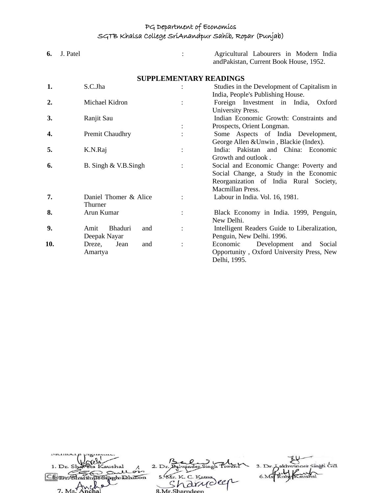| 6.  | J. Patel                      |                               | Agricultural Labourers in Modern India<br>andPakistan, Current Book House, 1952. |
|-----|-------------------------------|-------------------------------|----------------------------------------------------------------------------------|
|     |                               | <b>SUPPLEMENTARY READINGS</b> |                                                                                  |
| 1.  | S.C.Jha                       |                               | Studies in the Development of Capitalism in                                      |
|     |                               |                               | India, People's Publishing House.                                                |
| 2.  | Michael Kidron                |                               | Foreign Investment in India,<br>Oxford                                           |
|     |                               |                               | University Press.                                                                |
| 3.  | Ranjit Sau                    |                               | Indian Economic Growth: Constraints and                                          |
|     |                               |                               | Prospects, Orient Longman.                                                       |
| 4.  | Premit Chaudhry               |                               | Some Aspects of India Development,                                               |
|     |                               |                               | George Allen & Unwin, Blackie (Index).                                           |
| 5.  | K.N.Raj                       |                               | India: Pakistan and China: Economic                                              |
|     |                               |                               | Growth and outlook.                                                              |
| 6.  | B. Singh & V.B.Singh          |                               | Social and Economic Change: Poverty and                                          |
|     |                               |                               | Social Change, a Study in the Economic                                           |
|     |                               |                               | Reorganization of India Rural Society,                                           |
|     |                               |                               | Macmillan Press.                                                                 |
| 7.  | Daniel Thomer & Alice         |                               | Labour in India. Vol. 16, 1981.                                                  |
|     | Thurner                       |                               |                                                                                  |
| 8.  | Arun Kumar                    |                               | Black Economy in India. 1999, Penguin,                                           |
|     |                               |                               | New Delhi.                                                                       |
| 9.  | <b>Bhaduri</b><br>Amit<br>and |                               | Intelligent Readers Guide to Liberalization,                                     |
|     | Deepak Nayar                  |                               | Penguin, New Delhi. 1996.                                                        |
| 10. | Dreze,<br>Jean<br>and         |                               | Economic<br>Development<br>Social<br>and                                         |
|     | Amartya                       |                               | Opportunity, Oxford University Press, New                                        |
|     |                               |                               | Delhi, 1995.                                                                     |

| 1. Dr. Shaveta Kaushal |                    | 3. Dr. Lakhwinger Singh Gill |
|------------------------|--------------------|------------------------------|
| Sullon                 |                    |                              |
| in Sinoh Dhillon       | 5. Mr. K. C. Katna |                              |
|                        | 'a drudeer         |                              |
| 7. Ms. Anchal          | 8 Mr Sharndeen     |                              |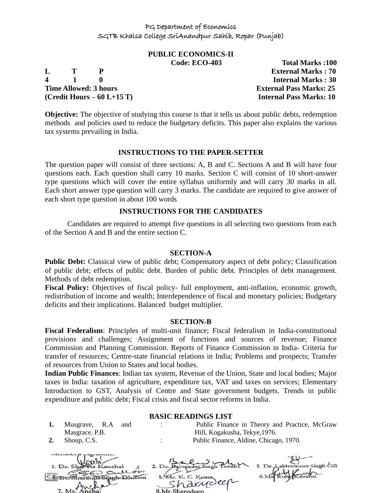# **PUBLIC ECONOMICS-II**

**L T P External Marks : 70 4 1 0 Internal Marks : 30 Time Allowed: 3 hours External Pass Marks: 25 (Credit Hours – 60 L+15 T) Internal Pass Marks: 10**

**Code: ECO-403 Total Marks :100**

**Objective:** The objective of studying this course is that it tells us about public debts, redemption methods and policies used to reduce the budgetary deficits. This paper also explains the various tax systems prevailing in India.

#### **INSTRUCTIONS TO THE PAPER-SETTER**

The question paper will consist of three sections: A, B and C. Sections A and B will have four questions each. Each question shall carry 10 marks. Section C will consist of 10 short-answer type questions which will cover the entire syllabus uniformly and will carry 30 marks in all. Each short answer type question will carry 3 marks. The candidate are required to give answer of each short type question in about 100 words

#### **INSTRUCTIONS FOR THE CANDIDATES**

Candidates are required to attempt five questions in all selecting two questions from each of the Section A and B and the entire section C.

#### **SECTION-A**

**Public Debt:** Classical view of public debt; Compensatory aspect of debt policy; Classification of public debt; effects of public debt. Burden of public debt. Principles of debt management. Methods of debt redemption.

**Fiscal Policy:** Objectives of fiscal policy- full employment, anti-inflation, economic growth, redistribution of income and wealth; Interdependence of fiscal and monetary policies; Budgetary deficits and their implications. Balanced budget multiplier.

#### **SECTION-B**

**Fiscal Federalism**: Principles of multi-unit finance; Fiscal federalism in India-constitutional provisions and challenges; Assignment of functions and sources of revenue; Finance Commission and Planning Commission. Reports of Finance Commission in India- Criteria for transfer of resources; Centre-state financial relations in India; Problems and prospects; Transfer of resources from Union to States and local bodies.

**Indian Public Finances**: Indian tax system, Revenue of the Union, State and local bodies; Major taxes in India: taxation of agriculture, expenditure tax, VAT and taxes on services; Elementary Introduction to GST, Analysis of Centre and State government budgets. Trends in public expenditure and public debt; Fiscal crisis and fiscal sector reforms in India.

#### **BASIC READINGS LIST**

- **1.** Musgrave, R.A and Masgrace. P.B.
- : Public Finance in Theory and Practice, McGraw Hill, Kogakusha, Tekye,1976. **2.** Shoup, C.S. : Public Finance, Aldine, Chicago, 1970.

| members highway.                |                    |                              |
|---------------------------------|--------------------|------------------------------|
|                                 |                    |                              |
| 1. Dr. Shareta Kaushal          |                    | 3. Dr. Aakhwinder Singh Gill |
| Sullon                          |                    |                              |
| <b>South The Signal Dhillon</b> | 5. Mr. K. C. Katna |                              |
|                                 | 'a drudeer         |                              |
| 7 Ms Anchal                     |                    |                              |
|                                 | 2 Mr Charpdoon     |                              |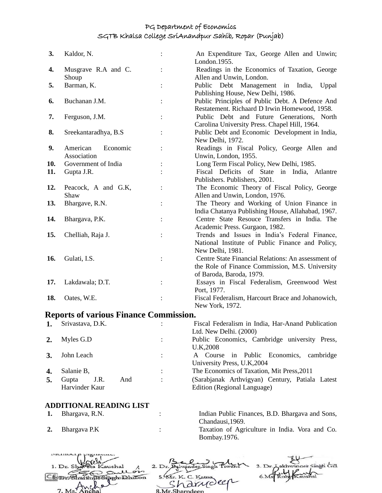| 3.  | Kaldor, N.           | An Expenditure Tax, George Allen and Unwin;<br>London.1955. |
|-----|----------------------|-------------------------------------------------------------|
| 4.  | Musgrave R.A and C.  | Readings in the Economics of Taxation, George               |
|     | Shoup                | Allen and Unwin, London.                                    |
| 5.  | Barman, K.           | Debt Management in India,<br>Public<br>Uppal                |
|     |                      | Publishing House, New Delhi, 1986.                          |
| 6.  | Buchanan J.M.        | Public Principles of Public Debt. A Defence And             |
|     |                      | Restatement. Richaard D Irwin Homewood, 1958.               |
| 7.  | Ferguson, J.M.       | Public Debt and Future Generations, North                   |
|     |                      | Carolina University Press. Chapel Hill, 1964.               |
| 8.  | Sreekantaradhya, B.S | Public Debt and Economic Development in India,              |
|     |                      | New Delhi, 1972.                                            |
| 9.  | Economic<br>American | Readings in Fiscal Policy, George Allen and                 |
|     | Association          | Unwin, London, 1955.                                        |
| 10. | Government of India  | Long Term Fiscal Policy, New Delhi, 1985.                   |
| 11. | Gupta J.R.           | Fiscal Deficits of State in India, Atlantre                 |
|     |                      | Publishers. Publishers, 2001.                               |
| 12. | Peacock, A and G.K,  | The Economic Theory of Fiscal Policy, George                |
|     | Shaw                 | Allen and Unwin, London, 1976.                              |
| 13. | Bhargave, R.N.       | The Theory and Working of Union Finance in                  |
|     |                      | India Chatanya Publishing House, Allahabad, 1967.           |
| 14. | Bhargava, P.K.       | Centre State Resouce Transfers in India. The                |
|     |                      | Academic Press. Gurgaon, 1982.                              |
| 15. | Chelliah, Raja J.    | Trends and Issues in India's Federal Finance,               |
|     |                      | National Institute of Public Finance and Policy,            |
|     |                      | New Delhi, 1981.                                            |
| 16. | Gulati, I.S.         | Centre State Financial Relations: An assessment of          |
|     |                      | the Role of Finance Commission, M.S. University             |
|     |                      | of Baroda, Baroda, 1979.                                    |
| 17. | Lakdawala; D.T.      | Essays in Fiscal Federalism, Greenwood West                 |
|     |                      | Port, 1977.                                                 |
| 18. | Oates, W.E.          | Fiscal Federalism, Harcourt Brace and Johanowich,           |
|     |                      | New York, 1972.                                             |

# **Reports of various Finance Commission.**

| 1. | Srivastava, D.K.     | $\bullet$ | Fiscal Federalism in India, Har-Anand Publication |
|----|----------------------|-----------|---------------------------------------------------|
|    |                      |           | Ltd. New Delhi. (2000)                            |
| 2. | Myles G.D            |           | Public Economics, Cambridge university Press,     |
|    |                      |           | U.K, 2008                                         |
| 3. | John Leach           |           | A Course in Public Economics, cambridge           |
|    |                      |           | University Press, U.K. 2004                       |
| 4. | Salanie B,           |           | The Economics of Taxation, Mit Press, 2011        |
|    | And<br>J.R.<br>Gupta | $\bullet$ | (Sarabjanak Arthvigyan) Century, Patiala Latest   |
|    | Harvinder Kaur       |           | Edition (Regional Language)                       |
|    |                      |           |                                                   |

# **ADDITIONAL READING LIST**<br>1. Bhargava, R.N.

- 
- 

1. **Indian Public Finances, B.D. Bhargava and Sons,** Chandausi,1969.

**2.** Bhargava P.K : Taxation of Agriculture in India. Vora and Co. Bombay.1976.

| 1. Dr. Shaveta Kaushal                |                    | 3. Dr. Lakhwinger Singh Gill |
|---------------------------------------|--------------------|------------------------------|
| Sullon<br>Bison Dhillon               | 5. Mr. K. C. Katna |                              |
|                                       | arrideer           |                              |
| $1 \text{Me}^{\frac{1}{2} \text{Me}}$ | 8 Mr Sharpdoon     |                              |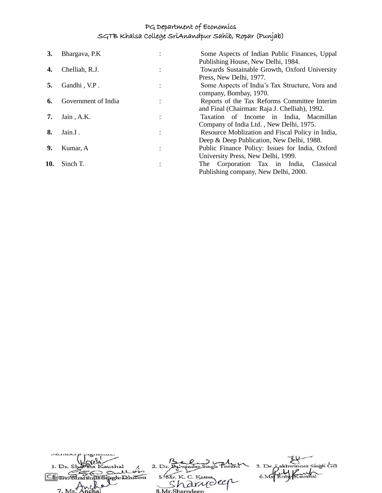| 3.  | Bhargava, P.K       | Some Aspects of Indian Public Finances, Uppal    |
|-----|---------------------|--------------------------------------------------|
|     |                     | Publishing House, New Delhi, 1984.               |
| 4.  | Chelliah, R.J.      | Towards Sustainable Growth, Oxford University    |
|     |                     | Press, New Delhi, 1977.                          |
|     | Gandhi, V.P.        | Some Aspects of India's Tax Structure, Vora and  |
|     |                     | company, Bombay, 1970.                           |
| 6.  | Government of India | Reports of the Tax Reforms Committee Interim     |
|     |                     | and Final (Chairman: Raja J. Chelliah), 1992.    |
| 7.  | Jain, A.K.          | Taxation of Income in India, Macmillan           |
|     |                     | Company of India Ltd., New Delhi, 1975.          |
| 8.  | Jain.I.             | Resource Moblization and Fiscal Policy in India, |
|     |                     | Deep & Deep Publication, New Delhi, 1988.        |
| 9.  | Kumar, A            | Public Finance Policy: Issues for India, Oxford  |
|     |                     | University Press, New Delhi, 1999.               |
| 10. | Sinch T.            | The Corporation Tax in India,<br>Classical       |
|     |                     | Publishing company, New Delhi, 2000.             |
|     |                     |                                                  |

| 1. Dr. Shareta Kaushal  |                    | 3. Dr. Lakhwinger Singh Gill |
|-------------------------|--------------------|------------------------------|
| Sullon                  |                    |                              |
| Shartinus Singh Dhillon | 5. Mr. K. C. Katna |                              |
| $\sim$                  | harrideer          |                              |
| 7. Ms. Anchal           | 8 Mr Sharndeen     |                              |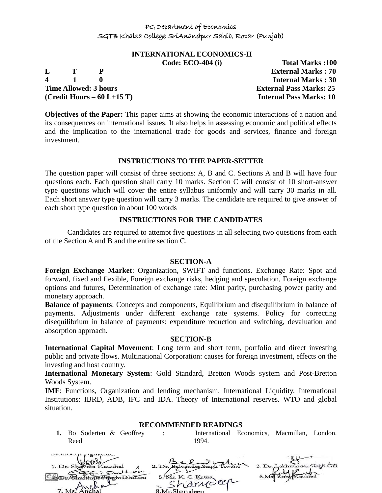# **INTERNATIONAL ECONOMICS-II**

**4 1 0 Internal Marks : 30 Time Allowed: 3 hours External Pass Marks: 25 (Credit Hours – 60 L+15 T) Internal Pass Marks: 10**

**Code: ECO-404 (i) Total Marks :100 L T P External Marks : 70**

**Objectives of the Paper:** This paper aims at showing the economic interactions of a nation and its consequences on international issues. It also helps in assessing economic and political effects and the implication to the international trade for goods and services, finance and foreign investment.

# **INSTRUCTIONS TO THE PAPER-SETTER**

The question paper will consist of three sections: A, B and C. Sections A and B will have four questions each. Each question shall carry 10 marks. Section C will consist of 10 short-answer type questions which will cover the entire syllabus uniformly and will carry 30 marks in all. Each short answer type question will carry 3 marks. The candidate are required to give answer of each short type question in about 100 words

# **INSTRUCTIONS FOR THE CANDIDATES**

Candidates are required to attempt five questions in all selecting two questions from each of the Section A and B and the entire section C.

#### **SECTION-A**

**Foreign Exchange Market**: Organization, SWIFT and functions. Exchange Rate: Spot and forward, fixed and flexible, Foreign exchange risks, hedging and speculation, Foreign exchange options and futures, Determination of exchange rate: Mint parity, purchasing power parity and monetary approach.

**Balance of payments**: Concepts and components, Equilibrium and disequilibrium in balance of payments. Adjustments under different exchange rate systems. Policy for correcting disequilibrium in balance of payments: expenditure reduction and switching, devaluation and absorption approach.

#### **SECTION-B**

**International Capital Movement**: Long term and short term, portfolio and direct investing public and private flows. Multinational Corporation: causes for foreign investment, effects on the investing and host country.

**International Monetary System**: Gold Standard, Bretton Woods system and Post-Bretton Woods System.

**IMF**: Functions, Organization and lending mechanism. International Liquidity. International Institutions: IBRD, ADB, IFC and IDA. Theory of International reserves. WTO and global situation.

# **RECOMMENDED READINGS**

**1.** Bo Soderten & Geoffrey Reed

: International Economics, Macmillan, London. 1994.

| 1. Dr. Shareta Kaushal |                                        | 3. Dr. Lakhwinger Singh Gill |
|------------------------|----------------------------------------|------------------------------|
| gullon                 |                                        |                              |
| ShartinusSiarhilon     | 5. Mr. K. C. Katna<br>harvolen         |                              |
| 7 Metanchal            |                                        |                              |
|                        | 0 M <sub>n</sub> Chownd <sub>con</sub> |                              |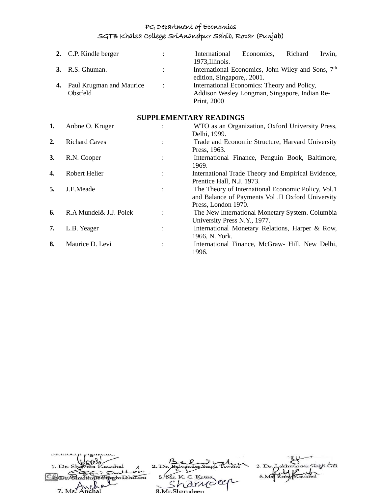|    | 2. C.P. Kindle berger                |                | International<br>1973, Illinois.                                                                            | Economics, | Richard | Irwin, |
|----|--------------------------------------|----------------|-------------------------------------------------------------------------------------------------------------|------------|---------|--------|
|    | <b>3.</b> R.S. Ghuman.               | $\mathbb{R}^n$ | International Economics, John Wiley and Sons, 7 <sup>th</sup><br>edition, Singapore, 2001.                  |            |         |        |
| 4. | Paul Krugman and Maurice<br>Obstfeld | $\therefore$   | International Economics: Theory and Policy,<br>Addison Wesley Longman, Singapore, Indian Re-<br>Print, 2000 |            |         |        |

# **SUPPLEMENTARY READINGS**

| 1.               | Anbne O. Kruger         |                | WTO as an Organization, Oxford University Press,<br>Delhi, 1999.                                                               |
|------------------|-------------------------|----------------|--------------------------------------------------------------------------------------------------------------------------------|
| $\overline{2}$ . | <b>Richard Caves</b>    |                | Trade and Economic Structure, Harvard University<br>Press, 1963.                                                               |
| 3.               | R.N. Cooper             |                | International Finance, Penguin Book, Baltimore,<br>1969.                                                                       |
| 4.               | Robert Helier           |                | International Trade Theory and Empirical Evidence,<br>Prentice Hall, N.J. 1973.                                                |
| 5.               | J.E.Meade               | $\ddot{\cdot}$ | The Theory of International Economic Policy, Vol.1<br>and Balance of Payments Vol .II Oxford University<br>Press, London 1970. |
| 6.               | R.A Mundel & J.J. Polek |                | The New International Monetary System. Columbia<br>University Press N.Y., 1977.                                                |
| 7.               | L.B. Yeager             | $\bullet$      | International Monetary Relations, Harper & Row,<br>1966, N. York.                                                              |
| 8.               | Maurice D. Levi         |                | International Finance, McGraw- Hill, New Delhi,<br>1996.                                                                       |

| 1. Dr. Shareta Kaushal  |                    | 3. Dr. Lakhwinder Singh Gill |
|-------------------------|--------------------|------------------------------|
| Sullon                  |                    |                              |
| ShartinusSiarch Dhillon | 5. Mr. K. C. Katna |                              |
| $\sim$                  | harrideen          |                              |
| 7. Ms. Anchal           | 8 Mr Sharndeen     |                              |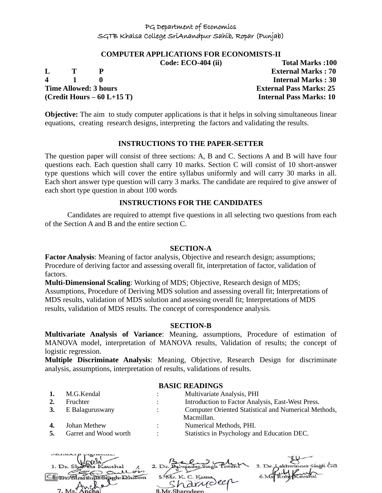#### **COMPUTER APPLICATIONS FOR ECONOMISTS-II**

**L T P External Marks : 70 4 1 0 Internal Marks : 30 Time Allowed: 3 hours External Pass Marks: 25 (Credit Hours – 60 L+15 T) Internal Pass Marks: 10**

**Code: ECO-404 (ii) Total Marks :100**

**Objective:** The aim to study computer applications is that it helps in solving simultaneous linear equations, creating research designs, interpreting the factors and validating the results.

#### **INSTRUCTIONS TO THE PAPER-SETTER**

The question paper will consist of three sections: A, B and C. Sections A and B will have four questions each. Each question shall carry 10 marks. Section C will consist of 10 short-answer type questions which will cover the entire syllabus uniformly and will carry 30 marks in all. Each short answer type question will carry 3 marks. The candidate are required to give answer of each short type question in about 100 words

#### **INSTRUCTIONS FOR THE CANDIDATES**

Candidates are required to attempt five questions in all selecting two questions from each of the Section A and B and the entire section C.

#### **SECTION-A**

**Factor Analysis**: Meaning of factor analysis, Objective and research design; assumptions; Procedure of deriving factor and assessing overall fit, interpretation of factor, validation of factors.

**Multi-Dimensional Scaling**: Working of MDS; Objective, Research design of MDS; Assumptions, Procedure of Deriving MDS solution and assessing overall fit; Interpretations of MDS results, validation of MDS solution and assessing overall fit; Interpretations of MDS results, validation of MDS results. The concept of correspondence analysis.

#### **SECTION-B**

**Multivariate Analysis of Variance**: Meaning, assumptions, Procedure of estimation of MANOVA model, interpretation of MANOVA results, Validation of results; the concept of logistic regression.

**Multiple Discriminate Analysis**: Meaning, Objective, Research Design for discriminate analysis, assumptions, interpretation of results, validations of results.

#### **BASIC READINGS**

| 1.        | M.G.Kendal            | $\ddot{\phantom{a}}$ | Multivariate Analysis, PHI                           |
|-----------|-----------------------|----------------------|------------------------------------------------------|
| 2.        | Fruchter              | $\ddot{\phantom{0}}$ | Introduction to Factor Analysis, East-West Press.    |
| <b>3.</b> | E Balaguruswany       | $\ddot{\phantom{0}}$ | Computer Oriented Statistical and Numerical Methods, |
|           |                       |                      | Macmillan.                                           |
| 4.        | Johan Methew          | $\ddot{\phantom{0}}$ | Numerical Methods, PHI.                              |
|           | Garret and Wood worth | ٠                    | Statistics in Psychology and Education DEC.          |

| 1. Dr. Shaveta Kaushal       |                    | 3. Dr. Lakhwinder Singh Gill |
|------------------------------|--------------------|------------------------------|
| gullon                       |                    |                              |
| med with the sime to Dhillon | 5. Mr. K. C. Katna |                              |
|                              |                    |                              |
|                              | "arriveer          |                              |
| 7. Ms. Anchal                | 8 Mr Sharndeen     |                              |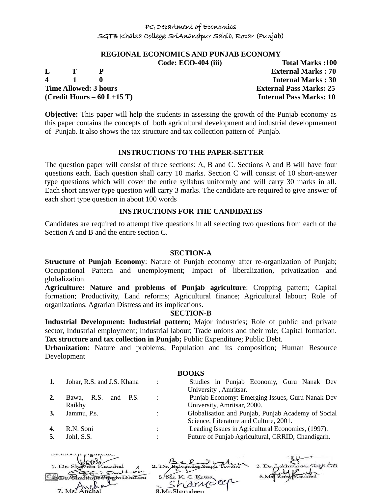#### **REGIONAL ECONOMICS AND PUNJAB ECONOMY**

|                              | U | TURAL IVIDI NƏ TIVU            |
|------------------------------|---|--------------------------------|
|                              |   | <b>External Marks: 70</b>      |
| $\mathbf{1}$ 1               |   | <b>Internal Marks: 30</b>      |
| <b>Time Allowed: 3 hours</b> |   | <b>External Pass Marks: 25</b> |

**Code: ECO-404 (iii) Total Marks :100 (Credit Hours – 60 L+15 T) Internal Pass Marks: 10**

**Objective:** This paper will help the students in assessing the growth of the Punjab economy as this paper contains the concepts of both agricultural development and industrial developmement of Punjab. It also shows the tax structure and tax collection pattern of Punjab.

#### **INSTRUCTIONS TO THE PAPER-SETTER**

The question paper will consist of three sections: A, B and C. Sections A and B will have four questions each. Each question shall carry 10 marks. Section C will consist of 10 short-answer type questions which will cover the entire syllabus uniformly and will carry 30 marks in all. Each short answer type question will carry 3 marks. The candidate are required to give answer of each short type question in about 100 words

#### **INSTRUCTIONS FOR THE CANDIDATES**

Candidates are required to attempt five questions in all selecting two questions from each of the Section A and B and the entire section C.

#### **SECTION-A**

**Structure of Punjab Economy**: Nature of Punjab economy after re-organization of Punjab; Occupational Pattern and unemployment; Impact of liberalization, privatization and globalization.

**Agriculture: Nature and problems of Punjab agriculture**: Cropping pattern; Capital formation; Productivity, Land reforms; Agricultural finance; Agricultural labour; Role of organizations. Agrarian Distress and its implications.

#### **SECTION-B**

**Industrial Development: Industrial pattern**; Major industries; Role of public and private sector, Industrial employment; Industrial labour; Trade unions and their role; Capital formation. **Tax structure and tax collection in Punjab;** Public Expenditure; Public Debt.

**Urbanization**: Nature and problems; Population and its composition; Human Resource Development

**BOOKS 1.** Johar, R.S. and J.S. Khana : Studies in Punjab Economy, Guru Nanak Dev University , Amritsar. **2.** Bawa, R.S. and P.S. Raikhy : Punjab Economy: Emerging Issues, Guru Nanak Dev University, Amritsar, 2000. **3.** Jammu, P.s. : : Globalisation and Punjab, Punjab Academy of Social Science, Literature and Culture, 2001. **4.** R.N. Soni : Leading Issues in Agricultural Economics, (1997). **5.** Johl, S.S.  $\qquad \qquad$  : Future of Punjab Agricultural, CRRID, Chandigarh.

| m                             |                    |                              |
|-------------------------------|--------------------|------------------------------|
| 1. Dr. Shareta Kaushal        |                    | 3. Dr. Lakhwinder Singh Gill |
| An Sullon<br>Ho Singh Dhillon | 5. Mr. K. C. Katna |                              |
| $\sim$                        | "arriveer          |                              |
|                               | Mr.Sharndeep       |                              |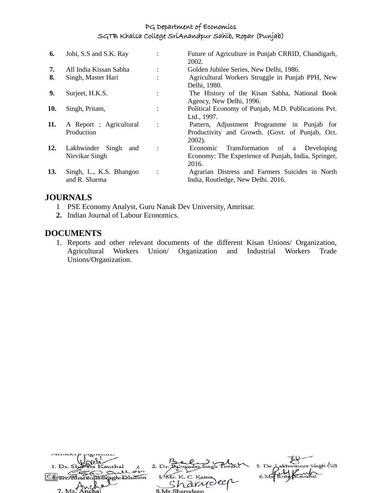| 6.  | Johi, S.S and S.K. Ray                    |                | Future of Agriculture in Punjab CRRID, Chandigarh,<br>2002.                                                   |
|-----|-------------------------------------------|----------------|---------------------------------------------------------------------------------------------------------------|
| 7.  | All India Kissan Sabha                    |                | Golden Jubilee Series, New Delhi, 1986.                                                                       |
| 8.  | Singh, Master Hari                        |                | Agricultural Workers Struggle in Punjab PPH, New<br>Delhi, 1980.                                              |
| 9.  | Surject, H.K.S.                           |                | The History of the Kisan Sabha, National Book<br>Agency, New Delhi, 1996.                                     |
| 10. | Singh, Pritam,                            | $\ddot{\cdot}$ | Political Economy of Punjab, M.D. Publications Pvt.<br>Ltd., 1997.                                            |
| 11. | A Report : Agricultural<br>Production     | $\ddot{\cdot}$ | Pattern, Adjustment Programme in Punjab for<br>Productivity and Growth. (Govt. of Punjab, Oct.<br>$2002$ ).   |
| 12. | Lakhwinder Singh<br>and<br>Nirvikar Singh | $\ddot{\cdot}$ | Transformation of<br>a Developing<br>Economic<br>Economy: The Experience of Punjab, India, Springer,<br>2016. |
| 13. | Singh, L., K.S. Bhangoo<br>and R. Sharma  | $\ddot{\cdot}$ | Agrarian Distress and Farmers Suicides in North<br>India, Routledge, New Delhi. 2016.                         |

# **JOURNALS**

- 1 PSE Economy Analyst, Guru Nanak Dev University, Amritsar.
- **2.** Indian Journal of Labour Economics.

# **DOCUMENTS**

 $\overline{\mathbf{1}}$ 

1. Reports and other relevant documents of the different Kisan Unions/ Organization, Agricultural Workers Union/ Organization and Industrial Workers Trade Unions/Organization.

| 1. Dr. Shareta Kaushal |                                | 3. Dr. Lakhwinger Singh Gill |
|------------------------|--------------------------------|------------------------------|
| An Sullon              |                                |                              |
| Sharthun Sinch Dhillon | 5. Mr. K. C. Katna<br>arriveer |                              |
| 7 Ms Ancha             | 8 Mr Sharpdoon                 |                              |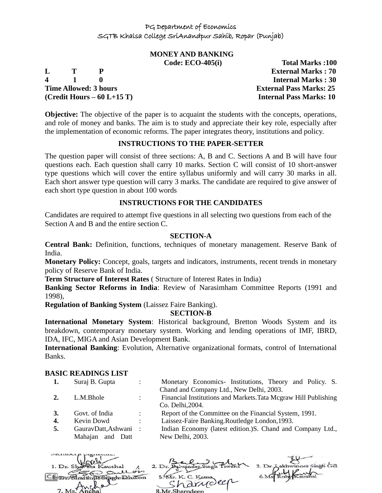# **MONEY AND BANKING**

**L T P External Marks : 70 4 1 0 Internal Marks : 30 Time Allowed: 3 hours External Pass Marks: 25 (Credit Hours – 60 L+15 T) Internal Pass Marks: 10**

**Code: ECO-405(i) Total Marks :100**

**Objective:** The objective of the paper is to acquaint the students with the concepts, operations, and role of money and banks. The aim is to study and appreciate their key role, especially after the implementation of economic reforms. The paper integrates theory, institutions and policy.

# **INSTRUCTIONS TO THE PAPER-SETTER**

The question paper will consist of three sections: A, B and C. Sections A and B will have four questions each. Each question shall carry 10 marks. Section C will consist of 10 short-answer type questions which will cover the entire syllabus uniformly and will carry 30 marks in all. Each short answer type question will carry 3 marks. The candidate are required to give answer of each short type question in about 100 words

#### **INSTRUCTIONS FOR THE CANDIDATES**

Candidates are required to attempt five questions in all selecting two questions from each of the Section A and B and the entire section C.

#### **SECTION-A**

**Central Bank:** Definition, functions, techniques of monetary management. Reserve Bank of India.

**Monetary Policy:** Concept, goals, targets and indicators, instruments, recent trends in monetary policy of Reserve Bank of India.

**Term Structure of Interest Rates** ( Structure of Interest Rates in India)

**Banking Sector Reforms in India**: Review of Narasimham Committee Reports (1991 and 1998),

**Regulation of Banking System** (Laissez Faire Banking).

#### **SECTION-B**

**International Monetary System**: Historical background, Bretton Woods System and its breakdown, contemporary monetary system. Working and lending operations of IMF, IBRD, IDA, IFC, MIGA and Asian Development Bank.

**International Banking**: Evolution, Alternative organizational formats, control of International Banks.

#### **BASIC READINGS LIST**

| 1. | Suraj B. Gupta       |                      | Monetary Economics- Institutions, Theory and Policy. S.         |
|----|----------------------|----------------------|-----------------------------------------------------------------|
|    |                      |                      | Chand and Company Ltd., New Delhi, 2003.                        |
| 2. | L.M.Bhole            | $\ddot{\phantom{0}}$ | Financial Institutions and Markets. Tata Mcgraw Hill Publishing |
|    |                      |                      | Co. Delhi, 2004.                                                |
| 3. | Govt. of India       | $\sim$ 100 $\sim$    | Report of the Committee on the Financial System, 1991.          |
| 4. | Kevin Dowd           | $\ddot{\phantom{0}}$ | Laissez-Faire Banking.Routledge London, 1993.                   |
| 5. | GauravDatt, Ashwani: |                      | Indian Economy (latest edition.) S. Chand and Company Ltd.,     |
|    | Mahajan and Datt     |                      | New Delhi, 2003.                                                |
|    |                      |                      |                                                                 |

| 3. Dr. Lakhwinger Singh Gill<br>1. Dr. Shareta Kaushal<br>Sullon |  |
|------------------------------------------------------------------|--|
|                                                                  |  |
| 5. Mr. K. C. Katna<br>in Sinch Dhillon                           |  |
| randeer<br>$1. M s$ <sup>T</sup> MU<br>8 Mr Sharndeen            |  |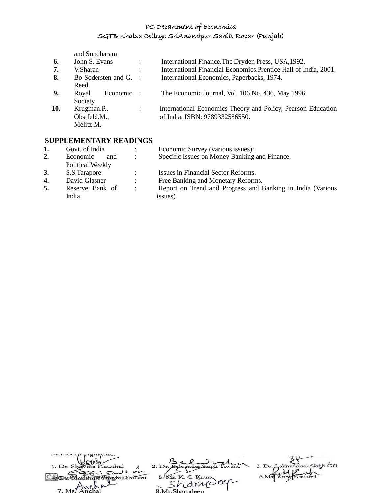and Sundharam

| 6.  | John S. Evans |                       | $\ddot{\phantom{0}}$ | International Finance. The Dryden Press, USA, 1992.              |
|-----|---------------|-----------------------|----------------------|------------------------------------------------------------------|
| 7.  | V.Sharan      |                       | $\ddot{\phantom{a}}$ | International Financial Economics. Prentice Hall of India, 2001. |
| 8.  |               | Bo Sodersten and G. : |                      | International Economics, Paperbacks, 1974.                       |
|     | Reed          |                       |                      |                                                                  |
| 9.  | Royal         | Economic :            |                      | The Economic Journal, Vol. 106. No. 436, May 1996.               |
|     | Society       |                       |                      |                                                                  |
| 10. | Krugman.P.,   |                       | $\ddot{\cdot}$       | International Economics Theory and Policy, Pearson Education     |
|     | Obstfeld.M.,  |                       |                      | of India, ISBN: 9789332586550.                                   |
|     | Melitz.M.     |                       |                      |                                                                  |

# **SUPPLEMENTARY READINGS**

| 1. | Govt. of India   |                          | Economic Survey (various issues):                          |
|----|------------------|--------------------------|------------------------------------------------------------|
| 2. | Economic<br>and  | $\mathbb{R}^n$           | Specific Issues on Money Banking and Finance.              |
|    | Political Weekly |                          |                                                            |
| 3. | S.S Tarapore     |                          | Issues in Financial Sector Reforms.                        |
| 4. | David Glasner    |                          | Free Banking and Monetary Reforms.                         |
| 5. | Reserve Bank of  | $\sim 1000$ km s $^{-1}$ | Report on Trend and Progress and Banking in India (Various |
|    | India            |                          | issues)                                                    |

| 1. Dr. Shareta Kaushal |                    | 3. Dr. Lakhwinger Singh Gill |
|------------------------|--------------------|------------------------------|
| Sullon                 |                    |                              |
| Un Singeholdhillon     | 5. Mr. K. C. Katna |                              |
|                        | randeer            |                              |
| 7 M <sup>1</sup>       | 8 Mr Sharpdoon     |                              |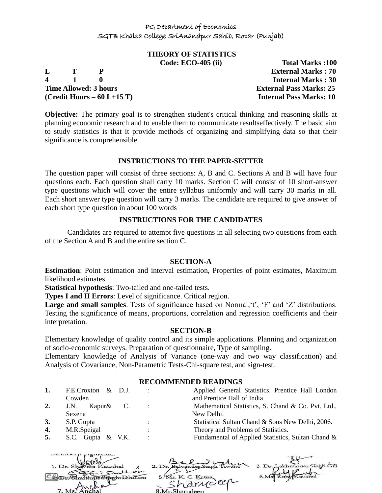# **THEORY OF STATISTICS**

**4 1 0 Internal Marks : 30 Time Allowed: 3 hours External Pass Marks: 25 (Credit Hours – 60 L+15 T) Internal Pass Marks: 10**

**Code: ECO-405 (ii) Total Marks :100 L T P External Marks : 70**

**Objective:** The primary goal is to strengthen student's critical thinking and reasoning skills at planning economic research and to enable them to communicate resultseffectively. The basic aim to study statistics is that it provide methods of organizing and simplifying data so that their significance is comprehensible.

# **INSTRUCTIONS TO THE PAPER-SETTER**

The question paper will consist of three sections: A, B and C. Sections A and B will have four questions each. Each question shall carry 10 marks. Section C will consist of 10 short-answer type questions which will cover the entire syllabus uniformly and will carry 30 marks in all. Each short answer type question will carry 3 marks. The candidate are required to give answer of each short type question in about 100 words

#### **INSTRUCTIONS FOR THE CANDIDATES**

Candidates are required to attempt five questions in all selecting two questions from each of the Section A and B and the entire section C.

#### **SECTION-A**

**Estimation**: Point estimation and interval estimation, Properties of point estimates, Maximum likelihood estimates.

**Statistical hypothesis**: Two-tailed and one-tailed tests.

**Types I and II Errors**: Level of significance. Critical region.

Large and small samples. Tests of significance based on Normal, 't', 'F' and 'Z' distributions. Testing the significance of means, proportions, correlation and regression coefficients and their interpretation.

#### **SECTION-B**

Elementary knowledge of quality control and its simple applications. Planning and organization of socio-economic surveys. Preparation of questionnaire, Type of sampling.

Elementary knowledge of Analysis of Variance (one-way and two way classification) and Analysis of Covariance, Non-Parametric Tests-Chi-square test, and sign-test.

# **RECOMMENDED READINGS**

| 1.        | F.E.Croxton & D.J. |                | Applied General Statistics. Prentice Hall London   |
|-----------|--------------------|----------------|----------------------------------------------------|
|           | Cowden             |                | and Prentice Hall of India.                        |
| 2.        | Kapur& C.<br>J.N.  |                | Mathematical Statistics, S. Chand & Co. Pvt. Ltd., |
|           | Sexena             |                | New Delhi.                                         |
| <b>3.</b> | S.P. Gupta         | $\ddot{\cdot}$ | Statistical Sultan Chand & Sons New Delhi, 2006.   |
| 4.        | M.R.Speigal        | $\ddot{\cdot}$ | Theory and Problems of Statistics.                 |
| 5.        | S.C. Gupta & V.K.  | $\ddot{\cdot}$ | Fundamental of Applied Statistics, Sultan Chand &  |

| 1. Dr. Shaveta Kaushal              |                    | 3. Dr. Aakhwinder Singh Gill |
|-------------------------------------|--------------------|------------------------------|
| gullon<br>CScpmGhwithusSipphDhillon | 5. Mr. K. C. Katna |                              |
|                                     | "harrioler         |                              |
|                                     |                    |                              |
| 7. Ms. Anchal                       | 8 Mr Sharndeen     |                              |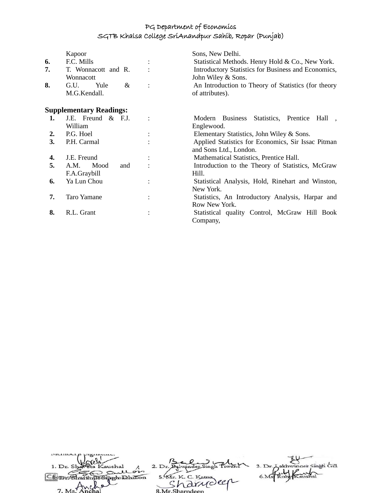|    | Kapoor                              |                | Sons, New Delhi.                                                             |  |
|----|-------------------------------------|----------------|------------------------------------------------------------------------------|--|
| 6. | F.C. Mills                          |                | Statistical Methods. Henry Hold & Co., New York.                             |  |
| 7. | T. Wonnacott and R.<br>Wonnacott    |                | Introductory Statistics for Business and Economics,<br>John Wiley & Sons.    |  |
| 8. | Yule<br>G.U.<br>&<br>M.G.Kendall.   | $\ddot{\cdot}$ | An Introduction to Theory of Statistics (for theory<br>of attributes).       |  |
|    | <b>Supplementary Readings:</b>      |                |                                                                              |  |
| 1. | J.E. Freund & F.J.<br>William       |                | Modern Business<br>Statistics, Prentice Hall<br>Englewood.                   |  |
| 2. | P.G. Hoel                           |                | Elementary Statistics, John Wiley & Sons.                                    |  |
| 3. | P.H. Carmal                         |                | Applied Statistics for Economics, Sir Issac Pitman<br>and Sons Ltd., London. |  |
| 4. | J.E. Freund                         |                | Mathematical Statistics, Prentice Hall.                                      |  |
| 5. | A.M.<br>Mood<br>and<br>F.A.Graybill |                | Introduction to the Theory of Statistics, McGraw<br>Hill.                    |  |
| 6. | Ya Lun Chou                         |                | Statistical Analysis, Hold, Rinehart and Winston,<br>New York.               |  |
| 7. | <b>Taro Yamane</b>                  |                | Statistics, An Introductory Analysis, Harpar and<br>Row New York.            |  |
| 8. | R.L. Grant                          | $\ddot{\cdot}$ | Statistical quality Control, McGraw Hill Book<br>Company,                    |  |

| 1. Dr. Shaveta Kaushal |                    | 3. Dr. Lakhwinger Singh Gill |
|------------------------|--------------------|------------------------------|
| Sullon                 |                    |                              |
| <b>UnGimen Dhillon</b> | 5. Mr. K. C. Katna |                              |
|                        | rannoler           |                              |
| 7. Ms. Anchal          | 8.Mr.Sharndeen     |                              |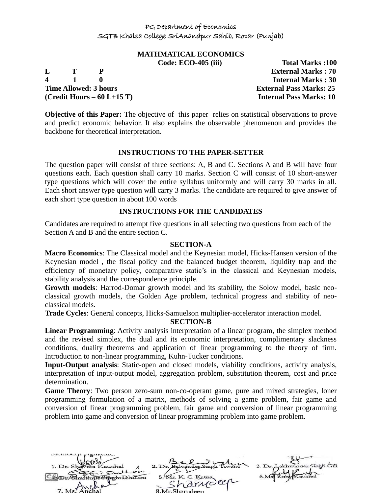# **MATHMATICAL ECONOMICS**

**4 1 0 Internal Marks : 30 Time Allowed: 3 hours External Pass Marks: 25 (Credit Hours – 60 L+15 T) Internal Pass Marks: 10**

**Code: ECO-405 (iii) Total Marks :100 L T P External Marks : 70**

**Objective of this Paper:** The objective of this paper relies on statistical observations to prove and predict economic behavior. It also explains the observable phenomenon and provides the backbone for theoretical interpretation.

# **INSTRUCTIONS TO THE PAPER-SETTER**

The question paper will consist of three sections: A, B and C. Sections A and B will have four questions each. Each question shall carry 10 marks. Section C will consist of 10 short-answer type questions which will cover the entire syllabus uniformly and will carry 30 marks in all. Each short answer type question will carry 3 marks. The candidate are required to give answer of each short type question in about 100 words

# **INSTRUCTIONS FOR THE CANDIDATES**

Candidates are required to attempt five questions in all selecting two questions from each of the Section A and B and the entire section C.

#### **SECTION-A**

**Macro Economics**: The Classical model and the Keynesian model, Hicks-Hansen version of the Keynesian model , the fiscal policy and the balanced budget theorem, liquidity trap and the efficiency of monetary policy, comparative static's in the classical and Keynesian models, stability analysis and the correspondence principle.

**Growth models**: Harrod-Domar growth model and its stability, the Solow model, basic neoclassical growth models, the Golden Age problem, technical progress and stability of neoclassical models.

**Trade Cycles**: General concepts, Hicks-Samuelson multiplier-accelerator interaction model.

**SECTION-B**

**Linear Programming**: Activity analysis interpretation of a linear program, the simplex method and the revised simplex, the dual and its economic interpretation, complimentary slackness conditions, duality theorems and application of linear programming to the theory of firm. Introduction to non-linear programming, Kuhn-Tucker conditions.

**Input-Output analysis**: Static-open and closed models, viability conditions, activity analysis, interpretation of input-output model, aggregation problem, substitution theorem, cost and price determination.

**Game Theory**: Two person zero-sum non-co-operant game, pure and mixed strategies, loner programming formulation of a matrix, methods of solving a game problem, fair game and conversion of linear programming problem, fair game and conversion of linear programming problem into game and conversion of linear programming problem into game problem.

 $2. D<sub>t</sub>$ pghilahilton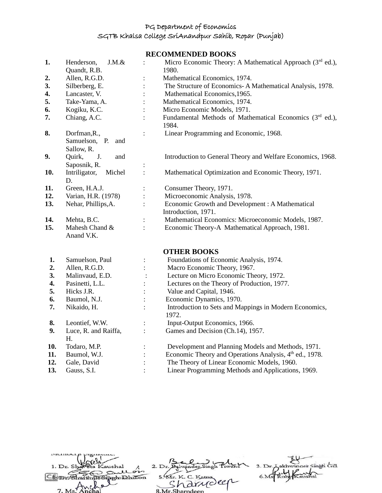**RECOMMENDED BOOKS**

|     |                               |                | KECOMMENDED BOOKS                                                   |
|-----|-------------------------------|----------------|---------------------------------------------------------------------|
| 1.  | $J.M.$ &<br>Henderson,        |                | Micro Economic Theory: A Mathematical Approach (3rd ed.),           |
|     | Quandt, R.B.                  |                | 1980.                                                               |
| 2.  | Allen, R.G.D.                 | $\vdots$       | Mathematical Economics, 1974.                                       |
| 3.  | Silberberg, E.                | $\vdots$       | The Structure of Economics-A Mathematical Analysis, 1978.           |
| 4.  | Lancaster, V.                 |                | Mathematical Economics, 1965.                                       |
| 5.  | Take-Yama, A.                 |                | Mathematical Economics, 1974.                                       |
| 6.  | Kogiku, K.C.                  |                | Micro Economic Models, 1971.                                        |
| 7.  | Chiang, A.C.                  |                | Fundamental Methods of Mathematical Economics (3rd ed.),<br>1984.   |
| 8.  | Dorfman, R.,                  | $\ddot{\cdot}$ | Linear Programming and Economic, 1968.                              |
|     | Samuelson, P.<br>and          |                |                                                                     |
|     | Sallow, R.                    |                |                                                                     |
| 9.  | J.<br>Quirk,<br>and           |                | Introduction to General Theory and Welfare Economics, 1968.         |
|     | Saposnik, R.                  | $\vdots$       |                                                                     |
| 10. | Intriligator,<br>Michel<br>D. | $\ddot{\cdot}$ | Mathematical Optimization and Economic Theory, 1971.                |
| 11. | Green, H.A.J.                 | $\vdots$       | Consumer Theory, 1971.                                              |
| 12. | Varian, H.R. (1978)           |                | Microeconomic Analysis, 1978.                                       |
| 13. | Nehar, Phillips, A.           | $\ddot{\cdot}$ | Economic Growth and Development : A Mathematical                    |
|     |                               |                | Introduction, 1971.                                                 |
| 14. | Mehta, B.C.                   | $\ddot{\cdot}$ | Mathematical Economics: Microeconomic Models, 1987.                 |
| 15. | Mahesh Chand &                | $\vdots$       | Economic Theory-A Mathematical Approach, 1981.                      |
|     | Anand V.K.                    |                |                                                                     |
|     |                               |                | <b>OTHER BOOKS</b>                                                  |
| 1.  | Samuelson, Paul               | $\vdots$       | Foundations of Economic Analysis, 1974.                             |
| 2.  | Allen, R.G.D.                 |                | Macro Economic Theory, 1967.                                        |
| 3.  | Malinvaud, E.D.               |                | Lecture on Micro Economic Theory, 1972.                             |
| 4.  | Pasinetti, L.L.               |                | Lectures on the Theory of Production, 1977.                         |
| 5.  | Hicks J.R.                    |                | Value and Capital, 1946.                                            |
| 6.  | Baumol, N.J.                  |                | Economic Dynamics, 1970.                                            |
| 7.  | Nikaido, H.                   | :              | Introduction to Sets and Mappings in Modern Economics,<br>1972.     |
| 8.  | Leontief, W.W.                |                | Input-Output Economics, 1966.                                       |
| 9.  | Luce, R. and Raiffa,<br>H.    | $\ddot{\cdot}$ | Games and Decision (Ch.14), 1957.                                   |
| 10. | Todaro, M.P.                  |                | Development and Planning Models and Methods, 1971.                  |
| 11. | Baumol, W.J.                  |                | Economic Theory and Operations Analysis, 4 <sup>th</sup> ed., 1978. |
| 12. | Gale, David                   |                | The Theory of Linear Economic Models, 1960.                         |

**13.** Gauss, S.I. : Linear Programming Methods and Applications, 1969.

akhwinger Singh Gill 2. Dr. Balwinder Singh Ti 1. Dr. S hal  $3. Dr.$ عد  $\circ$ 5. KIr. K. C. Katna  $6.Ms$ To Sipph Dhillon **CE-DIOSharth** more sha 7.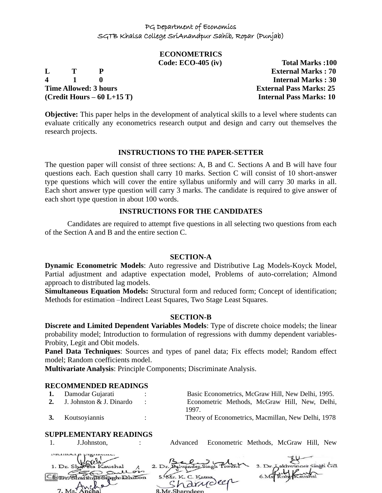# **ECONOMETRICS**

**4 1 0 Internal Marks : 30 Time Allowed: 3 hours External Pass Marks: 25 (Credit Hours – 60 L+15 T) Internal Pass Marks: 10**

**Code: ECO-405 (iv) Total Marks :100 L T P External Marks : 70**

**Objective:** This paper helps in the development of analytical skills to a level where students can evaluate critically any econometrics research output and design and carry out themselves the research projects.

#### **INSTRUCTIONS TO THE PAPER-SETTER**

The question paper will consist of three sections: A, B and C. Sections A and B will have four questions each. Each question shall carry 10 marks. Section C will consist of 10 short-answer type questions which will cover the entire syllabus uniformly and will carry 30 marks in all. Each short answer type question will carry 3 marks. The candidate is required to give answer of each short type question in about 100 words.

#### **INSTRUCTIONS FOR THE CANDIDATES**

Candidates are required to attempt five questions in all selecting two questions from each of the Section A and B and the entire section C.

# **SECTION-A**

**Dynamic Econometric Models**: Auto regressive and Distributive Lag Models-Koyck Model, Partial adjustment and adaptive expectation model, Problems of auto-correlation; Almond approach to distributed lag models.

**Simultaneous Equation Models:** Structural form and reduced form; Concept of identification; Methods for estimation –Indirect Least Squares, Two Stage Least Squares.

#### **SECTION-B**

**Discrete and Limited Dependent Variables Models**: Type of discrete choice models; the linear probability model; Introduction to formulation of regressions with dummy dependent variables-Probity, Legit and Obit models.

**Panel Data Techniques**: Sources and types of panel data; Fix effects model; Random effect model; Random coefficients model.

**Multivariate Analysis**: Principle Components; Discriminate Analysis.

#### **RECOMMENDED READINGS**

| 1. Damodar Gujarati         | Basic Econometrics, McGraw Hill, New Delhi, 1995.  |
|-----------------------------|----------------------------------------------------|
| 2. J. Johnston & J. Dinardo | Econometric Methods, McGraw Hill, New, Delhi,      |
|                             | 1997.                                              |
| 3. Koutsoyiannis            | Theory of Econometrics, Macmillan, New Delhi, 1978 |

#### **SUPPLEMENTARY READINGS**

nanda e usuania.

1. J.Johnston, : Advanced Econometric Methods, McGraw Hill, New

| 1. Dr. Shaveta Kaushal  |                    | 3. Dr. Lakhwinger Singh Gill |
|-------------------------|--------------------|------------------------------|
| Sullois                 |                    |                              |
| ShartinusSisrahlahillon | 5. Mr. K. C. Katna |                              |
|                         | "harrydeen         |                              |
| 7. Ms. Anchal           | 8 Mr Sharndeen     |                              |